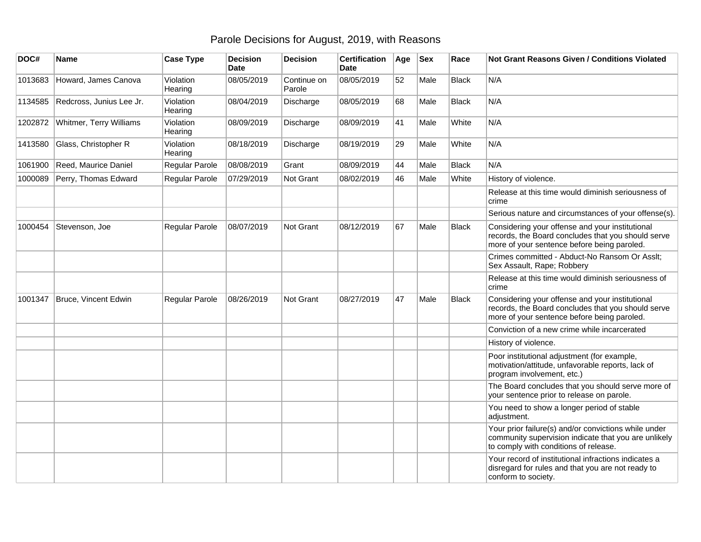## Parole Decisions for August, 2019, with Reasons

| DOC#    | <b>Name</b>              | <b>Case Type</b>     | <b>Decision</b><br><b>Date</b> | <b>Decision</b>       | <b>Certification</b><br><b>Date</b> | Age | <b>Sex</b> | Race         | <b>Not Grant Reasons Given / Conditions Violated</b>                                                                                                  |
|---------|--------------------------|----------------------|--------------------------------|-----------------------|-------------------------------------|-----|------------|--------------|-------------------------------------------------------------------------------------------------------------------------------------------------------|
| 1013683 | Howard, James Canova     | Violation<br>Hearing | 08/05/2019                     | Continue on<br>Parole | 08/05/2019                          | 52  | Male       | <b>Black</b> | N/A                                                                                                                                                   |
| 1134585 | Redcross, Junius Lee Jr. | Violation<br>Hearing | 08/04/2019                     | Discharge             | 08/05/2019                          | 68  | Male       | <b>Black</b> | N/A                                                                                                                                                   |
| 1202872 | Whitmer, Terry Williams  | Violation<br>Hearing | 08/09/2019                     | Discharge             | 08/09/2019                          | 41  | Male       | White        | N/A                                                                                                                                                   |
| 1413580 | Glass, Christopher R     | Violation<br>Hearing | 08/18/2019                     | Discharge             | 08/19/2019                          | 29  | Male       | White        | N/A                                                                                                                                                   |
| 1061900 | Reed, Maurice Daniel     | Regular Parole       | 08/08/2019                     | Grant                 | 08/09/2019                          | 44  | Male       | <b>Black</b> | N/A                                                                                                                                                   |
| 1000089 | Perry, Thomas Edward     | Regular Parole       | 07/29/2019                     | Not Grant             | 08/02/2019                          | 46  | Male       | White        | History of violence.                                                                                                                                  |
|         |                          |                      |                                |                       |                                     |     |            |              | Release at this time would diminish seriousness of<br>crime                                                                                           |
|         |                          |                      |                                |                       |                                     |     |            |              | Serious nature and circumstances of your offense(s).                                                                                                  |
| 1000454 | Stevenson, Joe           | Regular Parole       | 08/07/2019                     | Not Grant             | 08/12/2019                          | 67  | Male       | Black        | Considering your offense and your institutional<br>records, the Board concludes that you should serve<br>more of your sentence before being paroled.  |
|         |                          |                      |                                |                       |                                     |     |            |              | Crimes committed - Abduct-No Ransom Or Asslt;<br>Sex Assault, Rape; Robbery                                                                           |
|         |                          |                      |                                |                       |                                     |     |            |              | Release at this time would diminish seriousness of<br>crime                                                                                           |
| 1001347 | Bruce, Vincent Edwin     | Regular Parole       | 08/26/2019                     | Not Grant             | 08/27/2019                          | 47  | Male       | <b>Black</b> | Considering your offense and your institutional<br>records, the Board concludes that you should serve<br>more of your sentence before being paroled.  |
|         |                          |                      |                                |                       |                                     |     |            |              | Conviction of a new crime while incarcerated                                                                                                          |
|         |                          |                      |                                |                       |                                     |     |            |              | History of violence.                                                                                                                                  |
|         |                          |                      |                                |                       |                                     |     |            |              | Poor institutional adjustment (for example,<br>motivation/attitude, unfavorable reports, lack of<br>program involvement, etc.)                        |
|         |                          |                      |                                |                       |                                     |     |            |              | The Board concludes that you should serve more of<br>your sentence prior to release on parole.                                                        |
|         |                          |                      |                                |                       |                                     |     |            |              | You need to show a longer period of stable<br>adjustment.                                                                                             |
|         |                          |                      |                                |                       |                                     |     |            |              | Your prior failure(s) and/or convictions while under<br>community supervision indicate that you are unlikely<br>to comply with conditions of release. |
|         |                          |                      |                                |                       |                                     |     |            |              | Your record of institutional infractions indicates a<br>disregard for rules and that you are not ready to<br>conform to society.                      |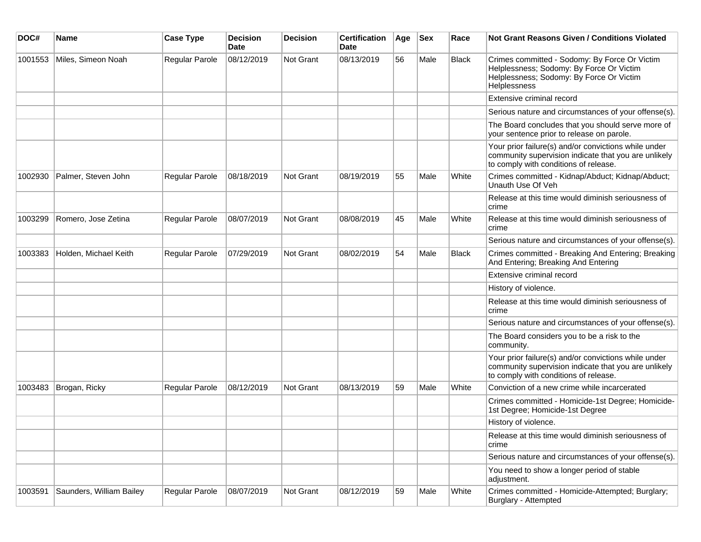| DOC#    | <b>Name</b>              | <b>Case Type</b>      | <b>Decision</b><br><b>Date</b> | <b>Decision</b> | <b>Certification</b><br><b>Date</b> | Age | <b>Sex</b> | Race         | <b>Not Grant Reasons Given / Conditions Violated</b>                                                                                                         |
|---------|--------------------------|-----------------------|--------------------------------|-----------------|-------------------------------------|-----|------------|--------------|--------------------------------------------------------------------------------------------------------------------------------------------------------------|
| 1001553 | Miles, Simeon Noah       | Regular Parole        | 08/12/2019                     | Not Grant       | 08/13/2019                          | 56  | Male       | <b>Black</b> | Crimes committed - Sodomy: By Force Or Victim<br>Helplessness; Sodomy: By Force Or Victim<br>Helplessness; Sodomy: By Force Or Victim<br><b>Helplessness</b> |
|         |                          |                       |                                |                 |                                     |     |            |              | Extensive criminal record                                                                                                                                    |
|         |                          |                       |                                |                 |                                     |     |            |              | Serious nature and circumstances of your offense(s).                                                                                                         |
|         |                          |                       |                                |                 |                                     |     |            |              | The Board concludes that you should serve more of<br>your sentence prior to release on parole.                                                               |
|         |                          |                       |                                |                 |                                     |     |            |              | Your prior failure(s) and/or convictions while under<br>community supervision indicate that you are unlikely<br>to comply with conditions of release.        |
| 1002930 | Palmer, Steven John      | Regular Parole        | 08/18/2019                     | Not Grant       | 08/19/2019                          | 55  | Male       | White        | Crimes committed - Kidnap/Abduct; Kidnap/Abduct;<br>Unauth Use Of Veh                                                                                        |
|         |                          |                       |                                |                 |                                     |     |            |              | Release at this time would diminish seriousness of<br>crime                                                                                                  |
| 1003299 | Romero, Jose Zetina      | <b>Regular Parole</b> | 08/07/2019                     | Not Grant       | 08/08/2019                          | 45  | Male       | White        | Release at this time would diminish seriousness of<br>crime                                                                                                  |
|         |                          |                       |                                |                 |                                     |     |            |              | Serious nature and circumstances of your offense(s).                                                                                                         |
| 1003383 | Holden, Michael Keith    | <b>Regular Parole</b> | 07/29/2019                     | Not Grant       | 08/02/2019                          | 54  | Male       | <b>Black</b> | Crimes committed - Breaking And Entering; Breaking<br>And Entering; Breaking And Entering                                                                    |
|         |                          |                       |                                |                 |                                     |     |            |              | Extensive criminal record                                                                                                                                    |
|         |                          |                       |                                |                 |                                     |     |            |              | History of violence.                                                                                                                                         |
|         |                          |                       |                                |                 |                                     |     |            |              | Release at this time would diminish seriousness of<br>crime                                                                                                  |
|         |                          |                       |                                |                 |                                     |     |            |              | Serious nature and circumstances of your offense(s).                                                                                                         |
|         |                          |                       |                                |                 |                                     |     |            |              | The Board considers you to be a risk to the<br>community.                                                                                                    |
|         |                          |                       |                                |                 |                                     |     |            |              | Your prior failure(s) and/or convictions while under<br>community supervision indicate that you are unlikely<br>to comply with conditions of release.        |
| 1003483 | Brogan, Ricky            | Regular Parole        | 08/12/2019                     | Not Grant       | 08/13/2019                          | 59  | Male       | White        | Conviction of a new crime while incarcerated                                                                                                                 |
|         |                          |                       |                                |                 |                                     |     |            |              | Crimes committed - Homicide-1st Degree; Homicide-<br>1st Degree; Homicide-1st Degree                                                                         |
|         |                          |                       |                                |                 |                                     |     |            |              | History of violence.                                                                                                                                         |
|         |                          |                       |                                |                 |                                     |     |            |              | Release at this time would diminish seriousness of<br>crime                                                                                                  |
|         |                          |                       |                                |                 |                                     |     |            |              | Serious nature and circumstances of your offense(s).                                                                                                         |
|         |                          |                       |                                |                 |                                     |     |            |              | You need to show a longer period of stable<br>adjustment.                                                                                                    |
| 1003591 | Saunders, William Bailey | Regular Parole        | 08/07/2019                     | Not Grant       | 08/12/2019                          | 59  | Male       | White        | Crimes committed - Homicide-Attempted; Burglary;<br>Burglary - Attempted                                                                                     |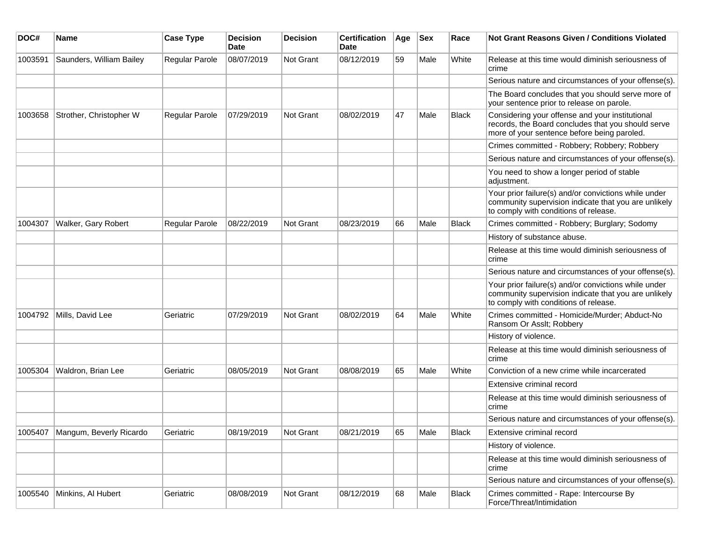| DOC#    | <b>Name</b>                       | <b>Case Type</b>      | <b>Decision</b><br>Date | <b>Decision</b> | <b>Certification</b><br>Date | Age | <b>Sex</b> | Race         | Not Grant Reasons Given / Conditions Violated                                                                                                         |
|---------|-----------------------------------|-----------------------|-------------------------|-----------------|------------------------------|-----|------------|--------------|-------------------------------------------------------------------------------------------------------------------------------------------------------|
| 1003591 | Saunders, William Bailey          | Regular Parole        | 08/07/2019              | Not Grant       | 08/12/2019                   | 59  | Male       | White        | Release at this time would diminish seriousness of<br>crime                                                                                           |
|         |                                   |                       |                         |                 |                              |     |            |              | Serious nature and circumstances of your offense(s).                                                                                                  |
|         |                                   |                       |                         |                 |                              |     |            |              | The Board concludes that you should serve more of<br>your sentence prior to release on parole.                                                        |
| 1003658 | Strother, Christopher W           | Regular Parole        | 07/29/2019              | Not Grant       | 08/02/2019                   | 47  | Male       | <b>Black</b> | Considering your offense and your institutional<br>records, the Board concludes that you should serve<br>more of your sentence before being paroled.  |
|         |                                   |                       |                         |                 |                              |     |            |              | Crimes committed - Robbery; Robbery; Robbery                                                                                                          |
|         |                                   |                       |                         |                 |                              |     |            |              | Serious nature and circumstances of your offense(s).                                                                                                  |
|         |                                   |                       |                         |                 |                              |     |            |              | You need to show a longer period of stable<br>adjustment.                                                                                             |
|         |                                   |                       |                         |                 |                              |     |            |              | Your prior failure(s) and/or convictions while under<br>community supervision indicate that you are unlikely<br>to comply with conditions of release. |
| 1004307 | Walker, Gary Robert               | <b>Regular Parole</b> | 08/22/2019              | Not Grant       | 08/23/2019                   | 66  | Male       | <b>Black</b> | Crimes committed - Robbery; Burglary; Sodomy                                                                                                          |
|         |                                   |                       |                         |                 |                              |     |            |              | History of substance abuse.                                                                                                                           |
|         |                                   |                       |                         |                 |                              |     |            |              | Release at this time would diminish seriousness of<br>crime                                                                                           |
|         |                                   |                       |                         |                 |                              |     |            |              | Serious nature and circumstances of your offense(s).                                                                                                  |
|         |                                   |                       |                         |                 |                              |     |            |              | Your prior failure(s) and/or convictions while under<br>community supervision indicate that you are unlikely<br>to comply with conditions of release. |
| 1004792 | Mills, David Lee                  | Geriatric             | 07/29/2019              | Not Grant       | 08/02/2019                   | 64  | Male       | White        | Crimes committed - Homicide/Murder; Abduct-No<br>Ransom Or Asslt; Robbery                                                                             |
|         |                                   |                       |                         |                 |                              |     |            |              | History of violence.                                                                                                                                  |
|         |                                   |                       |                         |                 |                              |     |            |              | Release at this time would diminish seriousness of<br>crime                                                                                           |
| 1005304 | Waldron, Brian Lee                | Geriatric             | 08/05/2019              | Not Grant       | 08/08/2019                   | 65  | Male       | White        | Conviction of a new crime while incarcerated                                                                                                          |
|         |                                   |                       |                         |                 |                              |     |            |              | Extensive criminal record                                                                                                                             |
|         |                                   |                       |                         |                 |                              |     |            |              | Release at this time would diminish seriousness of<br>crime                                                                                           |
|         |                                   |                       |                         |                 |                              |     |            |              | Serious nature and circumstances of your offense(s).                                                                                                  |
|         | 1005407   Mangum, Beverly Ricardo | Geriatric             | 08/19/2019              | Not Grant       | 08/21/2019                   | 65  | Male       | <b>Black</b> | Extensive criminal record                                                                                                                             |
|         |                                   |                       |                         |                 |                              |     |            |              | History of violence.                                                                                                                                  |
|         |                                   |                       |                         |                 |                              |     |            |              | Release at this time would diminish seriousness of<br>crime                                                                                           |
|         |                                   |                       |                         |                 |                              |     |            |              | Serious nature and circumstances of your offense(s).                                                                                                  |
| 1005540 | Minkins, Al Hubert                | Geriatric             | 08/08/2019              | Not Grant       | 08/12/2019                   | 68  | Male       | Black        | Crimes committed - Rape: Intercourse By<br>Force/Threat/Intimidation                                                                                  |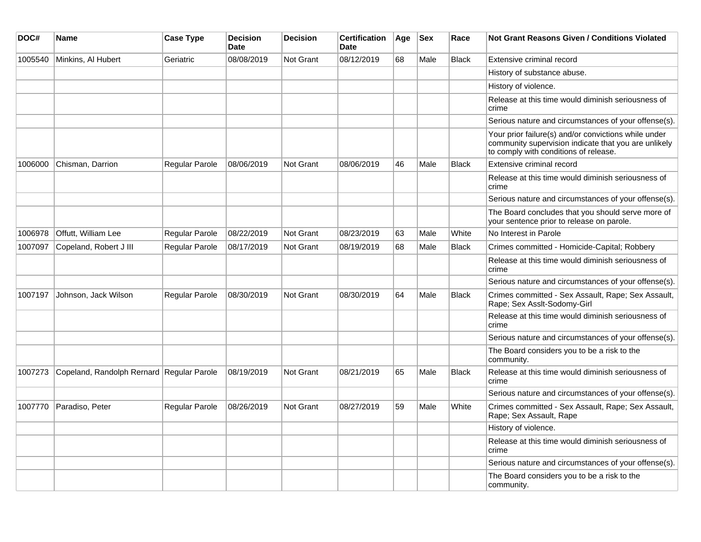| DOC#    | <b>Name</b>                               | <b>Case Type</b>      | <b>Decision</b><br><b>Date</b> | <b>Decision</b>  | <b>Certification</b><br><b>Date</b> | Age | <b>Sex</b> | Race         | <b>Not Grant Reasons Given / Conditions Violated</b>                                                                                                  |
|---------|-------------------------------------------|-----------------------|--------------------------------|------------------|-------------------------------------|-----|------------|--------------|-------------------------------------------------------------------------------------------------------------------------------------------------------|
| 1005540 | Minkins, Al Hubert                        | Geriatric             | 08/08/2019                     | <b>Not Grant</b> | 08/12/2019                          | 68  | Male       | <b>Black</b> | Extensive criminal record                                                                                                                             |
|         |                                           |                       |                                |                  |                                     |     |            |              | History of substance abuse.                                                                                                                           |
|         |                                           |                       |                                |                  |                                     |     |            |              | History of violence.                                                                                                                                  |
|         |                                           |                       |                                |                  |                                     |     |            |              | Release at this time would diminish seriousness of<br>crime                                                                                           |
|         |                                           |                       |                                |                  |                                     |     |            |              | Serious nature and circumstances of your offense(s).                                                                                                  |
|         |                                           |                       |                                |                  |                                     |     |            |              | Your prior failure(s) and/or convictions while under<br>community supervision indicate that you are unlikely<br>to comply with conditions of release. |
| 1006000 | Chisman, Darrion                          | <b>Regular Parole</b> | 08/06/2019                     | <b>Not Grant</b> | 08/06/2019                          | 46  | Male       | <b>Black</b> | Extensive criminal record                                                                                                                             |
|         |                                           |                       |                                |                  |                                     |     |            |              | Release at this time would diminish seriousness of<br>crime                                                                                           |
|         |                                           |                       |                                |                  |                                     |     |            |              | Serious nature and circumstances of your offense(s).                                                                                                  |
|         |                                           |                       |                                |                  |                                     |     |            |              | The Board concludes that you should serve more of<br>your sentence prior to release on parole.                                                        |
| 1006978 | Offutt, William Lee                       | Regular Parole        | 08/22/2019                     | Not Grant        | 08/23/2019                          | 63  | Male       | White        | No Interest in Parole                                                                                                                                 |
| 1007097 | Copeland, Robert J III                    | Regular Parole        | 08/17/2019                     | <b>Not Grant</b> | 08/19/2019                          | 68  | Male       | <b>Black</b> | Crimes committed - Homicide-Capital; Robbery                                                                                                          |
|         |                                           |                       |                                |                  |                                     |     |            |              | Release at this time would diminish seriousness of<br>crime                                                                                           |
|         |                                           |                       |                                |                  |                                     |     |            |              | Serious nature and circumstances of your offense(s).                                                                                                  |
| 1007197 | Johnson, Jack Wilson                      | <b>Regular Parole</b> | 08/30/2019                     | Not Grant        | 08/30/2019                          | 64  | Male       | <b>Black</b> | Crimes committed - Sex Assault, Rape; Sex Assault,<br>Rape; Sex Asslt-Sodomy-Girl                                                                     |
|         |                                           |                       |                                |                  |                                     |     |            |              | Release at this time would diminish seriousness of<br>crime                                                                                           |
|         |                                           |                       |                                |                  |                                     |     |            |              | Serious nature and circumstances of your offense(s).                                                                                                  |
|         |                                           |                       |                                |                  |                                     |     |            |              | The Board considers you to be a risk to the<br>community.                                                                                             |
| 1007273 | Copeland, Randolph Rernard Regular Parole |                       | 08/19/2019                     | Not Grant        | 08/21/2019                          | 65  | Male       | Black        | Release at this time would diminish seriousness of<br>crime                                                                                           |
|         |                                           |                       |                                |                  |                                     |     |            |              | Serious nature and circumstances of your offense(s).                                                                                                  |
| 1007770 | Paradiso, Peter                           | <b>Regular Parole</b> | 08/26/2019                     | <b>Not Grant</b> | 08/27/2019                          | 59  | Male       | White        | Crimes committed - Sex Assault, Rape; Sex Assault,<br>Rape; Sex Assault, Rape                                                                         |
|         |                                           |                       |                                |                  |                                     |     |            |              | History of violence.                                                                                                                                  |
|         |                                           |                       |                                |                  |                                     |     |            |              | Release at this time would diminish seriousness of<br>crime                                                                                           |
|         |                                           |                       |                                |                  |                                     |     |            |              | Serious nature and circumstances of your offense(s).                                                                                                  |
|         |                                           |                       |                                |                  |                                     |     |            |              | The Board considers you to be a risk to the<br>community.                                                                                             |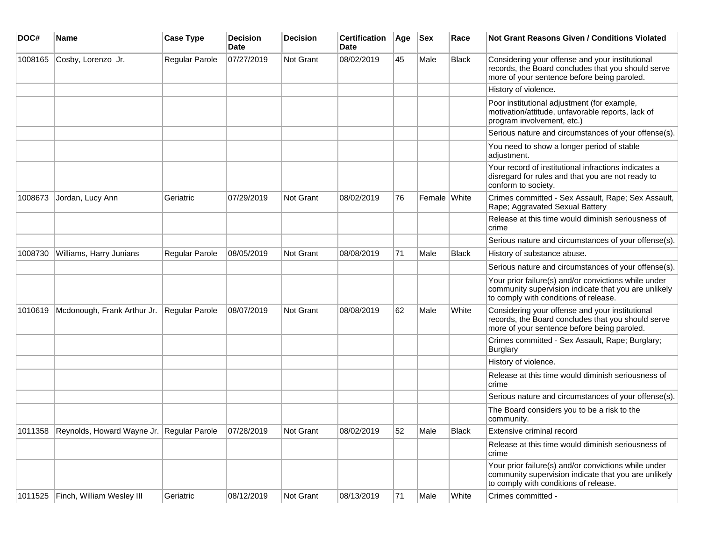| DOC#    | Name                                              | <b>Case Type</b> | <b>Decision</b><br><b>Date</b> | <b>Decision</b> | <b>Certification</b><br>Date | Age | <b>Sex</b>   | Race         | <b>Not Grant Reasons Given / Conditions Violated</b>                                                                                                  |
|---------|---------------------------------------------------|------------------|--------------------------------|-----------------|------------------------------|-----|--------------|--------------|-------------------------------------------------------------------------------------------------------------------------------------------------------|
| 1008165 | Cosby, Lorenzo Jr.                                | Regular Parole   | 07/27/2019                     | Not Grant       | 08/02/2019                   | 45  | Male         | <b>Black</b> | Considering your offense and your institutional<br>records, the Board concludes that you should serve<br>more of your sentence before being paroled.  |
|         |                                                   |                  |                                |                 |                              |     |              |              | History of violence.                                                                                                                                  |
|         |                                                   |                  |                                |                 |                              |     |              |              | Poor institutional adjustment (for example,<br>motivation/attitude, unfavorable reports, lack of<br>program involvement, etc.)                        |
|         |                                                   |                  |                                |                 |                              |     |              |              | Serious nature and circumstances of your offense(s).                                                                                                  |
|         |                                                   |                  |                                |                 |                              |     |              |              | You need to show a longer period of stable<br>adjustment.                                                                                             |
|         |                                                   |                  |                                |                 |                              |     |              |              | Your record of institutional infractions indicates a<br>disregard for rules and that you are not ready to<br>conform to society.                      |
| 1008673 | Jordan, Lucy Ann                                  | Geriatric        | 07/29/2019                     | Not Grant       | 08/02/2019                   | 76  | Female White |              | Crimes committed - Sex Assault, Rape; Sex Assault,<br>Rape; Aggravated Sexual Battery                                                                 |
|         |                                                   |                  |                                |                 |                              |     |              |              | Release at this time would diminish seriousness of<br>crime                                                                                           |
|         |                                                   |                  |                                |                 |                              |     |              |              | Serious nature and circumstances of your offense(s).                                                                                                  |
| 1008730 | Williams, Harry Junians                           | Regular Parole   | 08/05/2019                     | Not Grant       | 08/08/2019                   | 71  | Male         | Black        | History of substance abuse.                                                                                                                           |
|         |                                                   |                  |                                |                 |                              |     |              |              | Serious nature and circumstances of your offense(s).                                                                                                  |
|         |                                                   |                  |                                |                 |                              |     |              |              | Your prior failure(s) and/or convictions while under<br>community supervision indicate that you are unlikely<br>to comply with conditions of release. |
| 1010619 | Mcdonough, Frank Arthur Jr.                       | Regular Parole   | 08/07/2019                     | Not Grant       | 08/08/2019                   | 62  | Male         | White        | Considering your offense and your institutional<br>records, the Board concludes that you should serve<br>more of your sentence before being paroled.  |
|         |                                                   |                  |                                |                 |                              |     |              |              | Crimes committed - Sex Assault, Rape; Burglary;<br><b>Burglary</b>                                                                                    |
|         |                                                   |                  |                                |                 |                              |     |              |              | History of violence.                                                                                                                                  |
|         |                                                   |                  |                                |                 |                              |     |              |              | Release at this time would diminish seriousness of<br>crime                                                                                           |
|         |                                                   |                  |                                |                 |                              |     |              |              | Serious nature and circumstances of your offense(s).                                                                                                  |
|         |                                                   |                  |                                |                 |                              |     |              |              | The Board considers you to be a risk to the<br>community.                                                                                             |
|         | 1011358 Reynolds, Howard Wayne Jr. Regular Parole |                  | 07/28/2019                     | Not Grant       | 08/02/2019                   | 52  | Male         | <b>Black</b> | Extensive criminal record                                                                                                                             |
|         |                                                   |                  |                                |                 |                              |     |              |              | Release at this time would diminish seriousness of<br>crime                                                                                           |
|         |                                                   |                  |                                |                 |                              |     |              |              | Your prior failure(s) and/or convictions while under<br>community supervision indicate that you are unlikely<br>to comply with conditions of release. |
| 1011525 | Finch, William Wesley III                         | Geriatric        | 08/12/2019                     | Not Grant       | 08/13/2019                   | 71  | Male         | White        | Crimes committed -                                                                                                                                    |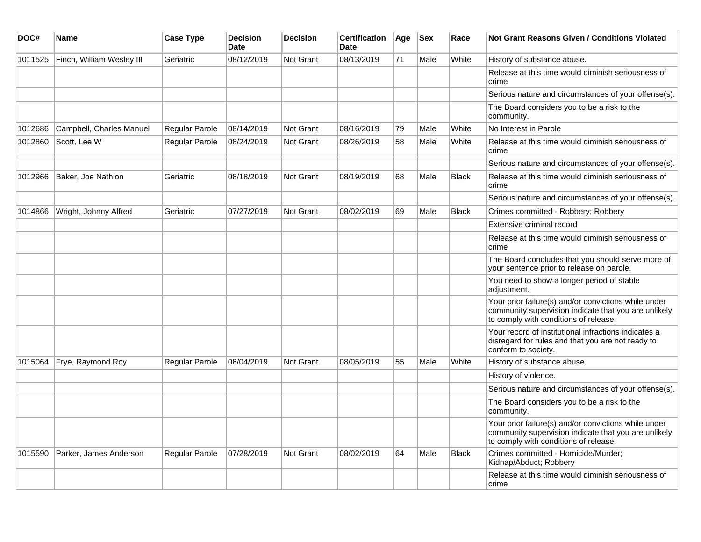| DOC#    | Name                      | <b>Case Type</b>      | <b>Decision</b><br><b>Date</b> | <b>Decision</b>  | <b>Certification</b><br><b>Date</b> | Age | <b>Sex</b> | Race         | <b>Not Grant Reasons Given / Conditions Violated</b>                                                                                                  |
|---------|---------------------------|-----------------------|--------------------------------|------------------|-------------------------------------|-----|------------|--------------|-------------------------------------------------------------------------------------------------------------------------------------------------------|
| 1011525 | Finch, William Wesley III | Geriatric             | 08/12/2019                     | Not Grant        | 08/13/2019                          | 71  | Male       | White        | History of substance abuse.                                                                                                                           |
|         |                           |                       |                                |                  |                                     |     |            |              | Release at this time would diminish seriousness of<br>crime                                                                                           |
|         |                           |                       |                                |                  |                                     |     |            |              | Serious nature and circumstances of your offense(s).                                                                                                  |
|         |                           |                       |                                |                  |                                     |     |            |              | The Board considers you to be a risk to the<br>community.                                                                                             |
| 1012686 | Campbell, Charles Manuel  | Regular Parole        | 08/14/2019                     | <b>Not Grant</b> | 08/16/2019                          | 79  | Male       | White        | No Interest in Parole                                                                                                                                 |
| 1012860 | Scott, Lee W              | <b>Regular Parole</b> | 08/24/2019                     | <b>Not Grant</b> | 08/26/2019                          | 58  | Male       | White        | Release at this time would diminish seriousness of<br>crime                                                                                           |
|         |                           |                       |                                |                  |                                     |     |            |              | Serious nature and circumstances of your offense(s).                                                                                                  |
| 1012966 | Baker, Joe Nathion        | Geriatric             | 08/18/2019                     | <b>Not Grant</b> | 08/19/2019                          | 68  | Male       | <b>Black</b> | Release at this time would diminish seriousness of<br>crime                                                                                           |
|         |                           |                       |                                |                  |                                     |     |            |              | Serious nature and circumstances of your offense(s).                                                                                                  |
| 1014866 | Wright, Johnny Alfred     | Geriatric             | 07/27/2019                     | <b>Not Grant</b> | 08/02/2019                          | 69  | Male       | <b>Black</b> | Crimes committed - Robbery; Robbery                                                                                                                   |
|         |                           |                       |                                |                  |                                     |     |            |              | Extensive criminal record                                                                                                                             |
|         |                           |                       |                                |                  |                                     |     |            |              | Release at this time would diminish seriousness of<br>crime                                                                                           |
|         |                           |                       |                                |                  |                                     |     |            |              | The Board concludes that you should serve more of<br>your sentence prior to release on parole.                                                        |
|         |                           |                       |                                |                  |                                     |     |            |              | You need to show a longer period of stable<br>adjustment.                                                                                             |
|         |                           |                       |                                |                  |                                     |     |            |              | Your prior failure(s) and/or convictions while under<br>community supervision indicate that you are unlikely<br>to comply with conditions of release. |
|         |                           |                       |                                |                  |                                     |     |            |              | Your record of institutional infractions indicates a<br>disregard for rules and that you are not ready to<br>conform to society.                      |
| 1015064 | Frye, Raymond Roy         | Regular Parole        | 08/04/2019                     | <b>Not Grant</b> | 08/05/2019                          | 55  | Male       | White        | History of substance abuse.                                                                                                                           |
|         |                           |                       |                                |                  |                                     |     |            |              | History of violence.                                                                                                                                  |
|         |                           |                       |                                |                  |                                     |     |            |              | Serious nature and circumstances of your offense(s).                                                                                                  |
|         |                           |                       |                                |                  |                                     |     |            |              | The Board considers you to be a risk to the<br>community.                                                                                             |
|         |                           |                       |                                |                  |                                     |     |            |              | Your prior failure(s) and/or convictions while under<br>community supervision indicate that you are unlikely<br>to comply with conditions of release. |
| 1015590 | Parker, James Anderson    | Regular Parole        | 07/28/2019                     | <b>Not Grant</b> | 08/02/2019                          | 64  | Male       | <b>Black</b> | Crimes committed - Homicide/Murder;<br>Kidnap/Abduct; Robbery                                                                                         |
|         |                           |                       |                                |                  |                                     |     |            |              | Release at this time would diminish seriousness of<br>crime                                                                                           |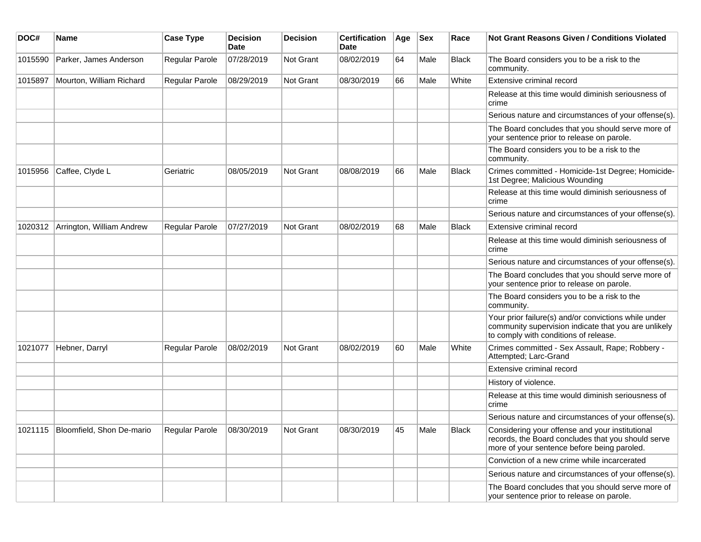| DOC#    | <b>Name</b>                         | <b>Case Type</b> | <b>Decision</b><br><b>Date</b> | <b>Decision</b>  | <b>Certification</b><br>Date | Age | <b>Sex</b> | Race         | <b>Not Grant Reasons Given / Conditions Violated</b>                                                                                                  |
|---------|-------------------------------------|------------------|--------------------------------|------------------|------------------------------|-----|------------|--------------|-------------------------------------------------------------------------------------------------------------------------------------------------------|
| 1015590 | Parker, James Anderson              | Regular Parole   | 07/28/2019                     | Not Grant        | 08/02/2019                   | 64  | Male       | Black        | The Board considers you to be a risk to the<br>community.                                                                                             |
| 1015897 | Mourton, William Richard            | Regular Parole   | 08/29/2019                     | Not Grant        | 08/30/2019                   | 66  | Male       | White        | Extensive criminal record                                                                                                                             |
|         |                                     |                  |                                |                  |                              |     |            |              | Release at this time would diminish seriousness of<br>crime                                                                                           |
|         |                                     |                  |                                |                  |                              |     |            |              | Serious nature and circumstances of your offense(s).                                                                                                  |
|         |                                     |                  |                                |                  |                              |     |            |              | The Board concludes that you should serve more of<br>your sentence prior to release on parole.                                                        |
|         |                                     |                  |                                |                  |                              |     |            |              | The Board considers you to be a risk to the<br>community.                                                                                             |
| 1015956 | Caffee, Clyde L                     | Geriatric        | 08/05/2019                     | Not Grant        | 08/08/2019                   | 66  | Male       | <b>Black</b> | Crimes committed - Homicide-1st Degree; Homicide-<br>1st Degree; Malicious Wounding                                                                   |
|         |                                     |                  |                                |                  |                              |     |            |              | Release at this time would diminish seriousness of<br>crime                                                                                           |
|         |                                     |                  |                                |                  |                              |     |            |              | Serious nature and circumstances of your offense(s).                                                                                                  |
| 1020312 | Arrington, William Andrew           | Regular Parole   | 07/27/2019                     | <b>Not Grant</b> | 08/02/2019                   | 68  | Male       | Black        | Extensive criminal record                                                                                                                             |
|         |                                     |                  |                                |                  |                              |     |            |              | Release at this time would diminish seriousness of<br>crime                                                                                           |
|         |                                     |                  |                                |                  |                              |     |            |              | Serious nature and circumstances of your offense(s).                                                                                                  |
|         |                                     |                  |                                |                  |                              |     |            |              | The Board concludes that you should serve more of<br>your sentence prior to release on parole.                                                        |
|         |                                     |                  |                                |                  |                              |     |            |              | The Board considers you to be a risk to the<br>community.                                                                                             |
|         |                                     |                  |                                |                  |                              |     |            |              | Your prior failure(s) and/or convictions while under<br>community supervision indicate that you are unlikely<br>to comply with conditions of release. |
| 1021077 | Hebner, Darryl                      | Regular Parole   | 08/02/2019                     | <b>Not Grant</b> | 08/02/2019                   | 60  | Male       | White        | Crimes committed - Sex Assault, Rape; Robbery -<br>Attempted; Larc-Grand                                                                              |
|         |                                     |                  |                                |                  |                              |     |            |              | Extensive criminal record                                                                                                                             |
|         |                                     |                  |                                |                  |                              |     |            |              | History of violence.                                                                                                                                  |
|         |                                     |                  |                                |                  |                              |     |            |              | Release at this time would diminish seriousness of<br>crime                                                                                           |
|         |                                     |                  |                                |                  |                              |     |            |              | Serious nature and circumstances of your offense(s).                                                                                                  |
|         | 1021115   Bloomfield, Shon De-mario | Regular Parole   | 08/30/2019                     | ∣Not Grant       | 08/30/2019                   | 45  | Male       | Black        | Considering your offense and your institutional<br>records, the Board concludes that you should serve<br>more of your sentence before being paroled.  |
|         |                                     |                  |                                |                  |                              |     |            |              | Conviction of a new crime while incarcerated                                                                                                          |
|         |                                     |                  |                                |                  |                              |     |            |              | Serious nature and circumstances of your offense(s).                                                                                                  |
|         |                                     |                  |                                |                  |                              |     |            |              | The Board concludes that you should serve more of<br>your sentence prior to release on parole.                                                        |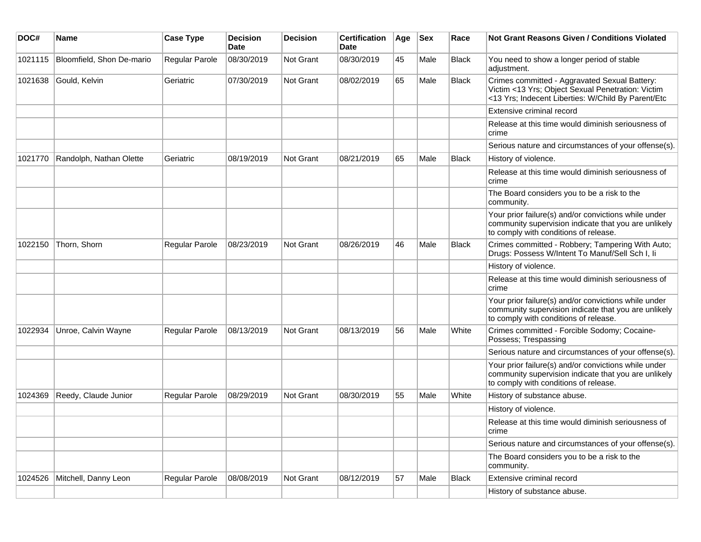| DOC#    | <b>Name</b>               | <b>Case Type</b> | <b>Decision</b><br>Date | <b>Decision</b>  | <b>Certification</b><br>Date | Age | <b>Sex</b> | Race         | Not Grant Reasons Given / Conditions Violated                                                                                                            |
|---------|---------------------------|------------------|-------------------------|------------------|------------------------------|-----|------------|--------------|----------------------------------------------------------------------------------------------------------------------------------------------------------|
| 1021115 | Bloomfield, Shon De-mario | Regular Parole   | 08/30/2019              | Not Grant        | 08/30/2019                   | 45  | Male       | <b>Black</b> | You need to show a longer period of stable<br>adjustment.                                                                                                |
| 1021638 | Gould, Kelvin             | Geriatric        | 07/30/2019              | Not Grant        | 08/02/2019                   | 65  | Male       | <b>Black</b> | Crimes committed - Aggravated Sexual Battery:<br>Victim <13 Yrs; Object Sexual Penetration: Victim<br><13 Yrs; Indecent Liberties: W/Child By Parent/Etc |
|         |                           |                  |                         |                  |                              |     |            |              | Extensive criminal record                                                                                                                                |
|         |                           |                  |                         |                  |                              |     |            |              | Release at this time would diminish seriousness of<br>crime                                                                                              |
|         |                           |                  |                         |                  |                              |     |            |              | Serious nature and circumstances of your offense(s).                                                                                                     |
| 1021770 | Randolph, Nathan Olette   | Geriatric        | 08/19/2019              | Not Grant        | 08/21/2019                   | 65  | Male       | <b>Black</b> | History of violence.                                                                                                                                     |
|         |                           |                  |                         |                  |                              |     |            |              | Release at this time would diminish seriousness of<br>crime                                                                                              |
|         |                           |                  |                         |                  |                              |     |            |              | The Board considers you to be a risk to the<br>community.                                                                                                |
|         |                           |                  |                         |                  |                              |     |            |              | Your prior failure(s) and/or convictions while under<br>community supervision indicate that you are unlikely<br>to comply with conditions of release.    |
| 1022150 | Thorn, Shorn              | Regular Parole   | 08/23/2019              | Not Grant        | 08/26/2019                   | 46  | Male       | <b>Black</b> | Crimes committed - Robbery; Tampering With Auto;<br>Drugs: Possess W/Intent To Manuf/Sell Sch I, Ii                                                      |
|         |                           |                  |                         |                  |                              |     |            |              | History of violence.                                                                                                                                     |
|         |                           |                  |                         |                  |                              |     |            |              | Release at this time would diminish seriousness of<br>crime                                                                                              |
|         |                           |                  |                         |                  |                              |     |            |              | Your prior failure(s) and/or convictions while under<br>community supervision indicate that you are unlikely<br>to comply with conditions of release.    |
| 1022934 | Unroe, Calvin Wayne       | Regular Parole   | 08/13/2019              | <b>Not Grant</b> | 08/13/2019                   | 56  | Male       | White        | Crimes committed - Forcible Sodomy; Cocaine-<br>Possess; Trespassing                                                                                     |
|         |                           |                  |                         |                  |                              |     |            |              | Serious nature and circumstances of your offense(s).                                                                                                     |
|         |                           |                  |                         |                  |                              |     |            |              | Your prior failure(s) and/or convictions while under<br>community supervision indicate that you are unlikely<br>to comply with conditions of release.    |
| 1024369 | Reedy, Claude Junior      | Regular Parole   | 08/29/2019              | <b>Not Grant</b> | 08/30/2019                   | 55  | Male       | White        | History of substance abuse.                                                                                                                              |
|         |                           |                  |                         |                  |                              |     |            |              | History of violence.                                                                                                                                     |
|         |                           |                  |                         |                  |                              |     |            |              | Release at this time would diminish seriousness of<br>crime                                                                                              |
|         |                           |                  |                         |                  |                              |     |            |              | Serious nature and circumstances of your offense(s).                                                                                                     |
|         |                           |                  |                         |                  |                              |     |            |              | The Board considers you to be a risk to the<br>community.                                                                                                |
| 1024526 | Mitchell, Danny Leon      | Regular Parole   | 08/08/2019              | Not Grant        | 08/12/2019                   | 57  | Male       | <b>Black</b> | Extensive criminal record                                                                                                                                |
|         |                           |                  |                         |                  |                              |     |            |              | History of substance abuse.                                                                                                                              |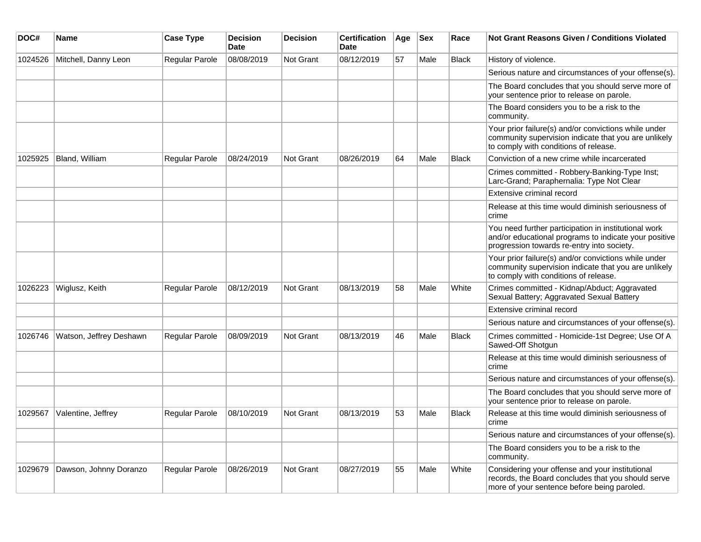| DOC#    | <b>Name</b>             | <b>Case Type</b>      | <b>Decision</b><br><b>Date</b> | <b>Decision</b>  | <b>Certification</b><br><b>Date</b> | Age | <b>Sex</b> | Race         | <b>Not Grant Reasons Given / Conditions Violated</b>                                                                                                        |
|---------|-------------------------|-----------------------|--------------------------------|------------------|-------------------------------------|-----|------------|--------------|-------------------------------------------------------------------------------------------------------------------------------------------------------------|
| 1024526 | Mitchell, Danny Leon    | Regular Parole        | 08/08/2019                     | <b>Not Grant</b> | 08/12/2019                          | 57  | Male       | <b>Black</b> | History of violence.                                                                                                                                        |
|         |                         |                       |                                |                  |                                     |     |            |              | Serious nature and circumstances of your offense(s).                                                                                                        |
|         |                         |                       |                                |                  |                                     |     |            |              | The Board concludes that you should serve more of<br>your sentence prior to release on parole.                                                              |
|         |                         |                       |                                |                  |                                     |     |            |              | The Board considers you to be a risk to the<br>community.                                                                                                   |
|         |                         |                       |                                |                  |                                     |     |            |              | Your prior failure(s) and/or convictions while under<br>community supervision indicate that you are unlikely<br>to comply with conditions of release.       |
| 1025925 | Bland, William          | <b>Regular Parole</b> | 08/24/2019                     | Not Grant        | 08/26/2019                          | 64  | Male       | <b>Black</b> | Conviction of a new crime while incarcerated                                                                                                                |
|         |                         |                       |                                |                  |                                     |     |            |              | Crimes committed - Robbery-Banking-Type Inst;<br>Larc-Grand; Paraphernalia: Type Not Clear                                                                  |
|         |                         |                       |                                |                  |                                     |     |            |              | Extensive criminal record                                                                                                                                   |
|         |                         |                       |                                |                  |                                     |     |            |              | Release at this time would diminish seriousness of<br>crime                                                                                                 |
|         |                         |                       |                                |                  |                                     |     |            |              | You need further participation in institutional work<br>and/or educational programs to indicate your positive<br>progression towards re-entry into society. |
|         |                         |                       |                                |                  |                                     |     |            |              | Your prior failure(s) and/or convictions while under<br>community supervision indicate that you are unlikely<br>to comply with conditions of release.       |
| 1026223 | Wiglusz, Keith          | Regular Parole        | 08/12/2019                     | <b>Not Grant</b> | 08/13/2019                          | 58  | Male       | White        | Crimes committed - Kidnap/Abduct; Aggravated<br>Sexual Battery; Aggravated Sexual Battery                                                                   |
|         |                         |                       |                                |                  |                                     |     |            |              | Extensive criminal record                                                                                                                                   |
|         |                         |                       |                                |                  |                                     |     |            |              | Serious nature and circumstances of your offense(s).                                                                                                        |
| 1026746 | Watson, Jeffrey Deshawn | <b>Regular Parole</b> | 08/09/2019                     | Not Grant        | 08/13/2019                          | 46  | Male       | <b>Black</b> | Crimes committed - Homicide-1st Degree; Use Of A<br>Sawed-Off Shotgun                                                                                       |
|         |                         |                       |                                |                  |                                     |     |            |              | Release at this time would diminish seriousness of<br>crime                                                                                                 |
|         |                         |                       |                                |                  |                                     |     |            |              | Serious nature and circumstances of your offense(s).                                                                                                        |
|         |                         |                       |                                |                  |                                     |     |            |              | The Board concludes that you should serve more of<br>your sentence prior to release on parole.                                                              |
| 1029567 | Valentine, Jeffrey      | Regular Parole        | 08/10/2019                     | <b>Not Grant</b> | 08/13/2019                          | 53  | Male       | <b>Black</b> | Release at this time would diminish seriousness of<br>crime                                                                                                 |
|         |                         |                       |                                |                  |                                     |     |            |              | Serious nature and circumstances of your offense(s).                                                                                                        |
|         |                         |                       |                                |                  |                                     |     |            |              | The Board considers you to be a risk to the<br>community.                                                                                                   |
| 1029679 | Dawson, Johnny Doranzo  | Regular Parole        | 08/26/2019                     | <b>Not Grant</b> | 08/27/2019                          | 55  | Male       | White        | Considering your offense and your institutional<br>records, the Board concludes that you should serve<br>more of your sentence before being paroled.        |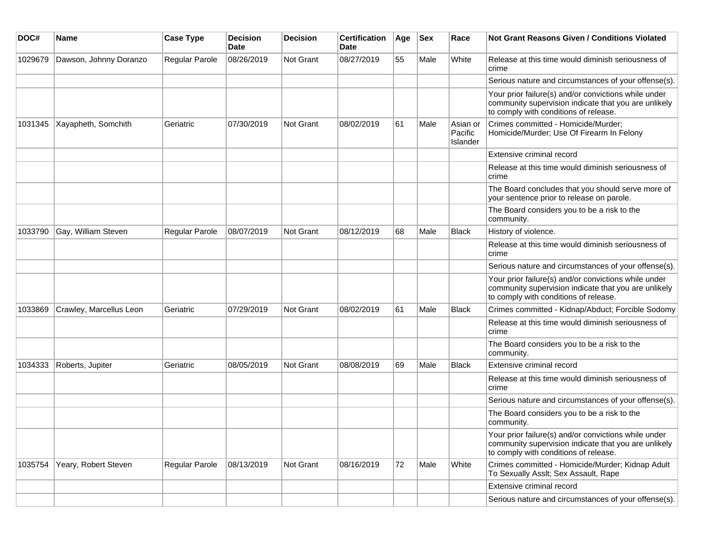| DOC#    | Name                    | <b>Case Type</b>      | <b>Decision</b><br>Date | Decision  | <b>Certification</b><br><b>Date</b> | Age | <b>Sex</b> | Race                            | <b>Not Grant Reasons Given / Conditions Violated</b>                                                                                                  |
|---------|-------------------------|-----------------------|-------------------------|-----------|-------------------------------------|-----|------------|---------------------------------|-------------------------------------------------------------------------------------------------------------------------------------------------------|
| 1029679 | Dawson, Johnny Doranzo  | Regular Parole        | 08/26/2019              | Not Grant | 08/27/2019                          | 55  | Male       | White                           | Release at this time would diminish seriousness of<br>crime                                                                                           |
|         |                         |                       |                         |           |                                     |     |            |                                 | Serious nature and circumstances of your offense(s).                                                                                                  |
|         |                         |                       |                         |           |                                     |     |            |                                 | Your prior failure(s) and/or convictions while under<br>community supervision indicate that you are unlikely<br>to comply with conditions of release. |
| 1031345 | Xayapheth, Somchith     | Geriatric             | 07/30/2019              | Not Grant | 08/02/2019                          | 61  | Male       | Asian or<br>Pacific<br>Islander | Crimes committed - Homicide/Murder;<br>Homicide/Murder; Use Of Firearm In Felony                                                                      |
|         |                         |                       |                         |           |                                     |     |            |                                 | Extensive criminal record                                                                                                                             |
|         |                         |                       |                         |           |                                     |     |            |                                 | Release at this time would diminish seriousness of<br>crime                                                                                           |
|         |                         |                       |                         |           |                                     |     |            |                                 | The Board concludes that you should serve more of<br>your sentence prior to release on parole.                                                        |
|         |                         |                       |                         |           |                                     |     |            |                                 | The Board considers you to be a risk to the<br>community.                                                                                             |
| 1033790 | Gay, William Steven     | Regular Parole        | 08/07/2019              | Not Grant | 08/12/2019                          | 68  | Male       | <b>Black</b>                    | History of violence.                                                                                                                                  |
|         |                         |                       |                         |           |                                     |     |            |                                 | Release at this time would diminish seriousness of<br>crime                                                                                           |
|         |                         |                       |                         |           |                                     |     |            |                                 | Serious nature and circumstances of your offense(s).                                                                                                  |
|         |                         |                       |                         |           |                                     |     |            |                                 | Your prior failure(s) and/or convictions while under<br>community supervision indicate that you are unlikely<br>to comply with conditions of release. |
| 1033869 | Crawley, Marcellus Leon | Geriatric             | 07/29/2019              | Not Grant | 08/02/2019                          | 61  | Male       | <b>Black</b>                    | Crimes committed - Kidnap/Abduct; Forcible Sodomy                                                                                                     |
|         |                         |                       |                         |           |                                     |     |            |                                 | Release at this time would diminish seriousness of<br>crime                                                                                           |
|         |                         |                       |                         |           |                                     |     |            |                                 | The Board considers you to be a risk to the<br>community.                                                                                             |
| 1034333 | Roberts, Jupiter        | Geriatric             | 08/05/2019              | Not Grant | 08/08/2019                          | 69  | Male       | <b>Black</b>                    | Extensive criminal record                                                                                                                             |
|         |                         |                       |                         |           |                                     |     |            |                                 | Release at this time would diminish seriousness of<br>crime                                                                                           |
|         |                         |                       |                         |           |                                     |     |            |                                 | Serious nature and circumstances of your offense(s).                                                                                                  |
|         |                         |                       |                         |           |                                     |     |            |                                 | The Board considers you to be a risk to the<br>community.                                                                                             |
|         |                         |                       |                         |           |                                     |     |            |                                 | Your prior failure(s) and/or convictions while under<br>community supervision indicate that you are unlikely<br>to comply with conditions of release. |
| 1035754 | Yeary, Robert Steven    | <b>Regular Parole</b> | 08/13/2019              | Not Grant | 08/16/2019                          | 72  | Male       | White                           | Crimes committed - Homicide/Murder; Kidnap Adult<br>To Sexually Asslt; Sex Assault, Rape                                                              |
|         |                         |                       |                         |           |                                     |     |            |                                 | Extensive criminal record                                                                                                                             |
|         |                         |                       |                         |           |                                     |     |            |                                 | Serious nature and circumstances of your offense(s).                                                                                                  |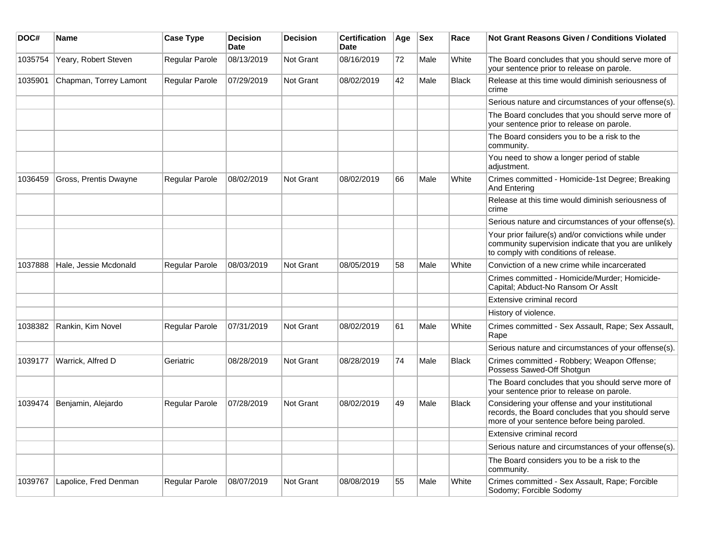| DOC#    | <b>Name</b>            | <b>Case Type</b> | <b>Decision</b><br><b>Date</b> | <b>Decision</b> | <b>Certification</b><br>Date | Age | <b>Sex</b> | Race         | Not Grant Reasons Given / Conditions Violated                                                                                                         |
|---------|------------------------|------------------|--------------------------------|-----------------|------------------------------|-----|------------|--------------|-------------------------------------------------------------------------------------------------------------------------------------------------------|
| 1035754 | Yeary, Robert Steven   | Regular Parole   | 08/13/2019                     | Not Grant       | 08/16/2019                   | 72  | Male       | White        | The Board concludes that you should serve more of<br>your sentence prior to release on parole.                                                        |
| 1035901 | Chapman, Torrey Lamont | Regular Parole   | 07/29/2019                     | Not Grant       | 08/02/2019                   | 42  | Male       | <b>Black</b> | Release at this time would diminish seriousness of<br>crime                                                                                           |
|         |                        |                  |                                |                 |                              |     |            |              | Serious nature and circumstances of your offense(s).                                                                                                  |
|         |                        |                  |                                |                 |                              |     |            |              | The Board concludes that you should serve more of<br>your sentence prior to release on parole.                                                        |
|         |                        |                  |                                |                 |                              |     |            |              | The Board considers you to be a risk to the<br>community.                                                                                             |
|         |                        |                  |                                |                 |                              |     |            |              | You need to show a longer period of stable<br>adjustment.                                                                                             |
| 1036459 | Gross, Prentis Dwayne  | Regular Parole   | 08/02/2019                     | Not Grant       | 08/02/2019                   | 66  | Male       | White        | Crimes committed - Homicide-1st Degree; Breaking<br>And Entering                                                                                      |
|         |                        |                  |                                |                 |                              |     |            |              | Release at this time would diminish seriousness of<br>crime                                                                                           |
|         |                        |                  |                                |                 |                              |     |            |              | Serious nature and circumstances of your offense(s).                                                                                                  |
|         |                        |                  |                                |                 |                              |     |            |              | Your prior failure(s) and/or convictions while under<br>community supervision indicate that you are unlikely<br>to comply with conditions of release. |
| 1037888 | Hale, Jessie Mcdonald  | Regular Parole   | 08/03/2019                     | Not Grant       | 08/05/2019                   | 58  | Male       | White        | Conviction of a new crime while incarcerated                                                                                                          |
|         |                        |                  |                                |                 |                              |     |            |              | Crimes committed - Homicide/Murder; Homicide-<br>Capital; Abduct-No Ransom Or Asslt                                                                   |
|         |                        |                  |                                |                 |                              |     |            |              | Extensive criminal record                                                                                                                             |
|         |                        |                  |                                |                 |                              |     |            |              | History of violence.                                                                                                                                  |
| 1038382 | Rankin, Kim Novel      | Regular Parole   | 07/31/2019                     | Not Grant       | 08/02/2019                   | 61  | Male       | White        | Crimes committed - Sex Assault, Rape; Sex Assault,<br>Rape                                                                                            |
|         |                        |                  |                                |                 |                              |     |            |              | Serious nature and circumstances of your offense(s).                                                                                                  |
| 1039177 | Warrick, Alfred D      | Geriatric        | 08/28/2019                     | Not Grant       | 08/28/2019                   | 74  | Male       | Black        | Crimes committed - Robbery; Weapon Offense;<br>Possess Sawed-Off Shotgun                                                                              |
|         |                        |                  |                                |                 |                              |     |            |              | The Board concludes that you should serve more of<br>your sentence prior to release on parole.                                                        |
| 1039474 | Benjamin, Alejardo     | Regular Parole   | 07/28/2019                     | Not Grant       | 08/02/2019                   | 49  | Male       | Black        | Considering your offense and your institutional<br>records, the Board concludes that you should serve<br>more of your sentence before being paroled.  |
|         |                        |                  |                                |                 |                              |     |            |              | Extensive criminal record                                                                                                                             |
|         |                        |                  |                                |                 |                              |     |            |              | Serious nature and circumstances of your offense(s).                                                                                                  |
|         |                        |                  |                                |                 |                              |     |            |              | The Board considers you to be a risk to the<br>community.                                                                                             |
| 1039767 | Lapolice, Fred Denman  | Regular Parole   | 08/07/2019                     | Not Grant       | 08/08/2019                   | 55  | Male       | White        | Crimes committed - Sex Assault, Rape; Forcible<br>Sodomy; Forcible Sodomy                                                                             |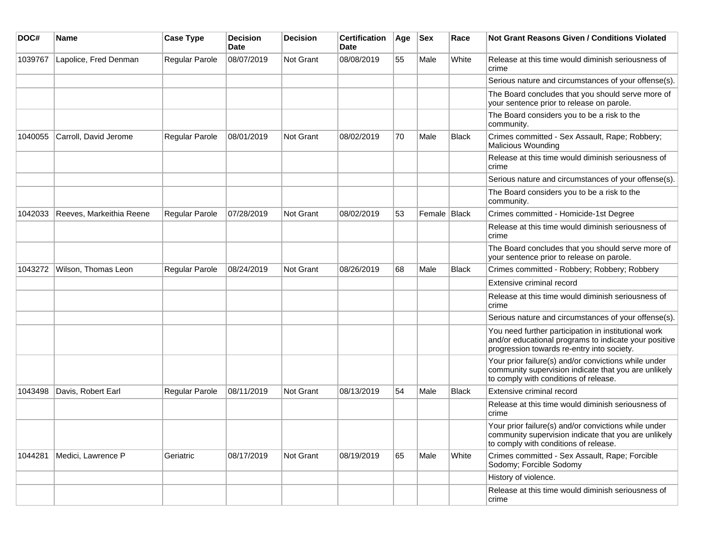| DOC#    | <b>Name</b>              | <b>Case Type</b>      | <b>Decision</b><br>Date | <b>Decision</b> | <b>Certification</b><br>Date | Age | <b>Sex</b>     | Race         | Not Grant Reasons Given / Conditions Violated                                                                                                               |
|---------|--------------------------|-----------------------|-------------------------|-----------------|------------------------------|-----|----------------|--------------|-------------------------------------------------------------------------------------------------------------------------------------------------------------|
| 1039767 | Lapolice, Fred Denman    | Regular Parole        | 08/07/2019              | Not Grant       | 08/08/2019                   | 55  | Male           | White        | Release at this time would diminish seriousness of<br>crime                                                                                                 |
|         |                          |                       |                         |                 |                              |     |                |              | Serious nature and circumstances of your offense(s).                                                                                                        |
|         |                          |                       |                         |                 |                              |     |                |              | The Board concludes that you should serve more of<br>your sentence prior to release on parole.                                                              |
|         |                          |                       |                         |                 |                              |     |                |              | The Board considers you to be a risk to the<br>community.                                                                                                   |
| 1040055 | Carroll, David Jerome    | Regular Parole        | 08/01/2019              | Not Grant       | 08/02/2019                   | 70  | Male           | <b>Black</b> | Crimes committed - Sex Assault, Rape; Robbery;<br><b>Malicious Wounding</b>                                                                                 |
|         |                          |                       |                         |                 |                              |     |                |              | Release at this time would diminish seriousness of<br>crime                                                                                                 |
|         |                          |                       |                         |                 |                              |     |                |              | Serious nature and circumstances of your offense(s).                                                                                                        |
|         |                          |                       |                         |                 |                              |     |                |              | The Board considers you to be a risk to the<br>community.                                                                                                   |
| 1042033 | Reeves, Markeithia Reene | <b>Regular Parole</b> | 07/28/2019              | Not Grant       | 08/02/2019                   | 53  | Female   Black |              | Crimes committed - Homicide-1st Degree                                                                                                                      |
|         |                          |                       |                         |                 |                              |     |                |              | Release at this time would diminish seriousness of<br>crime                                                                                                 |
|         |                          |                       |                         |                 |                              |     |                |              | The Board concludes that you should serve more of<br>your sentence prior to release on parole.                                                              |
| 1043272 | Wilson, Thomas Leon      | <b>Regular Parole</b> | 08/24/2019              | Not Grant       | 08/26/2019                   | 68  | Male           | Black        | Crimes committed - Robbery; Robbery; Robbery                                                                                                                |
|         |                          |                       |                         |                 |                              |     |                |              | Extensive criminal record                                                                                                                                   |
|         |                          |                       |                         |                 |                              |     |                |              | Release at this time would diminish seriousness of<br>crime                                                                                                 |
|         |                          |                       |                         |                 |                              |     |                |              | Serious nature and circumstances of your offense(s).                                                                                                        |
|         |                          |                       |                         |                 |                              |     |                |              | You need further participation in institutional work<br>and/or educational programs to indicate your positive<br>progression towards re-entry into society. |
|         |                          |                       |                         |                 |                              |     |                |              | Your prior failure(s) and/or convictions while under<br>community supervision indicate that you are unlikely<br>to comply with conditions of release.       |
| 1043498 | Davis, Robert Earl       | <b>Regular Parole</b> | 08/11/2019              | Not Grant       | 08/13/2019                   | 54  | Male           | <b>Black</b> | Extensive criminal record                                                                                                                                   |
|         |                          |                       |                         |                 |                              |     |                |              | Release at this time would diminish seriousness of<br>crime                                                                                                 |
|         |                          |                       |                         |                 |                              |     |                |              | Your prior failure(s) and/or convictions while under<br>community supervision indicate that you are unlikely<br>to comply with conditions of release.       |
| 1044281 | Medici, Lawrence P       | Geriatric             | 08/17/2019              | Not Grant       | 08/19/2019                   | 65  | Male           | White        | Crimes committed - Sex Assault, Rape; Forcible<br>Sodomy; Forcible Sodomy                                                                                   |
|         |                          |                       |                         |                 |                              |     |                |              | History of violence.                                                                                                                                        |
|         |                          |                       |                         |                 |                              |     |                |              | Release at this time would diminish seriousness of<br>crime                                                                                                 |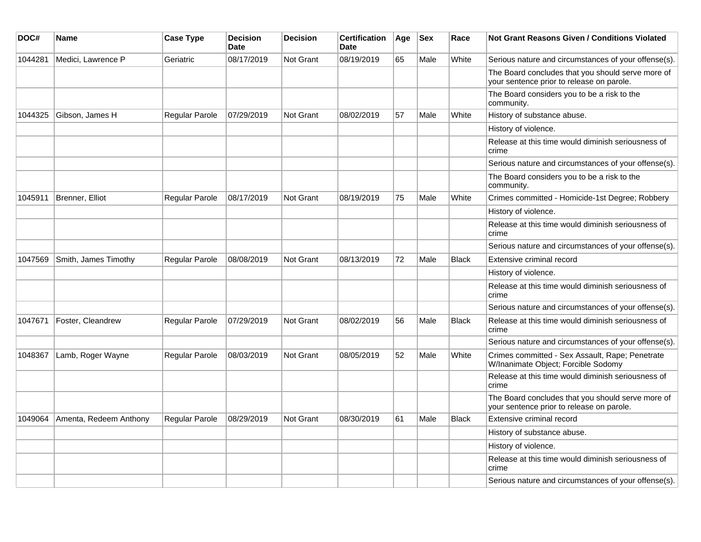| DOC#    | <b>Name</b>            | <b>Case Type</b>      | <b>Decision</b><br><b>Date</b> | <b>Decision</b>  | <b>Certification</b><br><b>Date</b> | Age | $ $ Sex | Race         | Not Grant Reasons Given / Conditions Violated                                                  |
|---------|------------------------|-----------------------|--------------------------------|------------------|-------------------------------------|-----|---------|--------------|------------------------------------------------------------------------------------------------|
| 1044281 | Medici, Lawrence P     | Geriatric             | 08/17/2019                     | <b>Not Grant</b> | 08/19/2019                          | 65  | Male    | White        | Serious nature and circumstances of your offense(s).                                           |
|         |                        |                       |                                |                  |                                     |     |         |              | The Board concludes that you should serve more of<br>your sentence prior to release on parole. |
|         |                        |                       |                                |                  |                                     |     |         |              | The Board considers you to be a risk to the<br>community.                                      |
| 1044325 | Gibson, James H        | Regular Parole        | 07/29/2019                     | Not Grant        | 08/02/2019                          | 57  | Male    | White        | History of substance abuse.                                                                    |
|         |                        |                       |                                |                  |                                     |     |         |              | History of violence.                                                                           |
|         |                        |                       |                                |                  |                                     |     |         |              | Release at this time would diminish seriousness of<br>crime                                    |
|         |                        |                       |                                |                  |                                     |     |         |              | Serious nature and circumstances of your offense(s).                                           |
|         |                        |                       |                                |                  |                                     |     |         |              | The Board considers you to be a risk to the<br>community.                                      |
| 1045911 | Brenner, Elliot        | <b>Regular Parole</b> | 08/17/2019                     | Not Grant        | 08/19/2019                          | 75  | Male    | White        | Crimes committed - Homicide-1st Degree; Robbery                                                |
|         |                        |                       |                                |                  |                                     |     |         |              | History of violence.                                                                           |
|         |                        |                       |                                |                  |                                     |     |         |              | Release at this time would diminish seriousness of<br>crime                                    |
|         |                        |                       |                                |                  |                                     |     |         |              | Serious nature and circumstances of your offense(s).                                           |
| 1047569 | Smith, James Timothy   | Regular Parole        | 08/08/2019                     | <b>Not Grant</b> | 08/13/2019                          | 72  | Male    | Black        | Extensive criminal record                                                                      |
|         |                        |                       |                                |                  |                                     |     |         |              | History of violence.                                                                           |
|         |                        |                       |                                |                  |                                     |     |         |              | Release at this time would diminish seriousness of<br>crime                                    |
|         |                        |                       |                                |                  |                                     |     |         |              | Serious nature and circumstances of your offense(s).                                           |
| 1047671 | Foster, Cleandrew      | Regular Parole        | 07/29/2019                     | <b>Not Grant</b> | 08/02/2019                          | 56  | Male    | <b>Black</b> | Release at this time would diminish seriousness of<br>crime                                    |
|         |                        |                       |                                |                  |                                     |     |         |              | Serious nature and circumstances of your offense(s).                                           |
| 1048367 | Lamb, Roger Wayne      | <b>Regular Parole</b> | 08/03/2019                     | Not Grant        | 08/05/2019                          | 52  | Male    | White        | Crimes committed - Sex Assault, Rape; Penetrate<br>W/Inanimate Object; Forcible Sodomy         |
|         |                        |                       |                                |                  |                                     |     |         |              | Release at this time would diminish seriousness of<br>crime                                    |
|         |                        |                       |                                |                  |                                     |     |         |              | The Board concludes that you should serve more of<br>your sentence prior to release on parole. |
| 1049064 | Amenta, Redeem Anthony | Regular Parole        | 08/29/2019                     | <b>Not Grant</b> | 08/30/2019                          | 61  | Male    | <b>Black</b> | Extensive criminal record                                                                      |
|         |                        |                       |                                |                  |                                     |     |         |              | History of substance abuse.                                                                    |
|         |                        |                       |                                |                  |                                     |     |         |              | History of violence.                                                                           |
|         |                        |                       |                                |                  |                                     |     |         |              | Release at this time would diminish seriousness of<br>crime                                    |
|         |                        |                       |                                |                  |                                     |     |         |              | Serious nature and circumstances of your offense(s).                                           |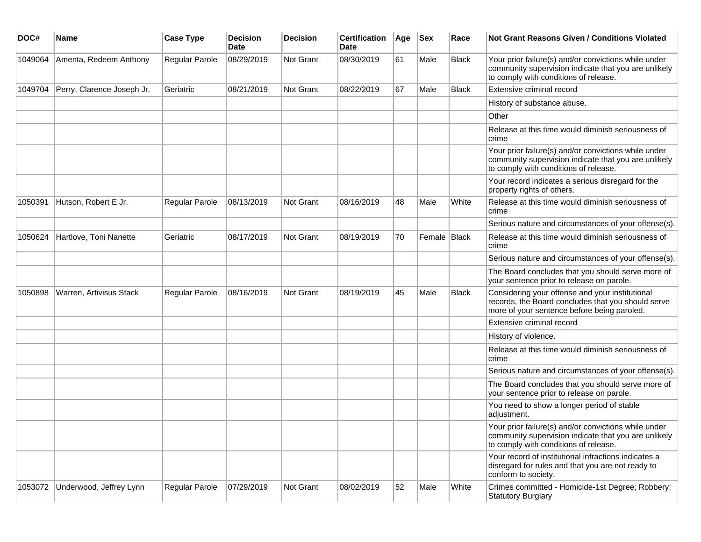| DOC#    | <b>Name</b>                | <b>Case Type</b> | <b>Decision</b><br><b>Date</b> | <b>Decision</b> | <b>Certification</b><br>Date | Age | <b>Sex</b>   | Race         | Not Grant Reasons Given / Conditions Violated                                                                                                         |
|---------|----------------------------|------------------|--------------------------------|-----------------|------------------------------|-----|--------------|--------------|-------------------------------------------------------------------------------------------------------------------------------------------------------|
| 1049064 | Amenta, Redeem Anthony     | Regular Parole   | 08/29/2019                     | Not Grant       | 08/30/2019                   | 61  | Male         | <b>Black</b> | Your prior failure(s) and/or convictions while under<br>community supervision indicate that you are unlikely<br>to comply with conditions of release. |
| 1049704 | Perry, Clarence Joseph Jr. | Geriatric        | 08/21/2019                     | Not Grant       | 08/22/2019                   | 67  | Male         | Black        | Extensive criminal record                                                                                                                             |
|         |                            |                  |                                |                 |                              |     |              |              | History of substance abuse.                                                                                                                           |
|         |                            |                  |                                |                 |                              |     |              |              | Other                                                                                                                                                 |
|         |                            |                  |                                |                 |                              |     |              |              | Release at this time would diminish seriousness of<br>crime                                                                                           |
|         |                            |                  |                                |                 |                              |     |              |              | Your prior failure(s) and/or convictions while under<br>community supervision indicate that you are unlikely<br>to comply with conditions of release. |
|         |                            |                  |                                |                 |                              |     |              |              | Your record indicates a serious disregard for the<br>property rights of others.                                                                       |
| 1050391 | Hutson, Robert E Jr.       | Regular Parole   | 08/13/2019                     | Not Grant       | 08/16/2019                   | 48  | Male         | White        | Release at this time would diminish seriousness of<br>crime                                                                                           |
|         |                            |                  |                                |                 |                              |     |              |              | Serious nature and circumstances of your offense(s).                                                                                                  |
| 1050624 | Hartlove, Toni Nanette     | Geriatric        | 08/17/2019                     | Not Grant       | 08/19/2019                   | 70  | Female Black |              | Release at this time would diminish seriousness of<br>crime                                                                                           |
|         |                            |                  |                                |                 |                              |     |              |              | Serious nature and circumstances of your offense(s).                                                                                                  |
|         |                            |                  |                                |                 |                              |     |              |              | The Board concludes that you should serve more of<br>your sentence prior to release on parole.                                                        |
| 1050898 | Warren, Artivisus Stack    | Regular Parole   | 08/16/2019                     | Not Grant       | 08/19/2019                   | 45  | Male         | <b>Black</b> | Considering your offense and your institutional<br>records, the Board concludes that you should serve<br>more of your sentence before being paroled.  |
|         |                            |                  |                                |                 |                              |     |              |              | Extensive criminal record                                                                                                                             |
|         |                            |                  |                                |                 |                              |     |              |              | History of violence.                                                                                                                                  |
|         |                            |                  |                                |                 |                              |     |              |              | Release at this time would diminish seriousness of<br>crime                                                                                           |
|         |                            |                  |                                |                 |                              |     |              |              | Serious nature and circumstances of your offense(s).                                                                                                  |
|         |                            |                  |                                |                 |                              |     |              |              | The Board concludes that you should serve more of<br>your sentence prior to release on parole.                                                        |
|         |                            |                  |                                |                 |                              |     |              |              | You need to show a longer period of stable<br>adjustment.                                                                                             |
|         |                            |                  |                                |                 |                              |     |              |              | Your prior failure(s) and/or convictions while under<br>community supervision indicate that you are unlikely<br>to comply with conditions of release. |
|         |                            |                  |                                |                 |                              |     |              |              | Your record of institutional infractions indicates a<br>disregard for rules and that you are not ready to<br>conform to society.                      |
| 1053072 | Underwood, Jeffrey Lynn    | Regular Parole   | 07/29/2019                     | Not Grant       | 08/02/2019                   | 52  | Male         | White        | Crimes committed - Homicide-1st Degree; Robbery;<br><b>Statutory Burglary</b>                                                                         |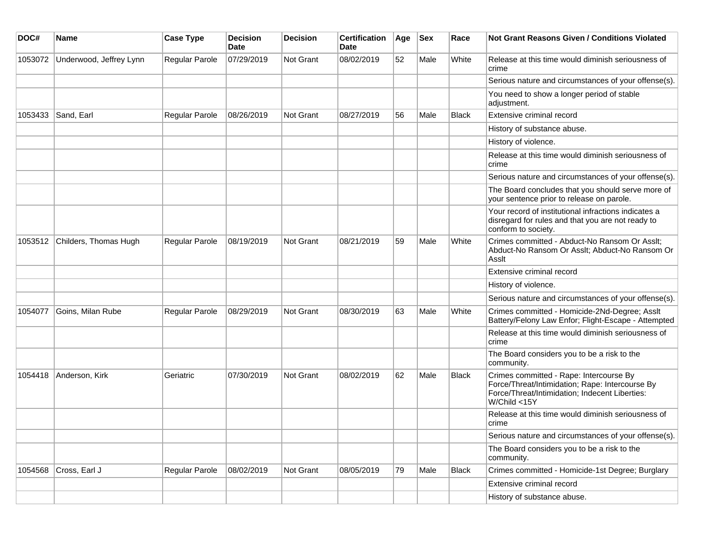| DOC#    | Name                    | <b>Case Type</b> | <b>Decision</b><br>Date | <b>Decision</b> | <b>Certification</b><br>Date | Age | <b>Sex</b> | Race         | Not Grant Reasons Given / Conditions Violated                                                                                                                |
|---------|-------------------------|------------------|-------------------------|-----------------|------------------------------|-----|------------|--------------|--------------------------------------------------------------------------------------------------------------------------------------------------------------|
| 1053072 | Underwood, Jeffrey Lynn | Regular Parole   | 07/29/2019              | Not Grant       | 08/02/2019                   | 52  | Male       | White        | Release at this time would diminish seriousness of<br>crime                                                                                                  |
|         |                         |                  |                         |                 |                              |     |            |              | Serious nature and circumstances of your offense(s).                                                                                                         |
|         |                         |                  |                         |                 |                              |     |            |              | You need to show a longer period of stable<br>adjustment.                                                                                                    |
| 1053433 | Sand, Earl              | Regular Parole   | 08/26/2019              | Not Grant       | 08/27/2019                   | 56  | Male       | <b>Black</b> | Extensive criminal record                                                                                                                                    |
|         |                         |                  |                         |                 |                              |     |            |              | History of substance abuse.                                                                                                                                  |
|         |                         |                  |                         |                 |                              |     |            |              | History of violence.                                                                                                                                         |
|         |                         |                  |                         |                 |                              |     |            |              | Release at this time would diminish seriousness of<br>crime                                                                                                  |
|         |                         |                  |                         |                 |                              |     |            |              | Serious nature and circumstances of your offense(s).                                                                                                         |
|         |                         |                  |                         |                 |                              |     |            |              | The Board concludes that you should serve more of<br>your sentence prior to release on parole.                                                               |
|         |                         |                  |                         |                 |                              |     |            |              | Your record of institutional infractions indicates a<br>disregard for rules and that you are not ready to<br>conform to society.                             |
| 1053512 | Childers, Thomas Hugh   | Regular Parole   | 08/19/2019              | Not Grant       | 08/21/2019                   | 59  | Male       | White        | Crimes committed - Abduct-No Ransom Or Asslt;<br>Abduct-No Ransom Or Asslt; Abduct-No Ransom Or<br>Asslt                                                     |
|         |                         |                  |                         |                 |                              |     |            |              | Extensive criminal record                                                                                                                                    |
|         |                         |                  |                         |                 |                              |     |            |              | History of violence.                                                                                                                                         |
|         |                         |                  |                         |                 |                              |     |            |              | Serious nature and circumstances of your offense(s).                                                                                                         |
| 1054077 | Goins, Milan Rube       | Regular Parole   | 08/29/2019              | Not Grant       | 08/30/2019                   | 63  | Male       | White        | Crimes committed - Homicide-2Nd-Degree; Asslt<br>Battery/Felony Law Enfor; Flight-Escape - Attempted                                                         |
|         |                         |                  |                         |                 |                              |     |            |              | Release at this time would diminish seriousness of<br>crime                                                                                                  |
|         |                         |                  |                         |                 |                              |     |            |              | The Board considers you to be a risk to the<br>community.                                                                                                    |
| 1054418 | Anderson, Kirk          | Geriatric        | 07/30/2019              | Not Grant       | 08/02/2019                   | 62  | Male       | <b>Black</b> | Crimes committed - Rape: Intercourse By<br>Force/Threat/Intimidation; Rape: Intercourse By<br>Force/Threat/Intimidation; Indecent Liberties:<br>W/Child <15Y |
|         |                         |                  |                         |                 |                              |     |            |              | Release at this time would diminish seriousness of<br>crime                                                                                                  |
|         |                         |                  |                         |                 |                              |     |            |              | Serious nature and circumstances of your offense(s).                                                                                                         |
|         |                         |                  |                         |                 |                              |     |            |              | The Board considers you to be a risk to the<br>community.                                                                                                    |
| 1054568 | Cross, Earl J           | Regular Parole   | 08/02/2019              | Not Grant       | 08/05/2019                   | 79  | Male       | <b>Black</b> | Crimes committed - Homicide-1st Degree; Burglary                                                                                                             |
|         |                         |                  |                         |                 |                              |     |            |              | Extensive criminal record                                                                                                                                    |
|         |                         |                  |                         |                 |                              |     |            |              | History of substance abuse.                                                                                                                                  |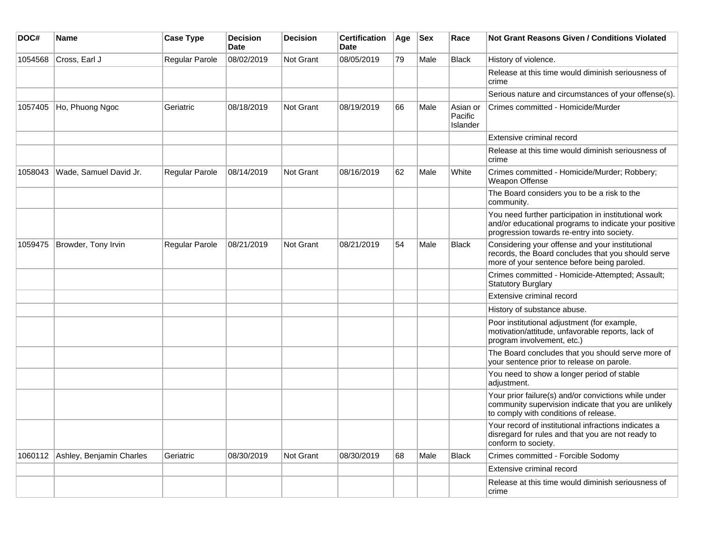| DOC#    | <b>Name</b>              | <b>Case Type</b>      | <b>Decision</b><br><b>Date</b> | <b>Decision</b>  | <b>Certification</b><br>Date | Age | <b>Sex</b> | Race                            | <b>Not Grant Reasons Given / Conditions Violated</b>                                                                                                        |
|---------|--------------------------|-----------------------|--------------------------------|------------------|------------------------------|-----|------------|---------------------------------|-------------------------------------------------------------------------------------------------------------------------------------------------------------|
| 1054568 | Cross, Earl J            | Regular Parole        | 08/02/2019                     | <b>Not Grant</b> | 08/05/2019                   | 79  | Male       | Black                           | History of violence.                                                                                                                                        |
|         |                          |                       |                                |                  |                              |     |            |                                 | Release at this time would diminish seriousness of<br>crime                                                                                                 |
|         |                          |                       |                                |                  |                              |     |            |                                 | Serious nature and circumstances of your offense(s).                                                                                                        |
| 1057405 | Ho, Phuong Ngoc          | Geriatric             | 08/18/2019                     | Not Grant        | 08/19/2019                   | 66  | Male       | Asian or<br>Pacific<br>Islander | Crimes committed - Homicide/Murder                                                                                                                          |
|         |                          |                       |                                |                  |                              |     |            |                                 | Extensive criminal record                                                                                                                                   |
|         |                          |                       |                                |                  |                              |     |            |                                 | Release at this time would diminish seriousness of<br>crime                                                                                                 |
| 1058043 | Wade, Samuel David Jr.   | <b>Regular Parole</b> | 08/14/2019                     | <b>Not Grant</b> | 08/16/2019                   | 62  | Male       | White                           | Crimes committed - Homicide/Murder; Robbery;<br>Weapon Offense                                                                                              |
|         |                          |                       |                                |                  |                              |     |            |                                 | The Board considers you to be a risk to the<br>community.                                                                                                   |
|         |                          |                       |                                |                  |                              |     |            |                                 | You need further participation in institutional work<br>and/or educational programs to indicate your positive<br>progression towards re-entry into society. |
| 1059475 | Browder, Tony Irvin      | Regular Parole        | 08/21/2019                     | Not Grant        | 08/21/2019                   | 54  | Male       | Black                           | Considering your offense and your institutional<br>records, the Board concludes that you should serve<br>more of your sentence before being paroled.        |
|         |                          |                       |                                |                  |                              |     |            |                                 | Crimes committed - Homicide-Attempted; Assault;<br>Statutory Burglary                                                                                       |
|         |                          |                       |                                |                  |                              |     |            |                                 | Extensive criminal record                                                                                                                                   |
|         |                          |                       |                                |                  |                              |     |            |                                 | History of substance abuse.                                                                                                                                 |
|         |                          |                       |                                |                  |                              |     |            |                                 | Poor institutional adjustment (for example,<br>motivation/attitude, unfavorable reports, lack of<br>program involvement, etc.)                              |
|         |                          |                       |                                |                  |                              |     |            |                                 | The Board concludes that you should serve more of<br>your sentence prior to release on parole.                                                              |
|         |                          |                       |                                |                  |                              |     |            |                                 | You need to show a longer period of stable<br>adjustment.                                                                                                   |
|         |                          |                       |                                |                  |                              |     |            |                                 | Your prior failure(s) and/or convictions while under<br>community supervision indicate that you are unlikely<br>to comply with conditions of release.       |
|         |                          |                       |                                |                  |                              |     |            |                                 | Your record of institutional infractions indicates a<br>disregard for rules and that you are not ready to<br>conform to society.                            |
| 1060112 | Ashley, Benjamin Charles | Geriatric             | 08/30/2019                     | Not Grant        | 08/30/2019                   | 68  | Male       | Black                           | Crimes committed - Forcible Sodomy                                                                                                                          |
|         |                          |                       |                                |                  |                              |     |            |                                 | Extensive criminal record                                                                                                                                   |
|         |                          |                       |                                |                  |                              |     |            |                                 | Release at this time would diminish seriousness of<br>crime                                                                                                 |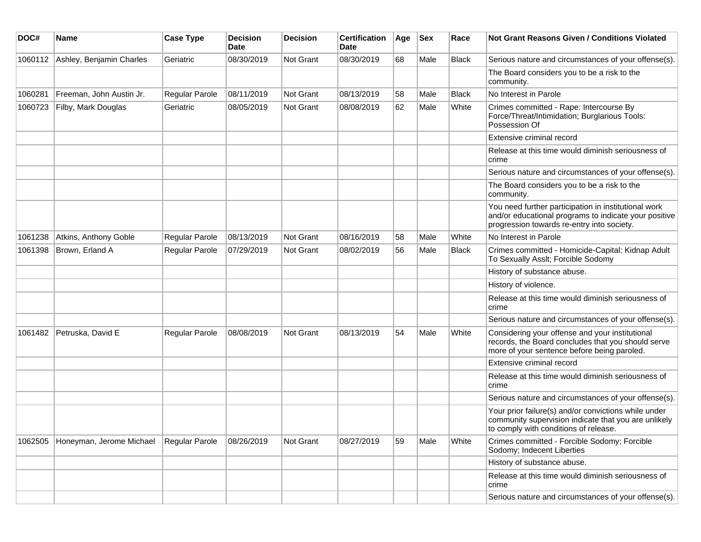| DOC#    | <b>Name</b>              | <b>Case Type</b> | <b>Decision</b><br>Date | <b>Decision</b>  | <b>Certification</b><br>Date | Age | <b>Sex</b> | Race         | <b>Not Grant Reasons Given / Conditions Violated</b>                                                                                                        |
|---------|--------------------------|------------------|-------------------------|------------------|------------------------------|-----|------------|--------------|-------------------------------------------------------------------------------------------------------------------------------------------------------------|
| 1060112 | Ashley, Benjamin Charles | Geriatric        | 08/30/2019              | <b>Not Grant</b> | 08/30/2019                   | 68  | Male       | Black        | Serious nature and circumstances of your offense(s).                                                                                                        |
|         |                          |                  |                         |                  |                              |     |            |              | The Board considers you to be a risk to the<br>community.                                                                                                   |
| 1060281 | Freeman, John Austin Jr. | Regular Parole   | 08/11/2019              | Not Grant        | 08/13/2019                   | 58  | Male       | <b>Black</b> | No Interest in Parole                                                                                                                                       |
| 1060723 | Filby, Mark Douglas      | Geriatric        | 08/05/2019              | Not Grant        | 08/08/2019                   | 62  | Male       | White        | Crimes committed - Rape: Intercourse By<br>Force/Threat/Intimidation; Burglarious Tools:<br>Possession Of                                                   |
|         |                          |                  |                         |                  |                              |     |            |              | Extensive criminal record                                                                                                                                   |
|         |                          |                  |                         |                  |                              |     |            |              | Release at this time would diminish seriousness of<br>crime                                                                                                 |
|         |                          |                  |                         |                  |                              |     |            |              | Serious nature and circumstances of your offense(s).                                                                                                        |
|         |                          |                  |                         |                  |                              |     |            |              | The Board considers you to be a risk to the<br>community.                                                                                                   |
|         |                          |                  |                         |                  |                              |     |            |              | You need further participation in institutional work<br>and/or educational programs to indicate your positive<br>progression towards re-entry into society. |
| 1061238 | Atkins, Anthony Goble    | Regular Parole   | 08/13/2019              | <b>Not Grant</b> | 08/16/2019                   | 58  | Male       | White        | No Interest in Parole                                                                                                                                       |
| 1061398 | Brown, Erland A          | Regular Parole   | 07/29/2019              | <b>Not Grant</b> | 08/02/2019                   | 56  | Male       | <b>Black</b> | Crimes committed - Homicide-Capital; Kidnap Adult<br>To Sexually Asslt; Forcible Sodomy                                                                     |
|         |                          |                  |                         |                  |                              |     |            |              | History of substance abuse.                                                                                                                                 |
|         |                          |                  |                         |                  |                              |     |            |              | History of violence.                                                                                                                                        |
|         |                          |                  |                         |                  |                              |     |            |              | Release at this time would diminish seriousness of<br>crime                                                                                                 |
|         |                          |                  |                         |                  |                              |     |            |              | Serious nature and circumstances of your offense(s).                                                                                                        |
| 1061482 | Petruska, David E        | Regular Parole   | 08/08/2019              | Not Grant        | 08/13/2019                   | 54  | Male       | White        | Considering your offense and your institutional<br>records, the Board concludes that you should serve<br>more of your sentence before being paroled.        |
|         |                          |                  |                         |                  |                              |     |            |              | Extensive criminal record                                                                                                                                   |
|         |                          |                  |                         |                  |                              |     |            |              | Release at this time would diminish seriousness of<br>crime                                                                                                 |
|         |                          |                  |                         |                  |                              |     |            |              | Serious nature and circumstances of your offense(s).                                                                                                        |
|         |                          |                  |                         |                  |                              |     |            |              | Your prior failure(s) and/or convictions while under<br>community supervision indicate that you are unlikely<br>to comply with conditions of release.       |
| 1062505 | Honeyman, Jerome Michael | Regular Parole   | 08/26/2019              | Not Grant        | 08/27/2019                   | 59  | Male       | White        | Crimes committed - Forcible Sodomy; Forcible<br>Sodomy; Indecent Liberties                                                                                  |
|         |                          |                  |                         |                  |                              |     |            |              | History of substance abuse.                                                                                                                                 |
|         |                          |                  |                         |                  |                              |     |            |              | Release at this time would diminish seriousness of<br>crime                                                                                                 |
|         |                          |                  |                         |                  |                              |     |            |              | Serious nature and circumstances of your offense(s).                                                                                                        |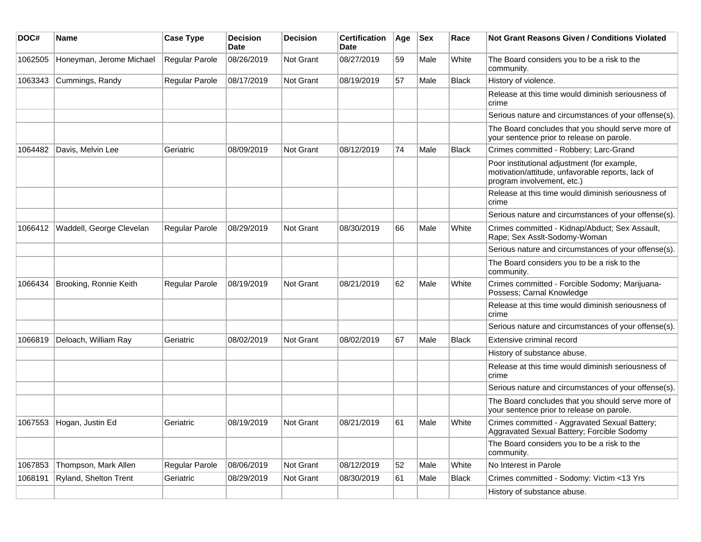| DOC#    | <b>Name</b>              | <b>Case Type</b> | <b>Decision</b><br>Date | <b>Decision</b> | <b>Certification</b><br>Date | Age | Sex  | Race         | <b>Not Grant Reasons Given / Conditions Violated</b>                                                                           |
|---------|--------------------------|------------------|-------------------------|-----------------|------------------------------|-----|------|--------------|--------------------------------------------------------------------------------------------------------------------------------|
| 1062505 | Honeyman, Jerome Michael | Regular Parole   | 08/26/2019              | Not Grant       | 08/27/2019                   | 59  | Male | White        | The Board considers you to be a risk to the<br>community.                                                                      |
| 1063343 | Cummings, Randy          | Regular Parole   | 08/17/2019              | Not Grant       | 08/19/2019                   | 57  | Male | <b>Black</b> | History of violence.                                                                                                           |
|         |                          |                  |                         |                 |                              |     |      |              | Release at this time would diminish seriousness of<br>crime                                                                    |
|         |                          |                  |                         |                 |                              |     |      |              | Serious nature and circumstances of your offense(s).                                                                           |
|         |                          |                  |                         |                 |                              |     |      |              | The Board concludes that you should serve more of<br>your sentence prior to release on parole.                                 |
| 1064482 | Davis, Melvin Lee        | Geriatric        | 08/09/2019              | Not Grant       | 08/12/2019                   | 74  | Male | <b>Black</b> | Crimes committed - Robbery; Larc-Grand                                                                                         |
|         |                          |                  |                         |                 |                              |     |      |              | Poor institutional adjustment (for example,<br>motivation/attitude, unfavorable reports, lack of<br>program involvement, etc.) |
|         |                          |                  |                         |                 |                              |     |      |              | Release at this time would diminish seriousness of<br>crime                                                                    |
|         |                          |                  |                         |                 |                              |     |      |              | Serious nature and circumstances of your offense(s).                                                                           |
| 1066412 | Waddell, George Clevelan | Regular Parole   | 08/29/2019              | Not Grant       | 08/30/2019                   | 66  | Male | White        | Crimes committed - Kidnap/Abduct; Sex Assault,<br>Rape; Sex Asslt-Sodomy-Woman                                                 |
|         |                          |                  |                         |                 |                              |     |      |              | Serious nature and circumstances of your offense(s).                                                                           |
|         |                          |                  |                         |                 |                              |     |      |              | The Board considers you to be a risk to the<br>community.                                                                      |
| 1066434 | Brooking, Ronnie Keith   | Regular Parole   | 08/19/2019              | Not Grant       | 08/21/2019                   | 62  | Male | White        | Crimes committed - Forcible Sodomy; Marijuana-<br>Possess; Carnal Knowledge                                                    |
|         |                          |                  |                         |                 |                              |     |      |              | Release at this time would diminish seriousness of<br>crime                                                                    |
|         |                          |                  |                         |                 |                              |     |      |              | Serious nature and circumstances of your offense(s).                                                                           |
| 1066819 | Deloach, William Ray     | Geriatric        | 08/02/2019              | Not Grant       | 08/02/2019                   | 67  | Male | Black        | Extensive criminal record                                                                                                      |
|         |                          |                  |                         |                 |                              |     |      |              | History of substance abuse.                                                                                                    |
|         |                          |                  |                         |                 |                              |     |      |              | Release at this time would diminish seriousness of<br>crime                                                                    |
|         |                          |                  |                         |                 |                              |     |      |              | Serious nature and circumstances of your offense(s).                                                                           |
|         |                          |                  |                         |                 |                              |     |      |              | The Board concludes that you should serve more of<br>your sentence prior to release on parole.                                 |
| 1067553 | Hogan, Justin Ed         | Geriatric        | 08/19/2019              | Not Grant       | 08/21/2019                   | 61  | Male | White        | Crimes committed - Aggravated Sexual Battery;<br>Aggravated Sexual Battery; Forcible Sodomy                                    |
|         |                          |                  |                         |                 |                              |     |      |              | The Board considers you to be a risk to the<br>community.                                                                      |
| 1067853 | Thompson, Mark Allen     | Regular Parole   | 08/06/2019              | Not Grant       | 08/12/2019                   | 52  | Male | White        | No Interest in Parole                                                                                                          |
| 1068191 | Ryland, Shelton Trent    | Geriatric        | 08/29/2019              | Not Grant       | 08/30/2019                   | 61  | Male | <b>Black</b> | Crimes committed - Sodomy: Victim <13 Yrs                                                                                      |
|         |                          |                  |                         |                 |                              |     |      |              | History of substance abuse.                                                                                                    |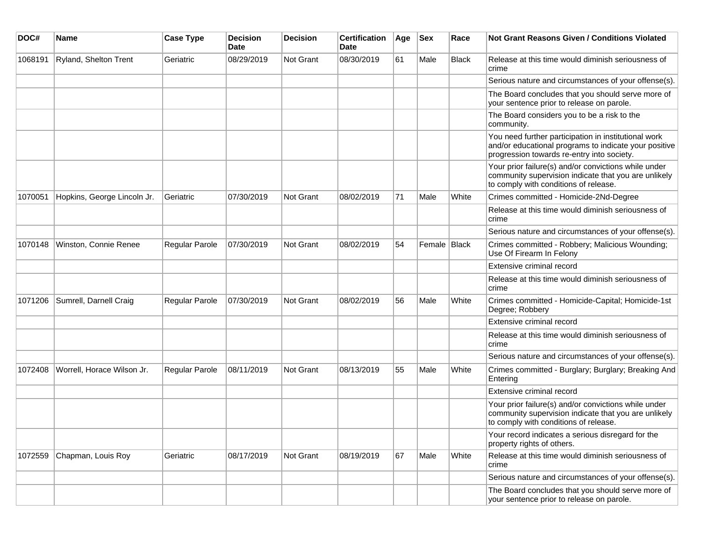| DOC#    | <b>Name</b>                 | <b>Case Type</b>      | <b>Decision</b><br><b>Date</b> | Decision  | <b>Certification</b><br><b>Date</b> | Age | <b>Sex</b>     | Race  | Not Grant Reasons Given / Conditions Violated                                                                                                               |
|---------|-----------------------------|-----------------------|--------------------------------|-----------|-------------------------------------|-----|----------------|-------|-------------------------------------------------------------------------------------------------------------------------------------------------------------|
| 1068191 | Ryland, Shelton Trent       | Geriatric             | 08/29/2019                     | Not Grant | 08/30/2019                          | 61  | Male           | Black | Release at this time would diminish seriousness of<br>crime                                                                                                 |
|         |                             |                       |                                |           |                                     |     |                |       | Serious nature and circumstances of your offense(s).                                                                                                        |
|         |                             |                       |                                |           |                                     |     |                |       | The Board concludes that you should serve more of<br>your sentence prior to release on parole.                                                              |
|         |                             |                       |                                |           |                                     |     |                |       | The Board considers you to be a risk to the<br>community.                                                                                                   |
|         |                             |                       |                                |           |                                     |     |                |       | You need further participation in institutional work<br>and/or educational programs to indicate your positive<br>progression towards re-entry into society. |
|         |                             |                       |                                |           |                                     |     |                |       | Your prior failure(s) and/or convictions while under<br>community supervision indicate that you are unlikely<br>to comply with conditions of release.       |
| 1070051 | Hopkins, George Lincoln Jr. | Geriatric             | 07/30/2019                     | Not Grant | 08/02/2019                          | 71  | Male           | White | Crimes committed - Homicide-2Nd-Degree                                                                                                                      |
|         |                             |                       |                                |           |                                     |     |                |       | Release at this time would diminish seriousness of<br>crime                                                                                                 |
|         |                             |                       |                                |           |                                     |     |                |       | Serious nature and circumstances of your offense(s).                                                                                                        |
| 1070148 | Winston, Connie Renee       | <b>Regular Parole</b> | 07/30/2019                     | Not Grant | 08/02/2019                          | 54  | Female   Black |       | Crimes committed - Robbery; Malicious Wounding;<br>Use Of Firearm In Felony                                                                                 |
|         |                             |                       |                                |           |                                     |     |                |       | Extensive criminal record                                                                                                                                   |
|         |                             |                       |                                |           |                                     |     |                |       | Release at this time would diminish seriousness of<br>crime                                                                                                 |
| 1071206 | Sumrell, Darnell Craig      | Regular Parole        | 07/30/2019                     | Not Grant | 08/02/2019                          | 56  | Male           | White | Crimes committed - Homicide-Capital; Homicide-1st<br>Degree; Robbery                                                                                        |
|         |                             |                       |                                |           |                                     |     |                |       | Extensive criminal record                                                                                                                                   |
|         |                             |                       |                                |           |                                     |     |                |       | Release at this time would diminish seriousness of<br>crime                                                                                                 |
|         |                             |                       |                                |           |                                     |     |                |       | Serious nature and circumstances of your offense(s).                                                                                                        |
| 1072408 | Worrell, Horace Wilson Jr.  | <b>Regular Parole</b> | 08/11/2019                     | Not Grant | 08/13/2019                          | 55  | Male           | White | Crimes committed - Burglary; Burglary; Breaking And<br>Entering                                                                                             |
|         |                             |                       |                                |           |                                     |     |                |       | Extensive criminal record                                                                                                                                   |
|         |                             |                       |                                |           |                                     |     |                |       | Your prior failure(s) and/or convictions while under<br>community supervision indicate that you are unlikely<br>to comply with conditions of release.       |
|         |                             |                       |                                |           |                                     |     |                |       | Your record indicates a serious disregard for the<br>property rights of others.                                                                             |
| 1072559 | Chapman, Louis Roy          | Geriatric             | 08/17/2019                     | Not Grant | 08/19/2019                          | 67  | Male           | White | Release at this time would diminish seriousness of<br>crime                                                                                                 |
|         |                             |                       |                                |           |                                     |     |                |       | Serious nature and circumstances of your offense(s).                                                                                                        |
|         |                             |                       |                                |           |                                     |     |                |       | The Board concludes that you should serve more of<br>your sentence prior to release on parole.                                                              |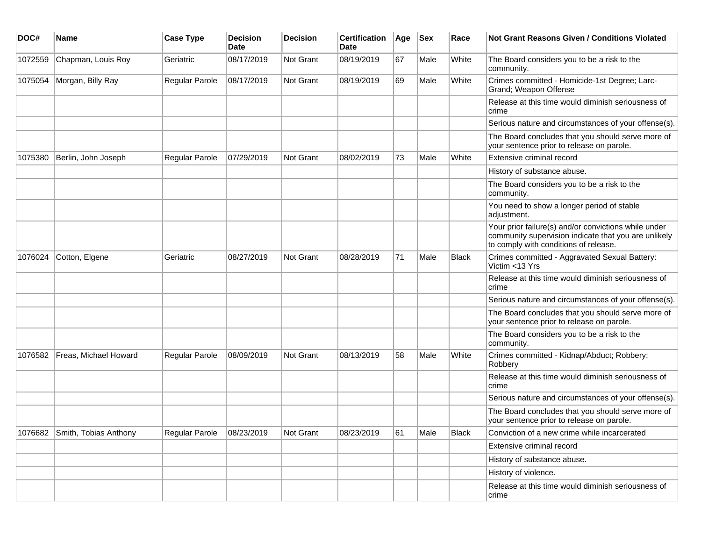| DOC#    | <b>Name</b>           | <b>Case Type</b> | <b>Decision</b><br><b>Date</b> | <b>Decision</b> | <b>Certification</b><br>Date | Age | <b>Sex</b> | Race         | <b>Not Grant Reasons Given / Conditions Violated</b>                                                                                                  |
|---------|-----------------------|------------------|--------------------------------|-----------------|------------------------------|-----|------------|--------------|-------------------------------------------------------------------------------------------------------------------------------------------------------|
| 1072559 | Chapman, Louis Roy    | Geriatric        | 08/17/2019                     | Not Grant       | 08/19/2019                   | 67  | Male       | White        | The Board considers you to be a risk to the<br>community.                                                                                             |
| 1075054 | Morgan, Billy Ray     | Regular Parole   | 08/17/2019                     | Not Grant       | 08/19/2019                   | 69  | Male       | White        | Crimes committed - Homicide-1st Degree; Larc-<br>Grand; Weapon Offense                                                                                |
|         |                       |                  |                                |                 |                              |     |            |              | Release at this time would diminish seriousness of<br>crime                                                                                           |
|         |                       |                  |                                |                 |                              |     |            |              | Serious nature and circumstances of your offense(s).                                                                                                  |
|         |                       |                  |                                |                 |                              |     |            |              | The Board concludes that you should serve more of<br>your sentence prior to release on parole.                                                        |
| 1075380 | Berlin, John Joseph   | Regular Parole   | 07/29/2019                     | Not Grant       | 08/02/2019                   | 73  | Male       | White        | Extensive criminal record                                                                                                                             |
|         |                       |                  |                                |                 |                              |     |            |              | History of substance abuse.                                                                                                                           |
|         |                       |                  |                                |                 |                              |     |            |              | The Board considers you to be a risk to the<br>community.                                                                                             |
|         |                       |                  |                                |                 |                              |     |            |              | You need to show a longer period of stable<br>adjustment.                                                                                             |
|         |                       |                  |                                |                 |                              |     |            |              | Your prior failure(s) and/or convictions while under<br>community supervision indicate that you are unlikely<br>to comply with conditions of release. |
| 1076024 | Cotton, Elgene        | Geriatric        | 08/27/2019                     | Not Grant       | 08/28/2019                   | 71  | Male       | <b>Black</b> | Crimes committed - Aggravated Sexual Battery:<br>Victim <13 Yrs                                                                                       |
|         |                       |                  |                                |                 |                              |     |            |              | Release at this time would diminish seriousness of<br>crime                                                                                           |
|         |                       |                  |                                |                 |                              |     |            |              | Serious nature and circumstances of your offense(s).                                                                                                  |
|         |                       |                  |                                |                 |                              |     |            |              | The Board concludes that you should serve more of<br>your sentence prior to release on parole.                                                        |
|         |                       |                  |                                |                 |                              |     |            |              | The Board considers you to be a risk to the<br>community.                                                                                             |
| 1076582 | Freas, Michael Howard | Regular Parole   | 08/09/2019                     | Not Grant       | 08/13/2019                   | 58  | Male       | White        | Crimes committed - Kidnap/Abduct; Robbery;<br>Robbery                                                                                                 |
|         |                       |                  |                                |                 |                              |     |            |              | Release at this time would diminish seriousness of<br>crime                                                                                           |
|         |                       |                  |                                |                 |                              |     |            |              | Serious nature and circumstances of your offense(s).                                                                                                  |
|         |                       |                  |                                |                 |                              |     |            |              | The Board concludes that you should serve more of<br>your sentence prior to release on parole.                                                        |
| 1076682 | Smith, Tobias Anthony | Regular Parole   | 08/23/2019                     | Not Grant       | 08/23/2019                   | 61  | Male       | <b>Black</b> | Conviction of a new crime while incarcerated                                                                                                          |
|         |                       |                  |                                |                 |                              |     |            |              | Extensive criminal record                                                                                                                             |
|         |                       |                  |                                |                 |                              |     |            |              | History of substance abuse.                                                                                                                           |
|         |                       |                  |                                |                 |                              |     |            |              | History of violence.                                                                                                                                  |
|         |                       |                  |                                |                 |                              |     |            |              | Release at this time would diminish seriousness of<br>crime                                                                                           |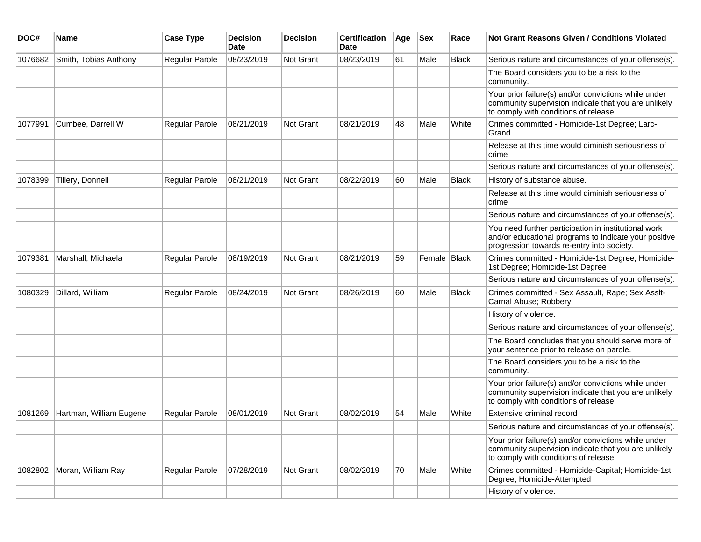| DOC#    | <b>Name</b>                | <b>Case Type</b> | <b>Decision</b><br>Date | <b>Decision</b>  | <b>Certification</b><br>Date | Age | <b>Sex</b>   | Race         | Not Grant Reasons Given / Conditions Violated                                                                                                               |
|---------|----------------------------|------------------|-------------------------|------------------|------------------------------|-----|--------------|--------------|-------------------------------------------------------------------------------------------------------------------------------------------------------------|
| 1076682 | Smith, Tobias Anthony      | Regular Parole   | 08/23/2019              | <b>Not Grant</b> | 08/23/2019                   | 61  | Male         | <b>Black</b> | Serious nature and circumstances of your offense(s).                                                                                                        |
|         |                            |                  |                         |                  |                              |     |              |              | The Board considers you to be a risk to the<br>community.                                                                                                   |
|         |                            |                  |                         |                  |                              |     |              |              | Your prior failure(s) and/or convictions while under<br>community supervision indicate that you are unlikely<br>to comply with conditions of release.       |
| 1077991 | Cumbee, Darrell W          | Regular Parole   | 08/21/2019              | <b>Not Grant</b> | 08/21/2019                   | 48  | Male         | White        | Crimes committed - Homicide-1st Degree; Larc-<br>Grand                                                                                                      |
|         |                            |                  |                         |                  |                              |     |              |              | Release at this time would diminish seriousness of<br>crime                                                                                                 |
|         |                            |                  |                         |                  |                              |     |              |              | Serious nature and circumstances of your offense(s).                                                                                                        |
| 1078399 | Tillery, Donnell           | Regular Parole   | 08/21/2019              | <b>Not Grant</b> | 08/22/2019                   | 60  | Male         | <b>Black</b> | History of substance abuse.                                                                                                                                 |
|         |                            |                  |                         |                  |                              |     |              |              | Release at this time would diminish seriousness of<br>crime                                                                                                 |
|         |                            |                  |                         |                  |                              |     |              |              | Serious nature and circumstances of your offense(s).                                                                                                        |
|         |                            |                  |                         |                  |                              |     |              |              | You need further participation in institutional work<br>and/or educational programs to indicate your positive<br>progression towards re-entry into society. |
| 1079381 | Marshall, Michaela         | Regular Parole   | 08/19/2019              | <b>Not Grant</b> | 08/21/2019                   | 59  | Female Black |              | Crimes committed - Homicide-1st Degree; Homicide-<br>1st Degree; Homicide-1st Degree                                                                        |
|         |                            |                  |                         |                  |                              |     |              |              | Serious nature and circumstances of your offense(s).                                                                                                        |
| 1080329 | Dillard, William           | Regular Parole   | 08/24/2019              | Not Grant        | 08/26/2019                   | 60  | Male         | <b>Black</b> | Crimes committed - Sex Assault, Rape; Sex Asslt-<br>Carnal Abuse; Robbery                                                                                   |
|         |                            |                  |                         |                  |                              |     |              |              | History of violence.                                                                                                                                        |
|         |                            |                  |                         |                  |                              |     |              |              | Serious nature and circumstances of your offense(s).                                                                                                        |
|         |                            |                  |                         |                  |                              |     |              |              | The Board concludes that you should serve more of<br>your sentence prior to release on parole.                                                              |
|         |                            |                  |                         |                  |                              |     |              |              | The Board considers you to be a risk to the<br>community.                                                                                                   |
|         |                            |                  |                         |                  |                              |     |              |              | Your prior failure(s) and/or convictions while under<br>community supervision indicate that you are unlikely<br>to comply with conditions of release.       |
| 1081269 | Hartman, William Eugene    | Regular Parole   | 08/01/2019              | <b>Not Grant</b> | 08/02/2019                   | 54  | Male         | White        | Extensive criminal record                                                                                                                                   |
|         |                            |                  |                         |                  |                              |     |              |              | Serious nature and circumstances of your offense(s).                                                                                                        |
|         |                            |                  |                         |                  |                              |     |              |              | Your prior failure(s) and/or convictions while under<br>community supervision indicate that you are unlikely<br>to comply with conditions of release.       |
|         | 1082802 Moran, William Ray | Regular Parole   | 07/28/2019              | Not Grant        | 08/02/2019                   | 70  | Male         | White        | Crimes committed - Homicide-Capital; Homicide-1st<br>Degree; Homicide-Attempted                                                                             |
|         |                            |                  |                         |                  |                              |     |              |              | History of violence.                                                                                                                                        |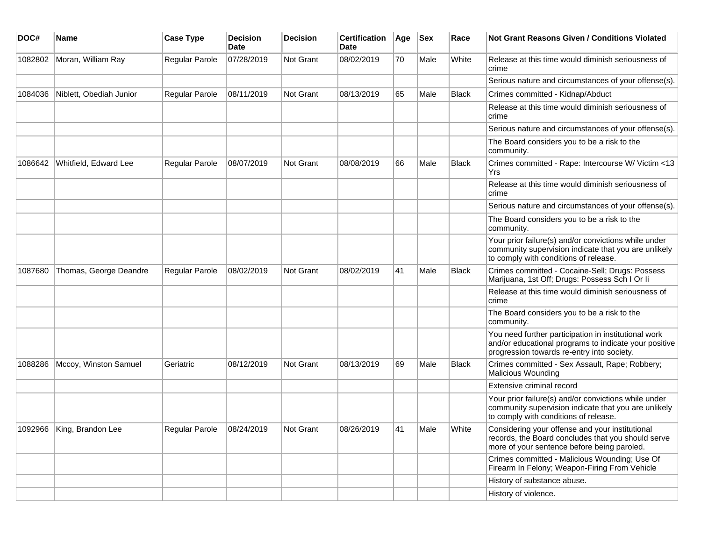| DOC#    | Name                        | <b>Case Type</b>          | <b>Decision</b><br>Date | <b>Decision</b> | <b>Certification</b><br>Date | Age | <b>Sex</b> | Race         | Not Grant Reasons Given / Conditions Violated                                                                                                               |
|---------|-----------------------------|---------------------------|-------------------------|-----------------|------------------------------|-----|------------|--------------|-------------------------------------------------------------------------------------------------------------------------------------------------------------|
| 1082802 | Moran, William Ray          | Regular Parole            | 07/28/2019              | Not Grant       | 08/02/2019                   | 70  | Male       | White        | Release at this time would diminish seriousness of<br>crime                                                                                                 |
|         |                             |                           |                         |                 |                              |     |            |              | Serious nature and circumstances of your offense(s).                                                                                                        |
| 1084036 | Niblett, Obediah Junior     | <b>Regular Parole</b>     | 08/11/2019              | Not Grant       | 08/13/2019                   | 65  | Male       | <b>Black</b> | Crimes committed - Kidnap/Abduct                                                                                                                            |
|         |                             |                           |                         |                 |                              |     |            |              | Release at this time would diminish seriousness of<br>crime                                                                                                 |
|         |                             |                           |                         |                 |                              |     |            |              | Serious nature and circumstances of your offense(s).                                                                                                        |
|         |                             |                           |                         |                 |                              |     |            |              | The Board considers you to be a risk to the<br>community.                                                                                                   |
| 1086642 | Whitfield, Edward Lee       | <b>Regular Parole</b>     | 08/07/2019              | Not Grant       | 08/08/2019                   | 66  | Male       | <b>Black</b> | Crimes committed - Rape: Intercourse W/ Victim <13<br>Yrs                                                                                                   |
|         |                             |                           |                         |                 |                              |     |            |              | Release at this time would diminish seriousness of<br>crime                                                                                                 |
|         |                             |                           |                         |                 |                              |     |            |              | Serious nature and circumstances of your offense(s).                                                                                                        |
|         |                             |                           |                         |                 |                              |     |            |              | The Board considers you to be a risk to the<br>community.                                                                                                   |
|         |                             |                           |                         |                 |                              |     |            |              | Your prior failure(s) and/or convictions while under<br>community supervision indicate that you are unlikely<br>to comply with conditions of release.       |
| 1087680 | Thomas, George Deandre      | <b>Regular Parole</b>     | 08/02/2019              | Not Grant       | 08/02/2019                   | 41  | Male       | <b>Black</b> | Crimes committed - Cocaine-Sell; Drugs: Possess<br>Marijuana, 1st Off; Drugs: Possess Sch I Or li                                                           |
|         |                             |                           |                         |                 |                              |     |            |              | Release at this time would diminish seriousness of<br>crime                                                                                                 |
|         |                             |                           |                         |                 |                              |     |            |              | The Board considers you to be a risk to the<br>community.                                                                                                   |
|         |                             |                           |                         |                 |                              |     |            |              | You need further participation in institutional work<br>and/or educational programs to indicate your positive<br>progression towards re-entry into society. |
| 1088286 | Mccoy, Winston Samuel       | Geriatric                 | 08/12/2019              | Not Grant       | 08/13/2019                   | 69  | Male       | <b>Black</b> | Crimes committed - Sex Assault, Rape; Robbery;<br>Malicious Wounding                                                                                        |
|         |                             |                           |                         |                 |                              |     |            |              | <b>Extensive criminal record</b>                                                                                                                            |
|         |                             |                           |                         |                 |                              |     |            |              | Your prior failure(s) and/or convictions while under<br>community supervision indicate that you are unlikely<br>to comply with conditions of release.       |
|         | 1092966   King, Brandon Lee | Regular Parole 08/24/2019 |                         | Not Grant       | 08/26/2019                   | 41  | Male       | White        | Considering your offense and your institutional<br>records, the Board concludes that you should serve<br>more of your sentence before being paroled.        |
|         |                             |                           |                         |                 |                              |     |            |              | Crimes committed - Malicious Wounding; Use Of<br>Firearm In Felony; Weapon-Firing From Vehicle                                                              |
|         |                             |                           |                         |                 |                              |     |            |              | History of substance abuse.                                                                                                                                 |
|         |                             |                           |                         |                 |                              |     |            |              | History of violence.                                                                                                                                        |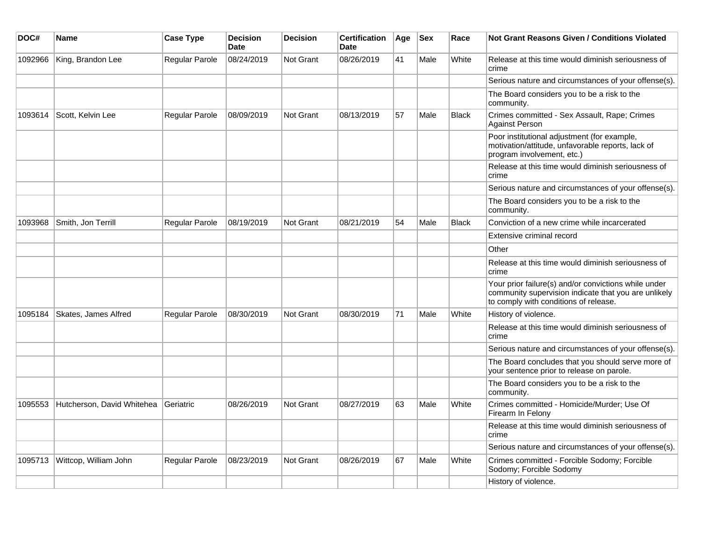| DOC#    | Name                       | <b>Case Type</b>      | <b>Decision</b><br><b>Date</b> | <b>Decision</b>  | <b>Certification</b><br><b>Date</b> | Age | $ $ Sex | Race         | Not Grant Reasons Given / Conditions Violated                                                                                                         |
|---------|----------------------------|-----------------------|--------------------------------|------------------|-------------------------------------|-----|---------|--------------|-------------------------------------------------------------------------------------------------------------------------------------------------------|
| 1092966 | King, Brandon Lee          | Regular Parole        | 08/24/2019                     | Not Grant        | 08/26/2019                          | 41  | Male    | White        | Release at this time would diminish seriousness of<br>crime                                                                                           |
|         |                            |                       |                                |                  |                                     |     |         |              | Serious nature and circumstances of your offense(s).                                                                                                  |
|         |                            |                       |                                |                  |                                     |     |         |              | The Board considers you to be a risk to the<br>community.                                                                                             |
| 1093614 | Scott, Kelvin Lee          | <b>Regular Parole</b> | 08/09/2019                     | Not Grant        | 08/13/2019                          | 57  | Male    | <b>Black</b> | Crimes committed - Sex Assault, Rape; Crimes<br><b>Against Person</b>                                                                                 |
|         |                            |                       |                                |                  |                                     |     |         |              | Poor institutional adjustment (for example,<br>motivation/attitude, unfavorable reports, lack of<br>program involvement, etc.)                        |
|         |                            |                       |                                |                  |                                     |     |         |              | Release at this time would diminish seriousness of<br>crime                                                                                           |
|         |                            |                       |                                |                  |                                     |     |         |              | Serious nature and circumstances of your offense(s).                                                                                                  |
|         |                            |                       |                                |                  |                                     |     |         |              | The Board considers you to be a risk to the<br>community.                                                                                             |
| 1093968 | Smith, Jon Terrill         | <b>Regular Parole</b> | 08/19/2019                     | <b>Not Grant</b> | 08/21/2019                          | 54  | Male    | <b>Black</b> | Conviction of a new crime while incarcerated                                                                                                          |
|         |                            |                       |                                |                  |                                     |     |         |              | Extensive criminal record                                                                                                                             |
|         |                            |                       |                                |                  |                                     |     |         |              | Other                                                                                                                                                 |
|         |                            |                       |                                |                  |                                     |     |         |              | Release at this time would diminish seriousness of<br>crime                                                                                           |
|         |                            |                       |                                |                  |                                     |     |         |              | Your prior failure(s) and/or convictions while under<br>community supervision indicate that you are unlikely<br>to comply with conditions of release. |
| 1095184 | Skates, James Alfred       | <b>Regular Parole</b> | 08/30/2019                     | <b>Not Grant</b> | 08/30/2019                          | 71  | Male    | White        | History of violence.                                                                                                                                  |
|         |                            |                       |                                |                  |                                     |     |         |              | Release at this time would diminish seriousness of<br>crime                                                                                           |
|         |                            |                       |                                |                  |                                     |     |         |              | Serious nature and circumstances of your offense(s).                                                                                                  |
|         |                            |                       |                                |                  |                                     |     |         |              | The Board concludes that you should serve more of<br>your sentence prior to release on parole.                                                        |
|         |                            |                       |                                |                  |                                     |     |         |              | The Board considers you to be a risk to the<br>community.                                                                                             |
| 1095553 | Hutcherson, David Whitehea | Geriatric             | 08/26/2019                     | Not Grant        | 08/27/2019                          | 63  | Male    | White        | Crimes committed - Homicide/Murder; Use Of<br>Firearm In Felony                                                                                       |
|         |                            |                       |                                |                  |                                     |     |         |              | Release at this time would diminish seriousness of<br>crime                                                                                           |
|         |                            |                       |                                |                  |                                     |     |         |              | Serious nature and circumstances of your offense(s).                                                                                                  |
| 1095713 | Wittcop, William John      | <b>Regular Parole</b> | 08/23/2019                     | <b>Not Grant</b> | 08/26/2019                          | 67  | Male    | White        | Crimes committed - Forcible Sodomy; Forcible<br>Sodomy; Forcible Sodomy                                                                               |
|         |                            |                       |                                |                  |                                     |     |         |              | History of violence.                                                                                                                                  |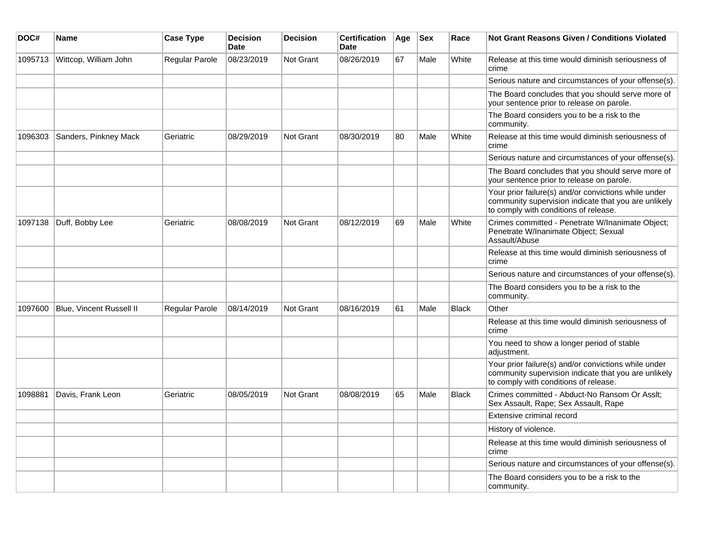| DOC#    | Name                     | <b>Case Type</b> | <b>Decision</b><br><b>Date</b> | <b>Decision</b>  | <b>Certification</b><br><b>Date</b> | Age | <b>Sex</b> | Race         | <b>Not Grant Reasons Given / Conditions Violated</b>                                                                                                  |
|---------|--------------------------|------------------|--------------------------------|------------------|-------------------------------------|-----|------------|--------------|-------------------------------------------------------------------------------------------------------------------------------------------------------|
| 1095713 | Wittcop, William John    | Regular Parole   | 08/23/2019                     | Not Grant        | 08/26/2019                          | 67  | Male       | White        | Release at this time would diminish seriousness of<br>crime                                                                                           |
|         |                          |                  |                                |                  |                                     |     |            |              | Serious nature and circumstances of your offense(s).                                                                                                  |
|         |                          |                  |                                |                  |                                     |     |            |              | The Board concludes that you should serve more of<br>your sentence prior to release on parole.                                                        |
|         |                          |                  |                                |                  |                                     |     |            |              | The Board considers you to be a risk to the<br>community.                                                                                             |
| 1096303 | Sanders, Pinkney Mack    | Geriatric        | 08/29/2019                     | <b>Not Grant</b> | 08/30/2019                          | 80  | Male       | White        | Release at this time would diminish seriousness of<br>crime                                                                                           |
|         |                          |                  |                                |                  |                                     |     |            |              | Serious nature and circumstances of your offense(s).                                                                                                  |
|         |                          |                  |                                |                  |                                     |     |            |              | The Board concludes that you should serve more of<br>your sentence prior to release on parole.                                                        |
|         |                          |                  |                                |                  |                                     |     |            |              | Your prior failure(s) and/or convictions while under<br>community supervision indicate that you are unlikely<br>to comply with conditions of release. |
| 1097138 | Duff, Bobby Lee          | Geriatric        | 08/08/2019                     | Not Grant        | 08/12/2019                          | 69  | Male       | White        | Crimes committed - Penetrate W/Inanimate Object;<br>Penetrate W/Inanimate Object; Sexual<br>Assault/Abuse                                             |
|         |                          |                  |                                |                  |                                     |     |            |              | Release at this time would diminish seriousness of<br>crime                                                                                           |
|         |                          |                  |                                |                  |                                     |     |            |              | Serious nature and circumstances of your offense(s).                                                                                                  |
|         |                          |                  |                                |                  |                                     |     |            |              | The Board considers you to be a risk to the<br>community.                                                                                             |
| 1097600 | Blue, Vincent Russell II | Regular Parole   | 08/14/2019                     | Not Grant        | 08/16/2019                          | 61  | Male       | <b>Black</b> | Other                                                                                                                                                 |
|         |                          |                  |                                |                  |                                     |     |            |              | Release at this time would diminish seriousness of<br>crime                                                                                           |
|         |                          |                  |                                |                  |                                     |     |            |              | You need to show a longer period of stable<br>adjustment.                                                                                             |
|         |                          |                  |                                |                  |                                     |     |            |              | Your prior failure(s) and/or convictions while under<br>community supervision indicate that you are unlikely<br>to comply with conditions of release. |
| 1098881 | Davis, Frank Leon        | Geriatric        | 08/05/2019                     | Not Grant        | 08/08/2019                          | 65  | Male       | <b>Black</b> | Crimes committed - Abduct-No Ransom Or Asslt;<br>Sex Assault, Rape; Sex Assault, Rape                                                                 |
|         |                          |                  |                                |                  |                                     |     |            |              | Extensive criminal record                                                                                                                             |
|         |                          |                  |                                |                  |                                     |     |            |              | History of violence.                                                                                                                                  |
|         |                          |                  |                                |                  |                                     |     |            |              | Release at this time would diminish seriousness of<br>crime                                                                                           |
|         |                          |                  |                                |                  |                                     |     |            |              | Serious nature and circumstances of your offense(s).                                                                                                  |
|         |                          |                  |                                |                  |                                     |     |            |              | The Board considers you to be a risk to the<br>community.                                                                                             |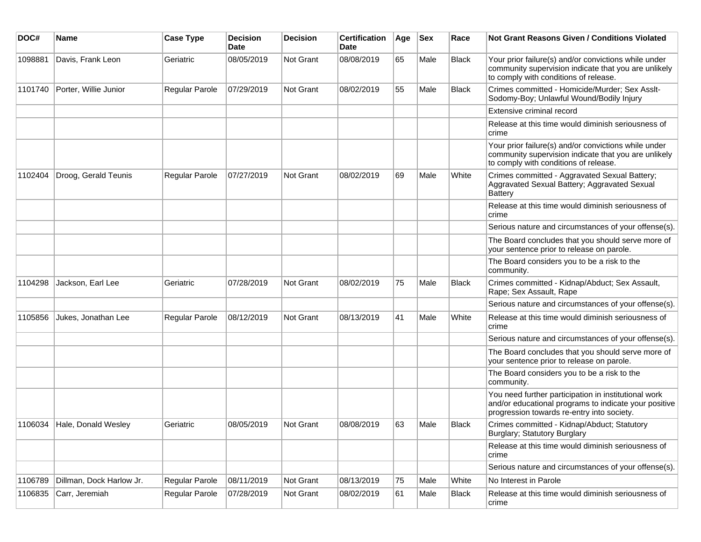| DOC#    | <b>Name</b>                 | <b>Case Type</b>      | <b>Decision</b><br><b>Date</b> | <b>Decision</b>  | <b>Certification</b><br>Date | Age | <b>Sex</b> | Race         | <b>Not Grant Reasons Given / Conditions Violated</b>                                                                                                        |
|---------|-----------------------------|-----------------------|--------------------------------|------------------|------------------------------|-----|------------|--------------|-------------------------------------------------------------------------------------------------------------------------------------------------------------|
| 1098881 | Davis, Frank Leon           | Geriatric             | 08/05/2019                     | <b>Not Grant</b> | 08/08/2019                   | 65  | Male       | <b>Black</b> | Your prior failure(s) and/or convictions while under<br>community supervision indicate that you are unlikely<br>to comply with conditions of release.       |
| 1101740 | Porter, Willie Junior       | Regular Parole        | 07/29/2019                     | Not Grant        | 08/02/2019                   | 55  | Male       | <b>Black</b> | Crimes committed - Homicide/Murder; Sex Asslt-<br>Sodomy-Boy; Unlawful Wound/Bodily Injury                                                                  |
|         |                             |                       |                                |                  |                              |     |            |              | Extensive criminal record                                                                                                                                   |
|         |                             |                       |                                |                  |                              |     |            |              | Release at this time would diminish seriousness of<br>crime                                                                                                 |
|         |                             |                       |                                |                  |                              |     |            |              | Your prior failure(s) and/or convictions while under<br>community supervision indicate that you are unlikely<br>to comply with conditions of release.       |
| 1102404 | Droog, Gerald Teunis        | Regular Parole        | 07/27/2019                     | Not Grant        | 08/02/2019                   | 69  | Male       | White        | Crimes committed - Aggravated Sexual Battery;<br>Aggravated Sexual Battery; Aggravated Sexual<br>Battery                                                    |
|         |                             |                       |                                |                  |                              |     |            |              | Release at this time would diminish seriousness of<br>crime                                                                                                 |
|         |                             |                       |                                |                  |                              |     |            |              | Serious nature and circumstances of your offense(s).                                                                                                        |
|         |                             |                       |                                |                  |                              |     |            |              | The Board concludes that you should serve more of<br>your sentence prior to release on parole.                                                              |
|         |                             |                       |                                |                  |                              |     |            |              | The Board considers you to be a risk to the<br>community.                                                                                                   |
| 1104298 | Jackson, Earl Lee           | Geriatric             | 07/28/2019                     | Not Grant        | 08/02/2019                   | 75  | Male       | <b>Black</b> | Crimes committed - Kidnap/Abduct; Sex Assault,<br>Rape; Sex Assault, Rape                                                                                   |
|         |                             |                       |                                |                  |                              |     |            |              | Serious nature and circumstances of your offense(s).                                                                                                        |
| 1105856 | Jukes, Jonathan Lee         | <b>Regular Parole</b> | 08/12/2019                     | Not Grant        | 08/13/2019                   | 41  | Male       | White        | Release at this time would diminish seriousness of<br>crime                                                                                                 |
|         |                             |                       |                                |                  |                              |     |            |              | Serious nature and circumstances of your offense(s).                                                                                                        |
|         |                             |                       |                                |                  |                              |     |            |              | The Board concludes that you should serve more of<br>your sentence prior to release on parole.                                                              |
|         |                             |                       |                                |                  |                              |     |            |              | The Board considers you to be a risk to the<br>community.                                                                                                   |
|         |                             |                       |                                |                  |                              |     |            |              | You need further participation in institutional work<br>and/or educational programs to indicate your positive<br>progression towards re-entry into society. |
|         | 1106034 Hale, Donald Wesley | Geriatric             | 08/05/2019                     | <b>Not Grant</b> | 08/08/2019                   | 63  | Male       | <b>Black</b> | Crimes committed - Kidnap/Abduct; Statutory<br>Burglary; Statutory Burglary                                                                                 |
|         |                             |                       |                                |                  |                              |     |            |              | Release at this time would diminish seriousness of<br>crime                                                                                                 |
|         |                             |                       |                                |                  |                              |     |            |              | Serious nature and circumstances of your offense(s).                                                                                                        |
| 1106789 | Dillman, Dock Harlow Jr.    | Regular Parole        | 08/11/2019                     | Not Grant        | 08/13/2019                   | 75  | Male       | White        | No Interest in Parole                                                                                                                                       |
| 1106835 | Carr, Jeremiah              | Regular Parole        | 07/28/2019                     | Not Grant        | 08/02/2019                   | 61  | Male       | <b>Black</b> | Release at this time would diminish seriousness of<br>crime                                                                                                 |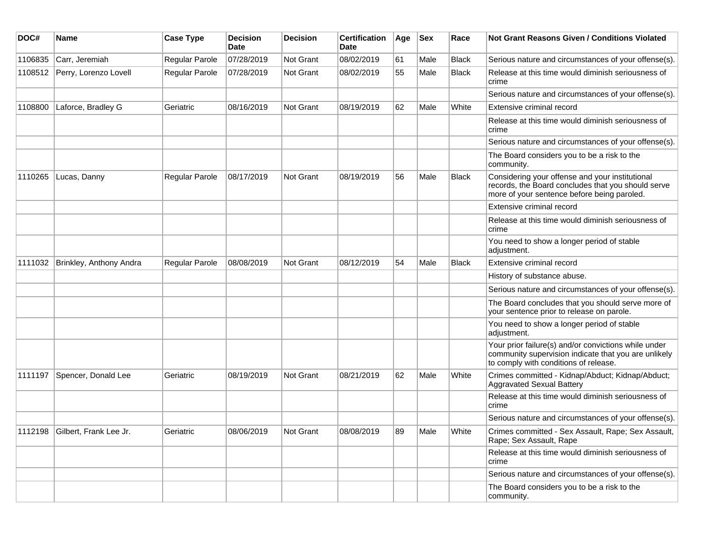| DOC#    | <b>Name</b>                    | <b>Case Type</b>      | <b>Decision</b><br><b>Date</b> | <b>Decision</b>  | <b>Certification</b><br>Date | Age | <b>Sex</b> | Race         | <b>Not Grant Reasons Given / Conditions Violated</b>                                                                                                  |
|---------|--------------------------------|-----------------------|--------------------------------|------------------|------------------------------|-----|------------|--------------|-------------------------------------------------------------------------------------------------------------------------------------------------------|
| 1106835 | Carr, Jeremiah                 | Regular Parole        | 07/28/2019                     | <b>Not Grant</b> | 08/02/2019                   | 61  | Male       | <b>Black</b> | Serious nature and circumstances of your offense(s).                                                                                                  |
| 1108512 | Perry, Lorenzo Lovell          | Regular Parole        | 07/28/2019                     | <b>Not Grant</b> | 08/02/2019                   | 55  | Male       | <b>Black</b> | Release at this time would diminish seriousness of<br>crime                                                                                           |
|         |                                |                       |                                |                  |                              |     |            |              | Serious nature and circumstances of your offense(s).                                                                                                  |
| 1108800 | Laforce, Bradley G             | Geriatric             | 08/16/2019                     | <b>Not Grant</b> | 08/19/2019                   | 62  | Male       | White        | Extensive criminal record                                                                                                                             |
|         |                                |                       |                                |                  |                              |     |            |              | Release at this time would diminish seriousness of<br>crime                                                                                           |
|         |                                |                       |                                |                  |                              |     |            |              | Serious nature and circumstances of your offense(s).                                                                                                  |
|         |                                |                       |                                |                  |                              |     |            |              | The Board considers you to be a risk to the<br>community.                                                                                             |
| 1110265 | Lucas, Danny                   | <b>Regular Parole</b> | 08/17/2019                     | Not Grant        | 08/19/2019                   | 56  | Male       | <b>Black</b> | Considering your offense and your institutional<br>records, the Board concludes that you should serve<br>more of your sentence before being paroled.  |
|         |                                |                       |                                |                  |                              |     |            |              | Extensive criminal record                                                                                                                             |
|         |                                |                       |                                |                  |                              |     |            |              | Release at this time would diminish seriousness of<br>crime                                                                                           |
|         |                                |                       |                                |                  |                              |     |            |              | You need to show a longer period of stable<br>adjustment.                                                                                             |
| 1111032 | Brinkley, Anthony Andra        | Regular Parole        | 08/08/2019                     | Not Grant        | 08/12/2019                   | 54  | Male       | <b>Black</b> | Extensive criminal record                                                                                                                             |
|         |                                |                       |                                |                  |                              |     |            |              | History of substance abuse.                                                                                                                           |
|         |                                |                       |                                |                  |                              |     |            |              | Serious nature and circumstances of your offense(s).                                                                                                  |
|         |                                |                       |                                |                  |                              |     |            |              | The Board concludes that you should serve more of<br>your sentence prior to release on parole.                                                        |
|         |                                |                       |                                |                  |                              |     |            |              | You need to show a longer period of stable<br>adjustment.                                                                                             |
|         |                                |                       |                                |                  |                              |     |            |              | Your prior failure(s) and/or convictions while under<br>community supervision indicate that you are unlikely<br>to comply with conditions of release. |
| 1111197 | Spencer, Donald Lee            | Geriatric             | 08/19/2019                     | <b>Not Grant</b> | 08/21/2019                   | 62  | Male       | White        | Crimes committed - Kidnap/Abduct; Kidnap/Abduct;<br>Aggravated Sexual Battery                                                                         |
|         |                                |                       |                                |                  |                              |     |            |              | Release at this time would diminish seriousness of<br>crime                                                                                           |
|         |                                |                       |                                |                  |                              |     |            |              | Serious nature and circumstances of your offense(s).                                                                                                  |
|         | 1112198 Gilbert, Frank Lee Jr. | Geriatric             | 08/06/2019                     | Not Grant        | 08/08/2019                   | 89  | Male       | White        | Crimes committed - Sex Assault, Rape; Sex Assault,<br>Rape; Sex Assault, Rape                                                                         |
|         |                                |                       |                                |                  |                              |     |            |              | Release at this time would diminish seriousness of<br>crime                                                                                           |
|         |                                |                       |                                |                  |                              |     |            |              | Serious nature and circumstances of your offense(s).                                                                                                  |
|         |                                |                       |                                |                  |                              |     |            |              | The Board considers you to be a risk to the<br>community.                                                                                             |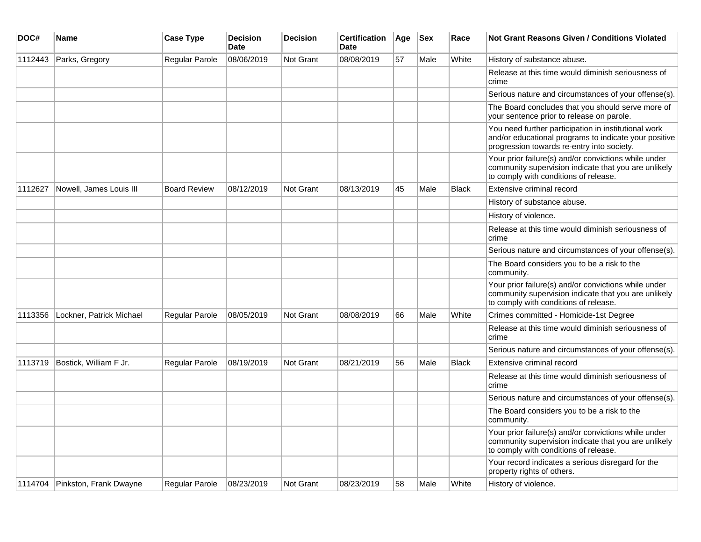| DOC#    | <b>Name</b>                    | <b>Case Type</b>    | <b>Decision</b><br><b>Date</b> | <b>Decision</b>  | <b>Certification</b><br><b>Date</b> | Age | <b>Sex</b> | Race         | Not Grant Reasons Given / Conditions Violated                                                                                                               |
|---------|--------------------------------|---------------------|--------------------------------|------------------|-------------------------------------|-----|------------|--------------|-------------------------------------------------------------------------------------------------------------------------------------------------------------|
| 1112443 | Parks, Gregory                 | Regular Parole      | 08/06/2019                     | Not Grant        | 08/08/2019                          | 57  | Male       | White        | History of substance abuse.                                                                                                                                 |
|         |                                |                     |                                |                  |                                     |     |            |              | Release at this time would diminish seriousness of<br>crime                                                                                                 |
|         |                                |                     |                                |                  |                                     |     |            |              | Serious nature and circumstances of your offense(s).                                                                                                        |
|         |                                |                     |                                |                  |                                     |     |            |              | The Board concludes that you should serve more of<br>your sentence prior to release on parole.                                                              |
|         |                                |                     |                                |                  |                                     |     |            |              | You need further participation in institutional work<br>and/or educational programs to indicate your positive<br>progression towards re-entry into society. |
|         |                                |                     |                                |                  |                                     |     |            |              | Your prior failure(s) and/or convictions while under<br>community supervision indicate that you are unlikely<br>to comply with conditions of release.       |
| 1112627 | Nowell, James Louis III        | <b>Board Review</b> | 08/12/2019                     | <b>Not Grant</b> | 08/13/2019                          | 45  | Male       | <b>Black</b> | Extensive criminal record                                                                                                                                   |
|         |                                |                     |                                |                  |                                     |     |            |              | History of substance abuse.                                                                                                                                 |
|         |                                |                     |                                |                  |                                     |     |            |              | History of violence.                                                                                                                                        |
|         |                                |                     |                                |                  |                                     |     |            |              | Release at this time would diminish seriousness of<br>crime                                                                                                 |
|         |                                |                     |                                |                  |                                     |     |            |              | Serious nature and circumstances of your offense(s).                                                                                                        |
|         |                                |                     |                                |                  |                                     |     |            |              | The Board considers you to be a risk to the<br>community.                                                                                                   |
|         |                                |                     |                                |                  |                                     |     |            |              | Your prior failure(s) and/or convictions while under<br>community supervision indicate that you are unlikely<br>to comply with conditions of release.       |
| 1113356 | Lockner, Patrick Michael       | Regular Parole      | 08/05/2019                     | <b>Not Grant</b> | 08/08/2019                          | 66  | Male       | White        | Crimes committed - Homicide-1st Degree                                                                                                                      |
|         |                                |                     |                                |                  |                                     |     |            |              | Release at this time would diminish seriousness of<br>crime                                                                                                 |
|         |                                |                     |                                |                  |                                     |     |            |              | Serious nature and circumstances of your offense(s).                                                                                                        |
| 1113719 | Bostick, William F Jr.         | Regular Parole      | 08/19/2019                     | <b>Not Grant</b> | 08/21/2019                          | 56  | Male       | <b>Black</b> | Extensive criminal record                                                                                                                                   |
|         |                                |                     |                                |                  |                                     |     |            |              | Release at this time would diminish seriousness of<br>crime                                                                                                 |
|         |                                |                     |                                |                  |                                     |     |            |              | Serious nature and circumstances of your offense(s).                                                                                                        |
|         |                                |                     |                                |                  |                                     |     |            |              | The Board considers you to be a risk to the<br>community.                                                                                                   |
|         |                                |                     |                                |                  |                                     |     |            |              | Your prior failure(s) and/or convictions while under<br>community supervision indicate that you are unlikely<br>to comply with conditions of release.       |
|         |                                |                     |                                |                  |                                     |     |            |              | Your record indicates a serious disregard for the<br>property rights of others.                                                                             |
|         | 1114704 Pinkston, Frank Dwayne | Regular Parole      | 08/23/2019                     | <b>Not Grant</b> | 08/23/2019                          | 58  | Male       | White        | History of violence.                                                                                                                                        |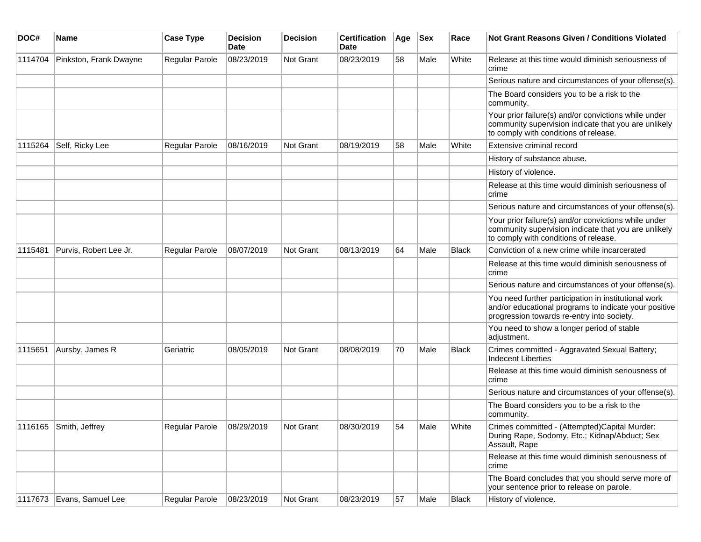| DOC#    | <b>Name</b>               | <b>Case Type</b> | <b>Decision</b><br>Date | Decision  | <b>Certification</b><br><b>Date</b> | Age | <b>Sex</b> | Race         | <b>Not Grant Reasons Given / Conditions Violated</b>                                                                                                        |
|---------|---------------------------|------------------|-------------------------|-----------|-------------------------------------|-----|------------|--------------|-------------------------------------------------------------------------------------------------------------------------------------------------------------|
| 1114704 | Pinkston, Frank Dwayne    | Regular Parole   | 08/23/2019              | Not Grant | 08/23/2019                          | 58  | Male       | White        | Release at this time would diminish seriousness of<br>crime                                                                                                 |
|         |                           |                  |                         |           |                                     |     |            |              | Serious nature and circumstances of your offense(s).                                                                                                        |
|         |                           |                  |                         |           |                                     |     |            |              | The Board considers you to be a risk to the<br>community.                                                                                                   |
|         |                           |                  |                         |           |                                     |     |            |              | Your prior failure(s) and/or convictions while under<br>community supervision indicate that you are unlikely<br>to comply with conditions of release.       |
| 1115264 | Self, Ricky Lee           | Regular Parole   | 08/16/2019              | Not Grant | 08/19/2019                          | 58  | Male       | White        | Extensive criminal record                                                                                                                                   |
|         |                           |                  |                         |           |                                     |     |            |              | History of substance abuse.                                                                                                                                 |
|         |                           |                  |                         |           |                                     |     |            |              | History of violence.                                                                                                                                        |
|         |                           |                  |                         |           |                                     |     |            |              | Release at this time would diminish seriousness of<br>crime                                                                                                 |
|         |                           |                  |                         |           |                                     |     |            |              | Serious nature and circumstances of your offense(s).                                                                                                        |
|         |                           |                  |                         |           |                                     |     |            |              | Your prior failure(s) and/or convictions while under<br>community supervision indicate that you are unlikely<br>to comply with conditions of release.       |
| 1115481 | Purvis, Robert Lee Jr.    | Regular Parole   | 08/07/2019              | Not Grant | 08/13/2019                          | 64  | Male       | <b>Black</b> | Conviction of a new crime while incarcerated                                                                                                                |
|         |                           |                  |                         |           |                                     |     |            |              | Release at this time would diminish seriousness of<br>crime                                                                                                 |
|         |                           |                  |                         |           |                                     |     |            |              | Serious nature and circumstances of your offense(s).                                                                                                        |
|         |                           |                  |                         |           |                                     |     |            |              | You need further participation in institutional work<br>and/or educational programs to indicate your positive<br>progression towards re-entry into society. |
|         |                           |                  |                         |           |                                     |     |            |              | You need to show a longer period of stable<br>adjustment.                                                                                                   |
| 1115651 | Aursby, James R           | Geriatric        | 08/05/2019              | Not Grant | 08/08/2019                          | 70  | Male       | Black        | Crimes committed - Aggravated Sexual Battery;<br><b>Indecent Liberties</b>                                                                                  |
|         |                           |                  |                         |           |                                     |     |            |              | Release at this time would diminish seriousness of<br>crime                                                                                                 |
|         |                           |                  |                         |           |                                     |     |            |              | Serious nature and circumstances of your offense(s).                                                                                                        |
|         |                           |                  |                         |           |                                     |     |            |              | The Board considers you to be a risk to the<br>community.                                                                                                   |
|         | 1116165 Smith, Jeffrey    | Regular Parole   | 08/29/2019              | Not Grant | 08/30/2019                          | 54  | Male       | White        | Crimes committed - (Attempted)Capital Murder:<br>During Rape, Sodomy, Etc.; Kidnap/Abduct; Sex<br>Assault, Rape                                             |
|         |                           |                  |                         |           |                                     |     |            |              | Release at this time would diminish seriousness of<br>crime                                                                                                 |
|         |                           |                  |                         |           |                                     |     |            |              | The Board concludes that you should serve more of<br>your sentence prior to release on parole.                                                              |
|         | 1117673 Evans, Samuel Lee | Regular Parole   | 08/23/2019              | Not Grant | 08/23/2019                          | 57  | Male       | <b>Black</b> | History of violence.                                                                                                                                        |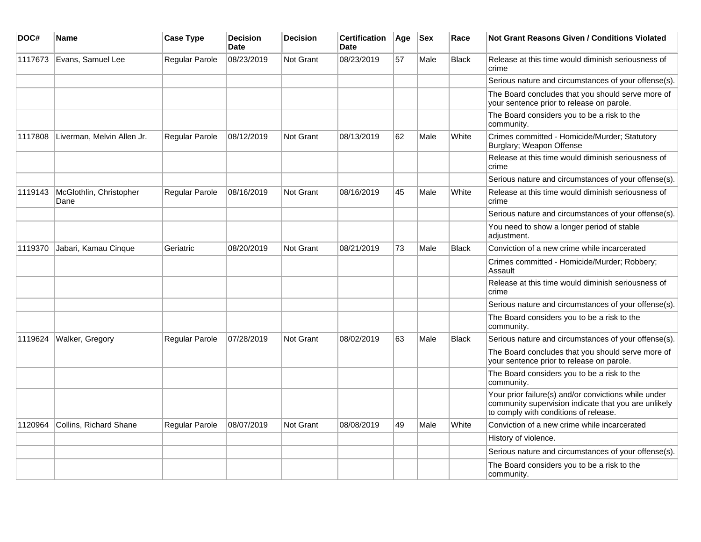| DOC#    | <b>Name</b>                     | <b>Case Type</b> | <b>Decision</b><br><b>Date</b> | <b>Decision</b>  | <b>Certification</b><br><b>Date</b> | Age | <b>Sex</b> | Race         | <b>Not Grant Reasons Given / Conditions Violated</b>                                                                                                  |
|---------|---------------------------------|------------------|--------------------------------|------------------|-------------------------------------|-----|------------|--------------|-------------------------------------------------------------------------------------------------------------------------------------------------------|
| 1117673 | Evans, Samuel Lee               | Regular Parole   | 08/23/2019                     | <b>Not Grant</b> | 08/23/2019                          | 57  | Male       | <b>Black</b> | Release at this time would diminish seriousness of<br>crime                                                                                           |
|         |                                 |                  |                                |                  |                                     |     |            |              | Serious nature and circumstances of your offense(s).                                                                                                  |
|         |                                 |                  |                                |                  |                                     |     |            |              | The Board concludes that you should serve more of<br>your sentence prior to release on parole.                                                        |
|         |                                 |                  |                                |                  |                                     |     |            |              | The Board considers you to be a risk to the<br>community.                                                                                             |
| 1117808 | Liverman, Melvin Allen Jr.      | Regular Parole   | 08/12/2019                     | Not Grant        | 08/13/2019                          | 62  | Male       | White        | Crimes committed - Homicide/Murder; Statutory<br>Burglary; Weapon Offense                                                                             |
|         |                                 |                  |                                |                  |                                     |     |            |              | Release at this time would diminish seriousness of<br>crime                                                                                           |
|         |                                 |                  |                                |                  |                                     |     |            |              | Serious nature and circumstances of your offense(s).                                                                                                  |
| 1119143 | McGlothlin, Christopher<br>Dane | Regular Parole   | 08/16/2019                     | <b>Not Grant</b> | 08/16/2019                          | 45  | Male       | White        | Release at this time would diminish seriousness of<br>crime                                                                                           |
|         |                                 |                  |                                |                  |                                     |     |            |              | Serious nature and circumstances of your offense(s).                                                                                                  |
|         |                                 |                  |                                |                  |                                     |     |            |              | You need to show a longer period of stable<br>adjustment.                                                                                             |
| 1119370 | Jabari, Kamau Cinque            | Geriatric        | 08/20/2019                     | <b>Not Grant</b> | 08/21/2019                          | 73  | Male       | <b>Black</b> | Conviction of a new crime while incarcerated                                                                                                          |
|         |                                 |                  |                                |                  |                                     |     |            |              | Crimes committed - Homicide/Murder; Robbery;<br>Assault                                                                                               |
|         |                                 |                  |                                |                  |                                     |     |            |              | Release at this time would diminish seriousness of<br>crime                                                                                           |
|         |                                 |                  |                                |                  |                                     |     |            |              | Serious nature and circumstances of your offense(s).                                                                                                  |
|         |                                 |                  |                                |                  |                                     |     |            |              | The Board considers you to be a risk to the<br>community.                                                                                             |
| 1119624 | Walker, Gregory                 | Regular Parole   | 07/28/2019                     | Not Grant        | 08/02/2019                          | 63  | Male       | <b>Black</b> | Serious nature and circumstances of your offense(s).                                                                                                  |
|         |                                 |                  |                                |                  |                                     |     |            |              | The Board concludes that you should serve more of<br>your sentence prior to release on parole.                                                        |
|         |                                 |                  |                                |                  |                                     |     |            |              | The Board considers you to be a risk to the<br>community.                                                                                             |
|         |                                 |                  |                                |                  |                                     |     |            |              | Your prior failure(s) and/or convictions while under<br>community supervision indicate that you are unlikely<br>to comply with conditions of release. |
| 1120964 | <b>Collins, Richard Shane</b>   | Regular Parole   | 08/07/2019                     | <b>Not Grant</b> | 08/08/2019                          | 49  | Male       | White        | Conviction of a new crime while incarcerated                                                                                                          |
|         |                                 |                  |                                |                  |                                     |     |            |              | History of violence.                                                                                                                                  |
|         |                                 |                  |                                |                  |                                     |     |            |              | Serious nature and circumstances of your offense(s).                                                                                                  |
|         |                                 |                  |                                |                  |                                     |     |            |              | The Board considers you to be a risk to the<br>community.                                                                                             |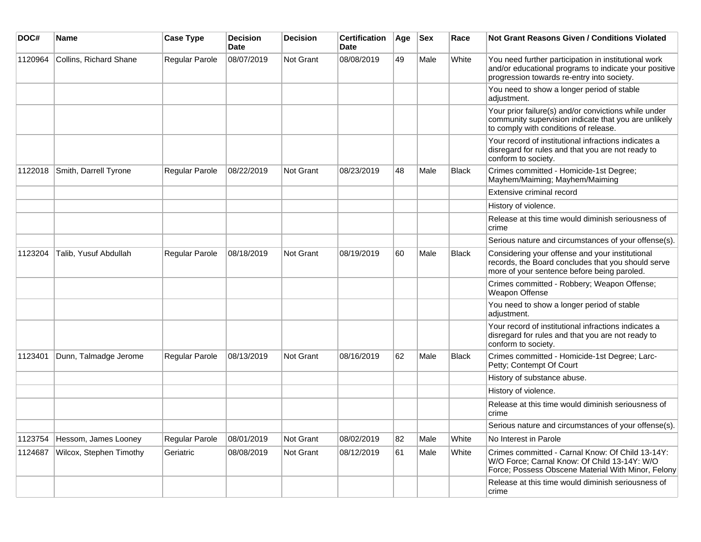| DOC#    | Name                    | <b>Case Type</b> | <b>Decision</b><br><b>Date</b> | <b>Decision</b> | <b>Certification</b><br>Date | Age | <b>Sex</b> | Race         | <b>Not Grant Reasons Given / Conditions Violated</b>                                                                                                        |
|---------|-------------------------|------------------|--------------------------------|-----------------|------------------------------|-----|------------|--------------|-------------------------------------------------------------------------------------------------------------------------------------------------------------|
| 1120964 | Collins, Richard Shane  | Regular Parole   | 08/07/2019                     | Not Grant       | 08/08/2019                   | 49  | Male       | White        | You need further participation in institutional work<br>and/or educational programs to indicate your positive<br>progression towards re-entry into society. |
|         |                         |                  |                                |                 |                              |     |            |              | You need to show a longer period of stable<br>adjustment.                                                                                                   |
|         |                         |                  |                                |                 |                              |     |            |              | Your prior failure(s) and/or convictions while under<br>community supervision indicate that you are unlikely<br>to comply with conditions of release.       |
|         |                         |                  |                                |                 |                              |     |            |              | Your record of institutional infractions indicates a<br>disregard for rules and that you are not ready to<br>conform to society.                            |
| 1122018 | Smith, Darrell Tyrone   | Regular Parole   | 08/22/2019                     | Not Grant       | 08/23/2019                   | 48  | Male       | <b>Black</b> | Crimes committed - Homicide-1st Degree;<br>Mayhem/Maiming; Mayhem/Maiming                                                                                   |
|         |                         |                  |                                |                 |                              |     |            |              | Extensive criminal record                                                                                                                                   |
|         |                         |                  |                                |                 |                              |     |            |              | History of violence.                                                                                                                                        |
|         |                         |                  |                                |                 |                              |     |            |              | Release at this time would diminish seriousness of<br>crime                                                                                                 |
|         |                         |                  |                                |                 |                              |     |            |              | Serious nature and circumstances of your offense(s).                                                                                                        |
| 1123204 | Talib, Yusuf Abdullah   | Regular Parole   | 08/18/2019                     | Not Grant       | 08/19/2019                   | 60  | Male       | Black        | Considering your offense and your institutional<br>records, the Board concludes that you should serve<br>more of your sentence before being paroled.        |
|         |                         |                  |                                |                 |                              |     |            |              | Crimes committed - Robbery; Weapon Offense;<br>Weapon Offense                                                                                               |
|         |                         |                  |                                |                 |                              |     |            |              | You need to show a longer period of stable<br>adjustment.                                                                                                   |
|         |                         |                  |                                |                 |                              |     |            |              | Your record of institutional infractions indicates a<br>disregard for rules and that you are not ready to<br>conform to society.                            |
| 1123401 | Dunn, Talmadge Jerome   | Regular Parole   | 08/13/2019                     | Not Grant       | 08/16/2019                   | 62  | Male       | <b>Black</b> | Crimes committed - Homicide-1st Degree; Larc-<br>Petty; Contempt Of Court                                                                                   |
|         |                         |                  |                                |                 |                              |     |            |              | History of substance abuse.                                                                                                                                 |
|         |                         |                  |                                |                 |                              |     |            |              | History of violence.                                                                                                                                        |
|         |                         |                  |                                |                 |                              |     |            |              | Release at this time would diminish seriousness of<br>crime                                                                                                 |
|         |                         |                  |                                |                 |                              |     |            |              | Serious nature and circumstances of your offense(s).                                                                                                        |
| 1123754 | Hessom, James Looney    | Regular Parole   | 08/01/2019                     | Not Grant       | 08/02/2019                   | 82  | Male       | White        | No Interest in Parole                                                                                                                                       |
| 1124687 | Wilcox, Stephen Timothy | Geriatric        | 08/08/2019                     | Not Grant       | 08/12/2019                   | 61  | Male       | White        | Crimes committed - Carnal Know: Of Child 13-14Y:<br>W/O Force; Carnal Know: Of Child 13-14Y: W/O<br>Force; Possess Obscene Material With Minor, Felony      |
|         |                         |                  |                                |                 |                              |     |            |              | Release at this time would diminish seriousness of<br>crime                                                                                                 |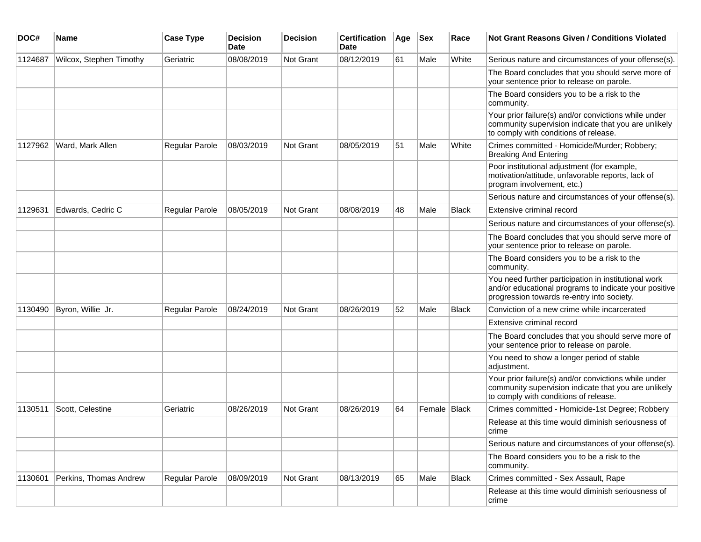| DOC#    | <b>Name</b>             | <b>Case Type</b>      | <b>Decision</b><br><b>Date</b> | <b>Decision</b> | <b>Certification</b><br>Date | Age | <b>Sex</b>   | Race         | <b>Not Grant Reasons Given / Conditions Violated</b>                                                                                                        |
|---------|-------------------------|-----------------------|--------------------------------|-----------------|------------------------------|-----|--------------|--------------|-------------------------------------------------------------------------------------------------------------------------------------------------------------|
| 1124687 | Wilcox, Stephen Timothy | Geriatric             | 08/08/2019                     | Not Grant       | 08/12/2019                   | 61  | Male         | White        | Serious nature and circumstances of your offense(s).                                                                                                        |
|         |                         |                       |                                |                 |                              |     |              |              | The Board concludes that you should serve more of<br>your sentence prior to release on parole.                                                              |
|         |                         |                       |                                |                 |                              |     |              |              | The Board considers you to be a risk to the<br>community.                                                                                                   |
|         |                         |                       |                                |                 |                              |     |              |              | Your prior failure(s) and/or convictions while under<br>community supervision indicate that you are unlikely<br>to comply with conditions of release.       |
| 1127962 | Ward, Mark Allen        | Regular Parole        | 08/03/2019                     | Not Grant       | 08/05/2019                   | 51  | Male         | White        | Crimes committed - Homicide/Murder; Robbery;<br><b>Breaking And Entering</b>                                                                                |
|         |                         |                       |                                |                 |                              |     |              |              | Poor institutional adjustment (for example,<br>motivation/attitude, unfavorable reports, lack of<br>program involvement, etc.)                              |
|         |                         |                       |                                |                 |                              |     |              |              | Serious nature and circumstances of your offense(s).                                                                                                        |
| 1129631 | Edwards, Cedric C       | Regular Parole        | 08/05/2019                     | Not Grant       | 08/08/2019                   | 48  | Male         | <b>Black</b> | Extensive criminal record                                                                                                                                   |
|         |                         |                       |                                |                 |                              |     |              |              | Serious nature and circumstances of your offense(s).                                                                                                        |
|         |                         |                       |                                |                 |                              |     |              |              | The Board concludes that you should serve more of<br>your sentence prior to release on parole.                                                              |
|         |                         |                       |                                |                 |                              |     |              |              | The Board considers you to be a risk to the<br>community.                                                                                                   |
|         |                         |                       |                                |                 |                              |     |              |              | You need further participation in institutional work<br>and/or educational programs to indicate your positive<br>progression towards re-entry into society. |
| 1130490 | Byron, Willie Jr.       | <b>Regular Parole</b> | 08/24/2019                     | Not Grant       | 08/26/2019                   | 52  | Male         | <b>Black</b> | Conviction of a new crime while incarcerated                                                                                                                |
|         |                         |                       |                                |                 |                              |     |              |              | Extensive criminal record                                                                                                                                   |
|         |                         |                       |                                |                 |                              |     |              |              | The Board concludes that you should serve more of<br>your sentence prior to release on parole.                                                              |
|         |                         |                       |                                |                 |                              |     |              |              | You need to show a longer period of stable<br>adjustment.                                                                                                   |
|         |                         |                       |                                |                 |                              |     |              |              | Your prior failure(s) and/or convictions while under<br>community supervision indicate that you are unlikely<br>to comply with conditions of release.       |
| 1130511 | Scott, Celestine        | Geriatric             | 08/26/2019                     | Not Grant       | 08/26/2019                   | 64  | Female Black |              | Crimes committed - Homicide-1st Degree; Robbery                                                                                                             |
|         |                         |                       |                                |                 |                              |     |              |              | Release at this time would diminish seriousness of<br>crime                                                                                                 |
|         |                         |                       |                                |                 |                              |     |              |              | Serious nature and circumstances of your offense(s).                                                                                                        |
|         |                         |                       |                                |                 |                              |     |              |              | The Board considers you to be a risk to the<br>community.                                                                                                   |
| 1130601 | Perkins, Thomas Andrew  | Regular Parole        | 08/09/2019                     | Not Grant       | 08/13/2019                   | 65  | Male         | Black        | Crimes committed - Sex Assault, Rape                                                                                                                        |
|         |                         |                       |                                |                 |                              |     |              |              | Release at this time would diminish seriousness of<br>crime                                                                                                 |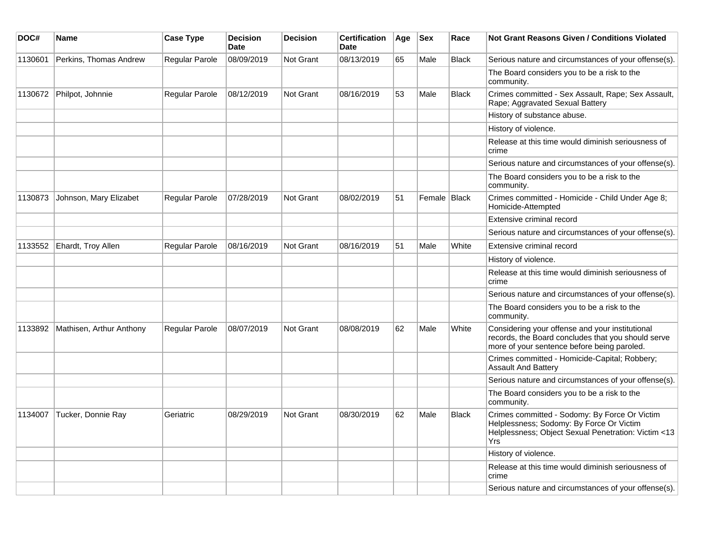| DOC#    | Name                     | <b>Case Type</b>      | <b>Decision</b><br>Date | <b>Decision</b>  | <b>Certification</b><br><b>Date</b> | Age | <b>Sex</b>   | Race         | <b>Not Grant Reasons Given / Conditions Violated</b>                                                                                                    |
|---------|--------------------------|-----------------------|-------------------------|------------------|-------------------------------------|-----|--------------|--------------|---------------------------------------------------------------------------------------------------------------------------------------------------------|
| 1130601 | Perkins, Thomas Andrew   | <b>Regular Parole</b> | 08/09/2019              | Not Grant        | 08/13/2019                          | 65  | Male         | <b>Black</b> | Serious nature and circumstances of your offense(s).                                                                                                    |
|         |                          |                       |                         |                  |                                     |     |              |              | The Board considers you to be a risk to the<br>community.                                                                                               |
| 1130672 | Philpot, Johnnie         | <b>Regular Parole</b> | 08/12/2019              | Not Grant        | 08/16/2019                          | 53  | Male         | <b>Black</b> | Crimes committed - Sex Assault, Rape; Sex Assault,<br>Rape; Aggravated Sexual Battery                                                                   |
|         |                          |                       |                         |                  |                                     |     |              |              | History of substance abuse.                                                                                                                             |
|         |                          |                       |                         |                  |                                     |     |              |              | History of violence.                                                                                                                                    |
|         |                          |                       |                         |                  |                                     |     |              |              | Release at this time would diminish seriousness of<br>crime                                                                                             |
|         |                          |                       |                         |                  |                                     |     |              |              | Serious nature and circumstances of your offense(s).                                                                                                    |
|         |                          |                       |                         |                  |                                     |     |              |              | The Board considers you to be a risk to the<br>community.                                                                                               |
| 1130873 | Johnson, Mary Elizabet   | <b>Regular Parole</b> | 07/28/2019              | <b>Not Grant</b> | 08/02/2019                          | 51  | Female Black |              | Crimes committed - Homicide - Child Under Age 8;<br>Homicide-Attempted                                                                                  |
|         |                          |                       |                         |                  |                                     |     |              |              | Extensive criminal record                                                                                                                               |
|         |                          |                       |                         |                  |                                     |     |              |              | Serious nature and circumstances of your offense(s).                                                                                                    |
| 1133552 | Ehardt, Troy Allen       | <b>Regular Parole</b> | 08/16/2019              | <b>Not Grant</b> | 08/16/2019                          | 51  | Male         | White        | Extensive criminal record                                                                                                                               |
|         |                          |                       |                         |                  |                                     |     |              |              | History of violence.                                                                                                                                    |
|         |                          |                       |                         |                  |                                     |     |              |              | Release at this time would diminish seriousness of<br>crime                                                                                             |
|         |                          |                       |                         |                  |                                     |     |              |              | Serious nature and circumstances of your offense(s).                                                                                                    |
|         |                          |                       |                         |                  |                                     |     |              |              | The Board considers you to be a risk to the<br>community.                                                                                               |
| 1133892 | Mathisen, Arthur Anthony | Regular Parole        | 08/07/2019              | Not Grant        | 08/08/2019                          | 62  | Male         | White        | Considering your offense and your institutional<br>records, the Board concludes that you should serve<br>more of your sentence before being paroled.    |
|         |                          |                       |                         |                  |                                     |     |              |              | Crimes committed - Homicide-Capital; Robbery;<br><b>Assault And Battery</b>                                                                             |
|         |                          |                       |                         |                  |                                     |     |              |              | Serious nature and circumstances of your offense(s).                                                                                                    |
|         |                          |                       |                         |                  |                                     |     |              |              | The Board considers you to be a risk to the<br>community.                                                                                               |
| 1134007 | Tucker, Donnie Ray       | Geriatric             | 08/29/2019              | <b>Not Grant</b> | 08/30/2019                          | 62  | Male         | <b>Black</b> | Crimes committed - Sodomy: By Force Or Victim<br>Helplessness; Sodomy: By Force Or Victim<br>Helplessness; Object Sexual Penetration: Victim <13<br>Yrs |
|         |                          |                       |                         |                  |                                     |     |              |              | History of violence.                                                                                                                                    |
|         |                          |                       |                         |                  |                                     |     |              |              | Release at this time would diminish seriousness of<br>crime                                                                                             |
|         |                          |                       |                         |                  |                                     |     |              |              | Serious nature and circumstances of your offense(s).                                                                                                    |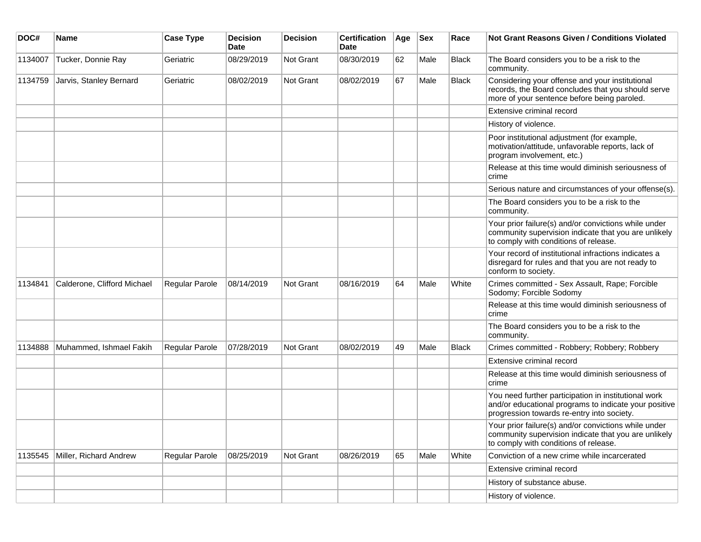| DOC#    | <b>Name</b>                 | <b>Case Type</b>      | <b>Decision</b><br><b>Date</b> | <b>Decision</b> | <b>Certification</b><br>Date | Age | <b>Sex</b> | Race         | Not Grant Reasons Given / Conditions Violated                                                                                                               |
|---------|-----------------------------|-----------------------|--------------------------------|-----------------|------------------------------|-----|------------|--------------|-------------------------------------------------------------------------------------------------------------------------------------------------------------|
| 1134007 | Tucker, Donnie Ray          | Geriatric             | 08/29/2019                     | Not Grant       | 08/30/2019                   | 62  | Male       | <b>Black</b> | The Board considers you to be a risk to the<br>community.                                                                                                   |
| 1134759 | Jarvis, Stanley Bernard     | Geriatric             | 08/02/2019                     | Not Grant       | 08/02/2019                   | 67  | Male       | Black        | Considering your offense and your institutional<br>records, the Board concludes that you should serve<br>more of your sentence before being paroled.        |
|         |                             |                       |                                |                 |                              |     |            |              | Extensive criminal record                                                                                                                                   |
|         |                             |                       |                                |                 |                              |     |            |              | History of violence.                                                                                                                                        |
|         |                             |                       |                                |                 |                              |     |            |              | Poor institutional adjustment (for example,<br>motivation/attitude, unfavorable reports, lack of<br>program involvement, etc.)                              |
|         |                             |                       |                                |                 |                              |     |            |              | Release at this time would diminish seriousness of<br>crime                                                                                                 |
|         |                             |                       |                                |                 |                              |     |            |              | Serious nature and circumstances of your offense(s).                                                                                                        |
|         |                             |                       |                                |                 |                              |     |            |              | The Board considers you to be a risk to the<br>community.                                                                                                   |
|         |                             |                       |                                |                 |                              |     |            |              | Your prior failure(s) and/or convictions while under<br>community supervision indicate that you are unlikely<br>to comply with conditions of release.       |
|         |                             |                       |                                |                 |                              |     |            |              | Your record of institutional infractions indicates a<br>disregard for rules and that you are not ready to<br>conform to society.                            |
| 1134841 | Calderone, Clifford Michael | <b>Regular Parole</b> | 08/14/2019                     | Not Grant       | 08/16/2019                   | 64  | Male       | White        | Crimes committed - Sex Assault, Rape; Forcible<br>Sodomy; Forcible Sodomy                                                                                   |
|         |                             |                       |                                |                 |                              |     |            |              | Release at this time would diminish seriousness of<br>crime                                                                                                 |
|         |                             |                       |                                |                 |                              |     |            |              | The Board considers you to be a risk to the<br>community.                                                                                                   |
| 1134888 | Muhammed, Ishmael Fakih     | Regular Parole        | 07/28/2019                     | Not Grant       | 08/02/2019                   | 49  | Male       | <b>Black</b> | Crimes committed - Robbery; Robbery; Robbery                                                                                                                |
|         |                             |                       |                                |                 |                              |     |            |              | Extensive criminal record                                                                                                                                   |
|         |                             |                       |                                |                 |                              |     |            |              | Release at this time would diminish seriousness of<br>crime                                                                                                 |
|         |                             |                       |                                |                 |                              |     |            |              | You need further participation in institutional work<br>and/or educational programs to indicate your positive<br>progression towards re-entry into society. |
|         |                             |                       |                                |                 |                              |     |            |              | Your prior failure(s) and/or convictions while under<br>community supervision indicate that you are unlikely<br>to comply with conditions of release.       |
| 1135545 | Miller, Richard Andrew      | Regular Parole        | 08/25/2019                     | Not Grant       | 08/26/2019                   | 65  | Male       | White        | Conviction of a new crime while incarcerated                                                                                                                |
|         |                             |                       |                                |                 |                              |     |            |              | Extensive criminal record                                                                                                                                   |
|         |                             |                       |                                |                 |                              |     |            |              | History of substance abuse.                                                                                                                                 |
|         |                             |                       |                                |                 |                              |     |            |              | History of violence.                                                                                                                                        |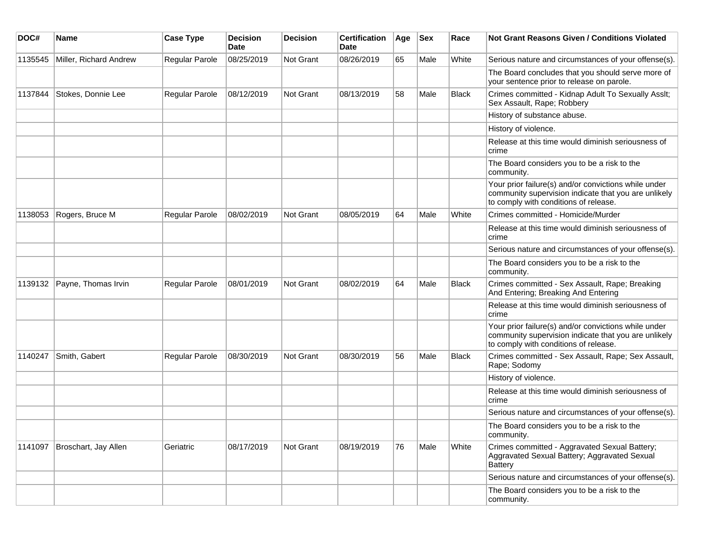| DOC#    | Name                   | <b>Case Type</b> | <b>Decision</b><br><b>Date</b> | <b>Decision</b> | <b>Certification</b><br>Date | Age | $ $ Sex | Race         | <b>Not Grant Reasons Given / Conditions Violated</b>                                                                                                  |
|---------|------------------------|------------------|--------------------------------|-----------------|------------------------------|-----|---------|--------------|-------------------------------------------------------------------------------------------------------------------------------------------------------|
| 1135545 | Miller, Richard Andrew | Regular Parole   | 08/25/2019                     | Not Grant       | 08/26/2019                   | 65  | Male    | White        | Serious nature and circumstances of your offense(s).                                                                                                  |
|         |                        |                  |                                |                 |                              |     |         |              | The Board concludes that you should serve more of<br>your sentence prior to release on parole.                                                        |
| 1137844 | Stokes, Donnie Lee     | Regular Parole   | 08/12/2019                     | Not Grant       | 08/13/2019                   | 58  | Male    | <b>Black</b> | Crimes committed - Kidnap Adult To Sexually Asslt;<br>Sex Assault, Rape; Robbery                                                                      |
|         |                        |                  |                                |                 |                              |     |         |              | History of substance abuse.                                                                                                                           |
|         |                        |                  |                                |                 |                              |     |         |              | History of violence.                                                                                                                                  |
|         |                        |                  |                                |                 |                              |     |         |              | Release at this time would diminish seriousness of<br>crime                                                                                           |
|         |                        |                  |                                |                 |                              |     |         |              | The Board considers you to be a risk to the<br>community.                                                                                             |
|         |                        |                  |                                |                 |                              |     |         |              | Your prior failure(s) and/or convictions while under<br>community supervision indicate that you are unlikely<br>to comply with conditions of release. |
| 1138053 | Rogers, Bruce M        | Regular Parole   | 08/02/2019                     | Not Grant       | 08/05/2019                   | 64  | Male    | White        | Crimes committed - Homicide/Murder                                                                                                                    |
|         |                        |                  |                                |                 |                              |     |         |              | Release at this time would diminish seriousness of<br>crime                                                                                           |
|         |                        |                  |                                |                 |                              |     |         |              | Serious nature and circumstances of your offense(s).                                                                                                  |
|         |                        |                  |                                |                 |                              |     |         |              | The Board considers you to be a risk to the<br>community.                                                                                             |
| 1139132 | Payne, Thomas Irvin    | Regular Parole   | 08/01/2019                     | Not Grant       | 08/02/2019                   | 64  | Male    | <b>Black</b> | Crimes committed - Sex Assault, Rape; Breaking<br>And Entering; Breaking And Entering                                                                 |
|         |                        |                  |                                |                 |                              |     |         |              | Release at this time would diminish seriousness of<br>crime                                                                                           |
|         |                        |                  |                                |                 |                              |     |         |              | Your prior failure(s) and/or convictions while under<br>community supervision indicate that you are unlikely<br>to comply with conditions of release. |
| 1140247 | Smith, Gabert          | Regular Parole   | 08/30/2019                     | Not Grant       | 08/30/2019                   | 56  | Male    | <b>Black</b> | Crimes committed - Sex Assault, Rape; Sex Assault,<br>Rape; Sodomy                                                                                    |
|         |                        |                  |                                |                 |                              |     |         |              | History of violence.                                                                                                                                  |
|         |                        |                  |                                |                 |                              |     |         |              | Release at this time would diminish seriousness of<br>crime                                                                                           |
|         |                        |                  |                                |                 |                              |     |         |              | Serious nature and circumstances of your offense(s).                                                                                                  |
|         |                        |                  |                                |                 |                              |     |         |              | The Board considers you to be a risk to the<br>community.                                                                                             |
| 1141097 | Broschart, Jay Allen   | Geriatric        | 08/17/2019                     | Not Grant       | 08/19/2019                   | 76  | Male    | White        | Crimes committed - Aggravated Sexual Battery;<br>Aggravated Sexual Battery; Aggravated Sexual<br><b>Battery</b>                                       |
|         |                        |                  |                                |                 |                              |     |         |              | Serious nature and circumstances of your offense(s).                                                                                                  |
|         |                        |                  |                                |                 |                              |     |         |              | The Board considers you to be a risk to the<br>community.                                                                                             |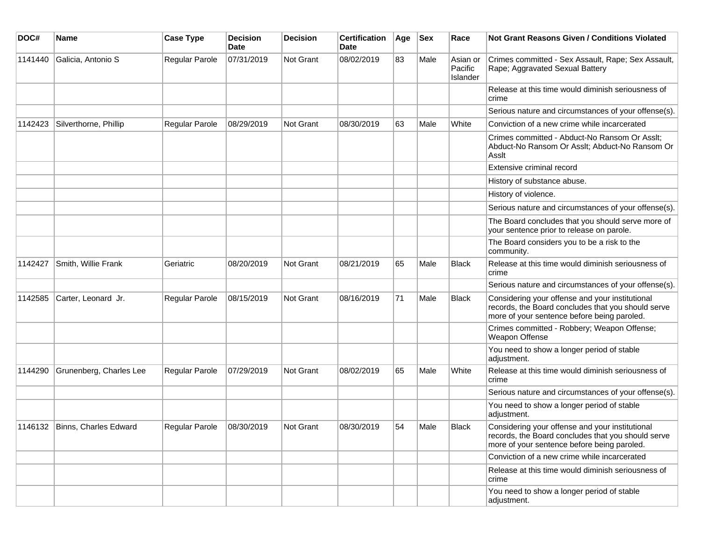| DOC#    | Name                          | <b>Case Type</b> | <b>Decision</b><br><b>Date</b> | <b>Decision</b> | <b>Certification</b><br>Date | Age | $ $ Sex | Race                                   | <b>Not Grant Reasons Given / Conditions Violated</b>                                                                                                 |
|---------|-------------------------------|------------------|--------------------------------|-----------------|------------------------------|-----|---------|----------------------------------------|------------------------------------------------------------------------------------------------------------------------------------------------------|
| 1141440 | Galicia, Antonio S            | Regular Parole   | 07/31/2019                     | Not Grant       | 08/02/2019                   | 83  | Male    | Asian or<br>Pacific<br><b>Islander</b> | Crimes committed - Sex Assault, Rape; Sex Assault,<br>Rape; Aggravated Sexual Battery                                                                |
|         |                               |                  |                                |                 |                              |     |         |                                        | Release at this time would diminish seriousness of<br>crime                                                                                          |
|         |                               |                  |                                |                 |                              |     |         |                                        | Serious nature and circumstances of your offense(s).                                                                                                 |
| 1142423 | Silverthorne, Phillip         | Regular Parole   | 08/29/2019                     | Not Grant       | 08/30/2019                   | 63  | Male    | White                                  | Conviction of a new crime while incarcerated                                                                                                         |
|         |                               |                  |                                |                 |                              |     |         |                                        | Crimes committed - Abduct-No Ransom Or Asslt;<br>Abduct-No Ransom Or Asslt; Abduct-No Ransom Or<br>Asslt                                             |
|         |                               |                  |                                |                 |                              |     |         |                                        | Extensive criminal record                                                                                                                            |
|         |                               |                  |                                |                 |                              |     |         |                                        | History of substance abuse.                                                                                                                          |
|         |                               |                  |                                |                 |                              |     |         |                                        | History of violence.                                                                                                                                 |
|         |                               |                  |                                |                 |                              |     |         |                                        | Serious nature and circumstances of your offense(s).                                                                                                 |
|         |                               |                  |                                |                 |                              |     |         |                                        | The Board concludes that you should serve more of<br>your sentence prior to release on parole.                                                       |
|         |                               |                  |                                |                 |                              |     |         |                                        | The Board considers you to be a risk to the<br>community.                                                                                            |
| 1142427 | Smith, Willie Frank           | Geriatric        | 08/20/2019                     | Not Grant       | 08/21/2019                   | 65  | Male    | Black                                  | Release at this time would diminish seriousness of<br>crime                                                                                          |
|         |                               |                  |                                |                 |                              |     |         |                                        | Serious nature and circumstances of your offense(s).                                                                                                 |
| 1142585 | Carter, Leonard Jr.           | Regular Parole   | 08/15/2019                     | Not Grant       | 08/16/2019                   | 71  | Male    | <b>Black</b>                           | Considering your offense and your institutional<br>records, the Board concludes that you should serve<br>more of your sentence before being paroled. |
|         |                               |                  |                                |                 |                              |     |         |                                        | Crimes committed - Robbery; Weapon Offense;<br>Weapon Offense                                                                                        |
|         |                               |                  |                                |                 |                              |     |         |                                        | You need to show a longer period of stable<br>adjustment.                                                                                            |
| 1144290 | Grunenberg, Charles Lee       | Regular Parole   | 07/29/2019                     | Not Grant       | 08/02/2019                   | 65  | Male    | White                                  | Release at this time would diminish seriousness of<br>crime                                                                                          |
|         |                               |                  |                                |                 |                              |     |         |                                        | Serious nature and circumstances of your offense(s).                                                                                                 |
|         |                               |                  |                                |                 |                              |     |         |                                        | You need to show a longer period of stable<br>adjustment.                                                                                            |
|         | 1146132 Binns, Charles Edward | Regular Parole   | 08/30/2019                     | Not Grant       | 08/30/2019                   | 54  | Male    | <b>Black</b>                           | Considering your offense and your institutional<br>records, the Board concludes that you should serve<br>more of your sentence before being paroled. |
|         |                               |                  |                                |                 |                              |     |         |                                        | Conviction of a new crime while incarcerated                                                                                                         |
|         |                               |                  |                                |                 |                              |     |         |                                        | Release at this time would diminish seriousness of<br>crime                                                                                          |
|         |                               |                  |                                |                 |                              |     |         |                                        | You need to show a longer period of stable<br>adjustment.                                                                                            |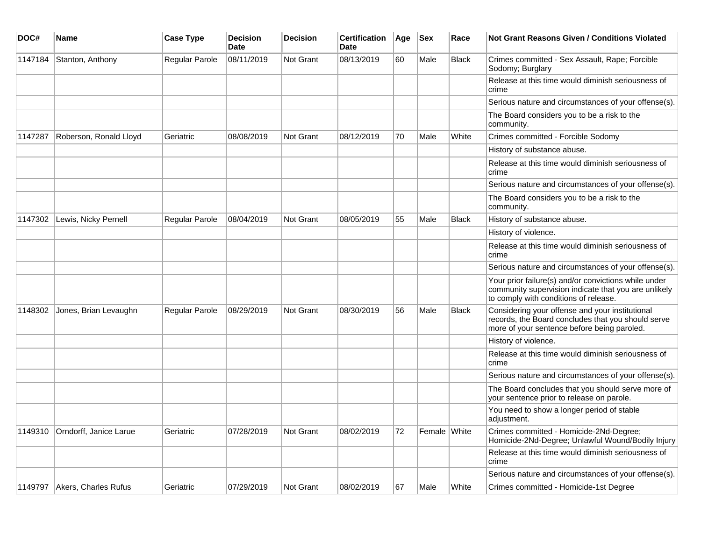| DOC#    | <b>Name</b>            | <b>Case Type</b> | <b>Decision</b><br><b>Date</b> | <b>Decision</b>  | <b>Certification</b><br><b>Date</b> | Age | <b>Sex</b>   | Race         | <b>Not Grant Reasons Given / Conditions Violated</b>                                                                                                  |
|---------|------------------------|------------------|--------------------------------|------------------|-------------------------------------|-----|--------------|--------------|-------------------------------------------------------------------------------------------------------------------------------------------------------|
| 1147184 | Stanton, Anthony       | Regular Parole   | 08/11/2019                     | Not Grant        | 08/13/2019                          | 60  | Male         | <b>Black</b> | Crimes committed - Sex Assault, Rape; Forcible<br>Sodomy; Burglary                                                                                    |
|         |                        |                  |                                |                  |                                     |     |              |              | Release at this time would diminish seriousness of<br>crime                                                                                           |
|         |                        |                  |                                |                  |                                     |     |              |              | Serious nature and circumstances of your offense(s).                                                                                                  |
|         |                        |                  |                                |                  |                                     |     |              |              | The Board considers you to be a risk to the<br>community.                                                                                             |
| 1147287 | Roberson, Ronald Lloyd | Geriatric        | 08/08/2019                     | <b>Not Grant</b> | 08/12/2019                          | 70  | Male         | White        | Crimes committed - Forcible Sodomy                                                                                                                    |
|         |                        |                  |                                |                  |                                     |     |              |              | History of substance abuse.                                                                                                                           |
|         |                        |                  |                                |                  |                                     |     |              |              | Release at this time would diminish seriousness of<br>crime                                                                                           |
|         |                        |                  |                                |                  |                                     |     |              |              | Serious nature and circumstances of your offense(s).                                                                                                  |
|         |                        |                  |                                |                  |                                     |     |              |              | The Board considers you to be a risk to the<br>community.                                                                                             |
| 1147302 | Lewis, Nicky Pernell   | Regular Parole   | 08/04/2019                     | <b>Not Grant</b> | 08/05/2019                          | 55  | Male         | <b>Black</b> | History of substance abuse.                                                                                                                           |
|         |                        |                  |                                |                  |                                     |     |              |              | History of violence.                                                                                                                                  |
|         |                        |                  |                                |                  |                                     |     |              |              | Release at this time would diminish seriousness of<br>crime                                                                                           |
|         |                        |                  |                                |                  |                                     |     |              |              | Serious nature and circumstances of your offense(s).                                                                                                  |
|         |                        |                  |                                |                  |                                     |     |              |              | Your prior failure(s) and/or convictions while under<br>community supervision indicate that you are unlikely<br>to comply with conditions of release. |
| 1148302 | Jones, Brian Levaughn  | Regular Parole   | 08/29/2019                     | Not Grant        | 08/30/2019                          | 56  | Male         | <b>Black</b> | Considering your offense and your institutional<br>records, the Board concludes that you should serve<br>more of your sentence before being paroled.  |
|         |                        |                  |                                |                  |                                     |     |              |              | History of violence.                                                                                                                                  |
|         |                        |                  |                                |                  |                                     |     |              |              | Release at this time would diminish seriousness of<br>crime                                                                                           |
|         |                        |                  |                                |                  |                                     |     |              |              | Serious nature and circumstances of your offense(s).                                                                                                  |
|         |                        |                  |                                |                  |                                     |     |              |              | The Board concludes that you should serve more of<br>your sentence prior to release on parole.                                                        |
|         |                        |                  |                                |                  |                                     |     |              |              | You need to show a longer period of stable<br>adjustment.                                                                                             |
| 1149310 | Orndorff, Janice Larue | Geriatric        | 07/28/2019                     | Not Grant        | 08/02/2019                          | 72  | Female White |              | Crimes committed - Homicide-2Nd-Degree;<br>Homicide-2Nd-Degree; Unlawful Wound/Bodily Injury                                                          |
|         |                        |                  |                                |                  |                                     |     |              |              | Release at this time would diminish seriousness of<br>crime                                                                                           |
|         |                        |                  |                                |                  |                                     |     |              |              | Serious nature and circumstances of your offense(s).                                                                                                  |
| 1149797 | Akers, Charles Rufus   | Geriatric        | 07/29/2019                     | <b>Not Grant</b> | 08/02/2019                          | 67  | Male         | White        | Crimes committed - Homicide-1st Degree                                                                                                                |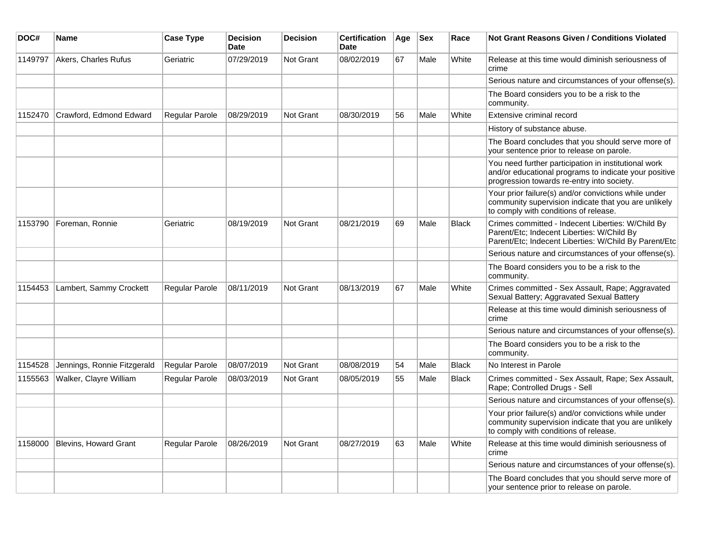| DOC#    | <b>Name</b>                  | <b>Case Type</b> | <b>Decision</b><br><b>Date</b> | <b>Decision</b>  | <b>Certification</b><br><b>Date</b> | Age | <b>Sex</b> | Race         | <b>Not Grant Reasons Given / Conditions Violated</b>                                                                                                        |
|---------|------------------------------|------------------|--------------------------------|------------------|-------------------------------------|-----|------------|--------------|-------------------------------------------------------------------------------------------------------------------------------------------------------------|
| 1149797 | Akers, Charles Rufus         | Geriatric        | 07/29/2019                     | Not Grant        | 08/02/2019                          | 67  | Male       | White        | Release at this time would diminish seriousness of<br>crime                                                                                                 |
|         |                              |                  |                                |                  |                                     |     |            |              | Serious nature and circumstances of your offense(s).                                                                                                        |
|         |                              |                  |                                |                  |                                     |     |            |              | The Board considers you to be a risk to the<br>community.                                                                                                   |
| 1152470 | Crawford, Edmond Edward      | Regular Parole   | 08/29/2019                     | Not Grant        | 08/30/2019                          | 56  | Male       | White        | Extensive criminal record                                                                                                                                   |
|         |                              |                  |                                |                  |                                     |     |            |              | History of substance abuse.                                                                                                                                 |
|         |                              |                  |                                |                  |                                     |     |            |              | The Board concludes that you should serve more of<br>your sentence prior to release on parole.                                                              |
|         |                              |                  |                                |                  |                                     |     |            |              | You need further participation in institutional work<br>and/or educational programs to indicate your positive<br>progression towards re-entry into society. |
|         |                              |                  |                                |                  |                                     |     |            |              | Your prior failure(s) and/or convictions while under<br>community supervision indicate that you are unlikely<br>to comply with conditions of release.       |
| 1153790 | Foreman, Ronnie              | Geriatric        | 08/19/2019                     | <b>Not Grant</b> | 08/21/2019                          | 69  | Male       | Black        | Crimes committed - Indecent Liberties: W/Child By<br>Parent/Etc; Indecent Liberties: W/Child By<br>Parent/Etc; Indecent Liberties: W/Child By Parent/Etc    |
|         |                              |                  |                                |                  |                                     |     |            |              | Serious nature and circumstances of your offense(s).                                                                                                        |
|         |                              |                  |                                |                  |                                     |     |            |              | The Board considers you to be a risk to the<br>community.                                                                                                   |
| 1154453 | Lambert, Sammy Crockett      | Regular Parole   | 08/11/2019                     | Not Grant        | 08/13/2019                          | 67  | Male       | White        | Crimes committed - Sex Assault, Rape; Aggravated<br>Sexual Battery; Aggravated Sexual Battery                                                               |
|         |                              |                  |                                |                  |                                     |     |            |              | Release at this time would diminish seriousness of<br>crime                                                                                                 |
|         |                              |                  |                                |                  |                                     |     |            |              | Serious nature and circumstances of your offense(s).                                                                                                        |
|         |                              |                  |                                |                  |                                     |     |            |              | The Board considers you to be a risk to the<br>community.                                                                                                   |
| 1154528 | Jennings, Ronnie Fitzgerald  | Regular Parole   | 08/07/2019                     | <b>Not Grant</b> | 08/08/2019                          | 54  | Male       | <b>Black</b> | No Interest in Parole                                                                                                                                       |
| 1155563 | Walker, Clayre William       | Regular Parole   | 08/03/2019                     | <b>Not Grant</b> | 08/05/2019                          | 55  | Male       | <b>Black</b> | Crimes committed - Sex Assault, Rape; Sex Assault,<br>Rape; Controlled Drugs - Sell                                                                         |
|         |                              |                  |                                |                  |                                     |     |            |              | Serious nature and circumstances of your offense(s).                                                                                                        |
|         |                              |                  |                                |                  |                                     |     |            |              | Your prior failure(s) and/or convictions while under<br>community supervision indicate that you are unlikely<br>to comply with conditions of release.       |
| 1158000 | <b>Blevins, Howard Grant</b> | Regular Parole   | 08/26/2019                     | <b>Not Grant</b> | 08/27/2019                          | 63  | Male       | White        | Release at this time would diminish seriousness of<br>crime                                                                                                 |
|         |                              |                  |                                |                  |                                     |     |            |              | Serious nature and circumstances of your offense(s).                                                                                                        |
|         |                              |                  |                                |                  |                                     |     |            |              | The Board concludes that you should serve more of<br>your sentence prior to release on parole.                                                              |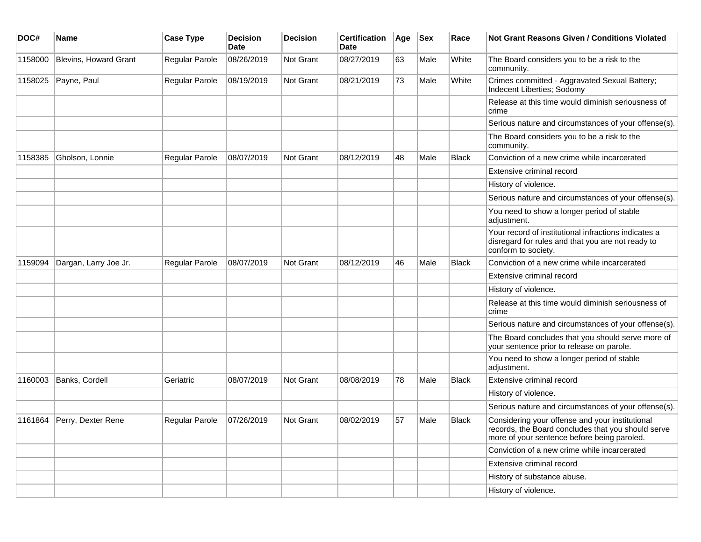| DOC#    | <b>Name</b>           | <b>Case Type</b>      | <b>Decision</b><br>Date | <b>Decision</b>  | <b>Certification</b><br>Date | Age | <b>Sex</b> | Race         | <b>Not Grant Reasons Given / Conditions Violated</b>                                                                                                 |
|---------|-----------------------|-----------------------|-------------------------|------------------|------------------------------|-----|------------|--------------|------------------------------------------------------------------------------------------------------------------------------------------------------|
| 1158000 | Blevins, Howard Grant | Regular Parole        | 08/26/2019              | Not Grant        | 08/27/2019                   | 63  | Male       | White        | The Board considers you to be a risk to the<br>community.                                                                                            |
| 1158025 | Payne, Paul           | Regular Parole        | 08/19/2019              | Not Grant        | 08/21/2019                   | 73  | Male       | White        | Crimes committed - Aggravated Sexual Battery;<br>Indecent Liberties; Sodomy                                                                          |
|         |                       |                       |                         |                  |                              |     |            |              | Release at this time would diminish seriousness of<br>crime                                                                                          |
|         |                       |                       |                         |                  |                              |     |            |              | Serious nature and circumstances of your offense(s).                                                                                                 |
|         |                       |                       |                         |                  |                              |     |            |              | The Board considers you to be a risk to the<br>community.                                                                                            |
| 1158385 | Gholson, Lonnie       | Regular Parole        | 08/07/2019              | <b>Not Grant</b> | 08/12/2019                   | 48  | Male       | <b>Black</b> | Conviction of a new crime while incarcerated                                                                                                         |
|         |                       |                       |                         |                  |                              |     |            |              | Extensive criminal record                                                                                                                            |
|         |                       |                       |                         |                  |                              |     |            |              | History of violence.                                                                                                                                 |
|         |                       |                       |                         |                  |                              |     |            |              | Serious nature and circumstances of your offense(s).                                                                                                 |
|         |                       |                       |                         |                  |                              |     |            |              | You need to show a longer period of stable<br>adjustment.                                                                                            |
|         |                       |                       |                         |                  |                              |     |            |              | Your record of institutional infractions indicates a<br>disregard for rules and that you are not ready to<br>conform to society.                     |
| 1159094 | Dargan, Larry Joe Jr. | Regular Parole        | 08/07/2019              | Not Grant        | 08/12/2019                   | 46  | Male       | <b>Black</b> | Conviction of a new crime while incarcerated                                                                                                         |
|         |                       |                       |                         |                  |                              |     |            |              | Extensive criminal record                                                                                                                            |
|         |                       |                       |                         |                  |                              |     |            |              | History of violence.                                                                                                                                 |
|         |                       |                       |                         |                  |                              |     |            |              | Release at this time would diminish seriousness of<br>crime                                                                                          |
|         |                       |                       |                         |                  |                              |     |            |              | Serious nature and circumstances of your offense(s).                                                                                                 |
|         |                       |                       |                         |                  |                              |     |            |              | The Board concludes that you should serve more of<br>your sentence prior to release on parole.                                                       |
|         |                       |                       |                         |                  |                              |     |            |              | You need to show a longer period of stable<br>adjustment.                                                                                            |
| 1160003 | Banks, Cordell        | Geriatric             | 08/07/2019              | Not Grant        | 08/08/2019                   | 78  | Male       | <b>Black</b> | Extensive criminal record                                                                                                                            |
|         |                       |                       |                         |                  |                              |     |            |              | History of violence.                                                                                                                                 |
|         |                       |                       |                         |                  |                              |     |            |              | Serious nature and circumstances of your offense(s).                                                                                                 |
| 1161864 | Perry, Dexter Rene    | <b>Regular Parole</b> | 07/26/2019              | <b>Not Grant</b> | 08/02/2019                   | 57  | Male       | Black        | Considering your offense and your institutional<br>records, the Board concludes that you should serve<br>more of your sentence before being paroled. |
|         |                       |                       |                         |                  |                              |     |            |              | Conviction of a new crime while incarcerated                                                                                                         |
|         |                       |                       |                         |                  |                              |     |            |              | Extensive criminal record                                                                                                                            |
|         |                       |                       |                         |                  |                              |     |            |              | History of substance abuse.                                                                                                                          |
|         |                       |                       |                         |                  |                              |     |            |              | History of violence.                                                                                                                                 |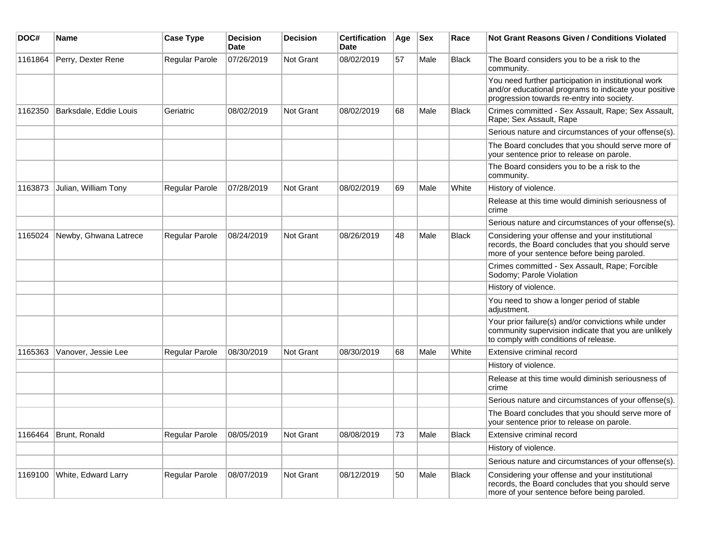| DOC#    | Name                   | <b>Case Type</b> | <b>Decision</b><br><b>Date</b> | <b>Decision</b>  | <b>Certification</b><br>Date | Age | <b>Sex</b> | Race         | <b>Not Grant Reasons Given / Conditions Violated</b>                                                                                                        |
|---------|------------------------|------------------|--------------------------------|------------------|------------------------------|-----|------------|--------------|-------------------------------------------------------------------------------------------------------------------------------------------------------------|
| 1161864 | Perry, Dexter Rene     | Regular Parole   | 07/26/2019                     | <b>Not Grant</b> | 08/02/2019                   | 57  | Male       | Black        | The Board considers you to be a risk to the<br>community.                                                                                                   |
|         |                        |                  |                                |                  |                              |     |            |              | You need further participation in institutional work<br>and/or educational programs to indicate your positive<br>progression towards re-entry into society. |
| 1162350 | Barksdale, Eddie Louis | Geriatric        | 08/02/2019                     | <b>Not Grant</b> | 08/02/2019                   | 68  | Male       | Black        | Crimes committed - Sex Assault, Rape; Sex Assault,<br>Rape; Sex Assault, Rape                                                                               |
|         |                        |                  |                                |                  |                              |     |            |              | Serious nature and circumstances of your offense(s).                                                                                                        |
|         |                        |                  |                                |                  |                              |     |            |              | The Board concludes that you should serve more of<br>your sentence prior to release on parole.                                                              |
|         |                        |                  |                                |                  |                              |     |            |              | The Board considers you to be a risk to the<br>community.                                                                                                   |
| 1163873 | Julian, William Tony   | Regular Parole   | 07/28/2019                     | <b>Not Grant</b> | 08/02/2019                   | 69  | Male       | White        | History of violence.                                                                                                                                        |
|         |                        |                  |                                |                  |                              |     |            |              | Release at this time would diminish seriousness of<br>crime                                                                                                 |
|         |                        |                  |                                |                  |                              |     |            |              | Serious nature and circumstances of your offense(s).                                                                                                        |
| 1165024 | Newby, Ghwana Latrece  | Regular Parole   | 08/24/2019                     | <b>Not Grant</b> | 08/26/2019                   | 48  | Male       | Black        | Considering your offense and your institutional<br>records, the Board concludes that you should serve<br>more of your sentence before being paroled.        |
|         |                        |                  |                                |                  |                              |     |            |              | Crimes committed - Sex Assault, Rape; Forcible<br>Sodomy; Parole Violation                                                                                  |
|         |                        |                  |                                |                  |                              |     |            |              | History of violence.                                                                                                                                        |
|         |                        |                  |                                |                  |                              |     |            |              | You need to show a longer period of stable<br>adjustment.                                                                                                   |
|         |                        |                  |                                |                  |                              |     |            |              | Your prior failure(s) and/or convictions while under<br>community supervision indicate that you are unlikely<br>to comply with conditions of release.       |
| 1165363 | Vanover, Jessie Lee    | Regular Parole   | 08/30/2019                     | <b>Not Grant</b> | 08/30/2019                   | 68  | Male       | White        | Extensive criminal record                                                                                                                                   |
|         |                        |                  |                                |                  |                              |     |            |              | History of violence.                                                                                                                                        |
|         |                        |                  |                                |                  |                              |     |            |              | Release at this time would diminish seriousness of<br>crime                                                                                                 |
|         |                        |                  |                                |                  |                              |     |            |              | Serious nature and circumstances of your offense(s).                                                                                                        |
|         |                        |                  |                                |                  |                              |     |            |              | The Board concludes that you should serve more of<br>your sentence prior to release on parole.                                                              |
| 1166464 | Brunt, Ronald          | Regular Parole   | 08/05/2019                     | Not Grant        | 08/08/2019                   | 73  | Male       | <b>Black</b> | Extensive criminal record                                                                                                                                   |
|         |                        |                  |                                |                  |                              |     |            |              | History of violence.                                                                                                                                        |
|         |                        |                  |                                |                  |                              |     |            |              | Serious nature and circumstances of your offense(s).                                                                                                        |
| 1169100 | White, Edward Larry    | Regular Parole   | 08/07/2019                     | Not Grant        | 08/12/2019                   | 50  | Male       | Black        | Considering your offense and your institutional<br>records, the Board concludes that you should serve<br>more of your sentence before being paroled.        |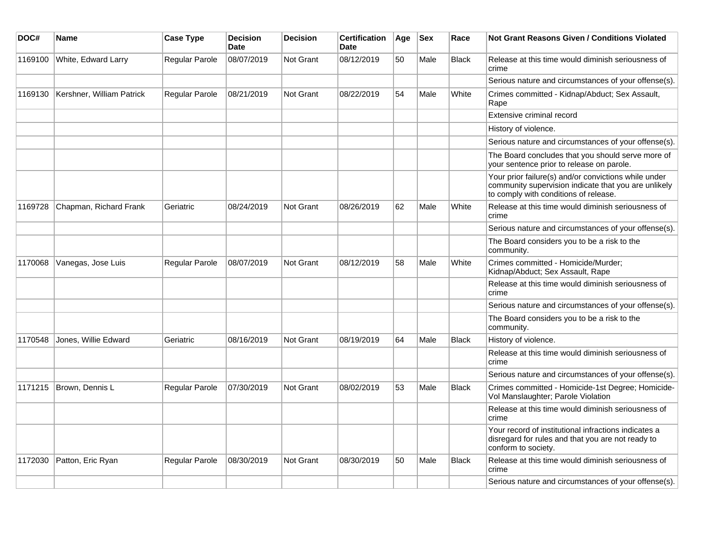| DOC#    | Name                      | <b>Case Type</b>      | <b>Decision</b><br><b>Date</b> | <b>Decision</b>  | <b>Certification</b><br><b>Date</b> | Age | <b>Sex</b> | Race         | Not Grant Reasons Given / Conditions Violated                                                                                                         |
|---------|---------------------------|-----------------------|--------------------------------|------------------|-------------------------------------|-----|------------|--------------|-------------------------------------------------------------------------------------------------------------------------------------------------------|
| 1169100 | White, Edward Larry       | <b>Regular Parole</b> | 08/07/2019                     | <b>Not Grant</b> | 08/12/2019                          | 50  | Male       | <b>Black</b> | Release at this time would diminish seriousness of<br>crime                                                                                           |
|         |                           |                       |                                |                  |                                     |     |            |              | Serious nature and circumstances of your offense(s).                                                                                                  |
| 1169130 | Kershner, William Patrick | <b>Regular Parole</b> | 08/21/2019                     | <b>Not Grant</b> | 08/22/2019                          | 54  | Male       | White        | Crimes committed - Kidnap/Abduct; Sex Assault,<br>Rape                                                                                                |
|         |                           |                       |                                |                  |                                     |     |            |              | Extensive criminal record                                                                                                                             |
|         |                           |                       |                                |                  |                                     |     |            |              | History of violence.                                                                                                                                  |
|         |                           |                       |                                |                  |                                     |     |            |              | Serious nature and circumstances of your offense(s).                                                                                                  |
|         |                           |                       |                                |                  |                                     |     |            |              | The Board concludes that you should serve more of<br>your sentence prior to release on parole.                                                        |
|         |                           |                       |                                |                  |                                     |     |            |              | Your prior failure(s) and/or convictions while under<br>community supervision indicate that you are unlikely<br>to comply with conditions of release. |
| 1169728 | Chapman, Richard Frank    | Geriatric             | 08/24/2019                     | <b>Not Grant</b> | 08/26/2019                          | 62  | Male       | White        | Release at this time would diminish seriousness of<br>crime                                                                                           |
|         |                           |                       |                                |                  |                                     |     |            |              | Serious nature and circumstances of your offense(s).                                                                                                  |
|         |                           |                       |                                |                  |                                     |     |            |              | The Board considers you to be a risk to the<br>community.                                                                                             |
| 1170068 | Vanegas, Jose Luis        | <b>Regular Parole</b> | 08/07/2019                     | <b>Not Grant</b> | 08/12/2019                          | 58  | Male       | White        | Crimes committed - Homicide/Murder;<br>Kidnap/Abduct; Sex Assault, Rape                                                                               |
|         |                           |                       |                                |                  |                                     |     |            |              | Release at this time would diminish seriousness of<br>crime                                                                                           |
|         |                           |                       |                                |                  |                                     |     |            |              | Serious nature and circumstances of your offense(s).                                                                                                  |
|         |                           |                       |                                |                  |                                     |     |            |              | The Board considers you to be a risk to the<br>community.                                                                                             |
| 1170548 | Jones, Willie Edward      | Geriatric             | 08/16/2019                     | Not Grant        | 08/19/2019                          | 64  | Male       | <b>Black</b> | History of violence.                                                                                                                                  |
|         |                           |                       |                                |                  |                                     |     |            |              | Release at this time would diminish seriousness of<br>crime                                                                                           |
|         |                           |                       |                                |                  |                                     |     |            |              | Serious nature and circumstances of your offense(s).                                                                                                  |
| 1171215 | Brown, Dennis L           | <b>Regular Parole</b> | 07/30/2019                     | <b>Not Grant</b> | 08/02/2019                          | 53  | Male       | <b>Black</b> | Crimes committed - Homicide-1st Degree; Homicide-<br>Vol Manslaughter; Parole Violation                                                               |
|         |                           |                       |                                |                  |                                     |     |            |              | Release at this time would diminish seriousness of<br>crime                                                                                           |
|         |                           |                       |                                |                  |                                     |     |            |              | Your record of institutional infractions indicates a<br>disregard for rules and that you are not ready to<br>conform to society.                      |
| 1172030 | Patton, Eric Ryan         | <b>Regular Parole</b> | 08/30/2019                     | <b>Not Grant</b> | 08/30/2019                          | 50  | Male       | <b>Black</b> | Release at this time would diminish seriousness of<br>crime                                                                                           |
|         |                           |                       |                                |                  |                                     |     |            |              | Serious nature and circumstances of your offense(s).                                                                                                  |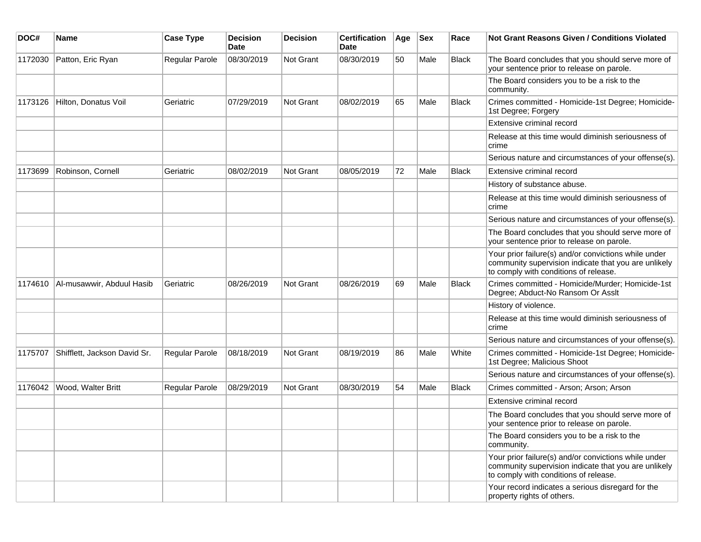| DOC#    | <b>Name</b>                  | <b>Case Type</b> | <b>Decision</b><br>Date | <b>Decision</b> | <b>Certification</b><br>Date | Age | <b>Sex</b> | Race         | Not Grant Reasons Given / Conditions Violated                                                                                                         |
|---------|------------------------------|------------------|-------------------------|-----------------|------------------------------|-----|------------|--------------|-------------------------------------------------------------------------------------------------------------------------------------------------------|
| 1172030 | Patton, Eric Ryan            | Regular Parole   | 08/30/2019              | Not Grant       | 08/30/2019                   | 50  | Male       | Black        | The Board concludes that you should serve more of<br>your sentence prior to release on parole.                                                        |
|         |                              |                  |                         |                 |                              |     |            |              | The Board considers you to be a risk to the<br>community.                                                                                             |
| 1173126 | Hilton, Donatus Voil         | Geriatric        | 07/29/2019              | Not Grant       | 08/02/2019                   | 65  | Male       | Black        | Crimes committed - Homicide-1st Degree; Homicide-<br>1st Degree; Forgery                                                                              |
|         |                              |                  |                         |                 |                              |     |            |              | Extensive criminal record                                                                                                                             |
|         |                              |                  |                         |                 |                              |     |            |              | Release at this time would diminish seriousness of<br>crime                                                                                           |
|         |                              |                  |                         |                 |                              |     |            |              | Serious nature and circumstances of your offense(s).                                                                                                  |
| 1173699 | Robinson, Cornell            | Geriatric        | 08/02/2019              | Not Grant       | 08/05/2019                   | 72  | Male       | Black        | Extensive criminal record                                                                                                                             |
|         |                              |                  |                         |                 |                              |     |            |              | History of substance abuse.                                                                                                                           |
|         |                              |                  |                         |                 |                              |     |            |              | Release at this time would diminish seriousness of<br>crime                                                                                           |
|         |                              |                  |                         |                 |                              |     |            |              | Serious nature and circumstances of your offense(s).                                                                                                  |
|         |                              |                  |                         |                 |                              |     |            |              | The Board concludes that you should serve more of<br>your sentence prior to release on parole.                                                        |
|         |                              |                  |                         |                 |                              |     |            |              | Your prior failure(s) and/or convictions while under<br>community supervision indicate that you are unlikely<br>to comply with conditions of release. |
| 1174610 | Al-musawwir, Abduul Hasib    | Geriatric        | 08/26/2019              | Not Grant       | 08/26/2019                   | 69  | Male       | <b>Black</b> | Crimes committed - Homicide/Murder; Homicide-1st<br>Degree; Abduct-No Ransom Or Asslt                                                                 |
|         |                              |                  |                         |                 |                              |     |            |              | History of violence.                                                                                                                                  |
|         |                              |                  |                         |                 |                              |     |            |              | Release at this time would diminish seriousness of<br>crime                                                                                           |
|         |                              |                  |                         |                 |                              |     |            |              | Serious nature and circumstances of your offense(s).                                                                                                  |
| 1175707 | Shifflett, Jackson David Sr. | Regular Parole   | 08/18/2019              | Not Grant       | 08/19/2019                   | 86  | Male       | White        | Crimes committed - Homicide-1st Degree; Homicide-<br>1st Degree; Malicious Shoot                                                                      |
|         |                              |                  |                         |                 |                              |     |            |              | Serious nature and circumstances of your offense(s).                                                                                                  |
| 1176042 | Wood, Walter Britt           | Regular Parole   | 08/29/2019              | Not Grant       | 08/30/2019                   | 54  | Male       | <b>Black</b> | Crimes committed - Arson; Arson; Arson                                                                                                                |
|         |                              |                  |                         |                 |                              |     |            |              | Extensive criminal record                                                                                                                             |
|         |                              |                  |                         |                 |                              |     |            |              | The Board concludes that you should serve more of<br>your sentence prior to release on parole.                                                        |
|         |                              |                  |                         |                 |                              |     |            |              | The Board considers you to be a risk to the<br>community.                                                                                             |
|         |                              |                  |                         |                 |                              |     |            |              | Your prior failure(s) and/or convictions while under<br>community supervision indicate that you are unlikely<br>to comply with conditions of release. |
|         |                              |                  |                         |                 |                              |     |            |              | Your record indicates a serious disregard for the<br>property rights of others.                                                                       |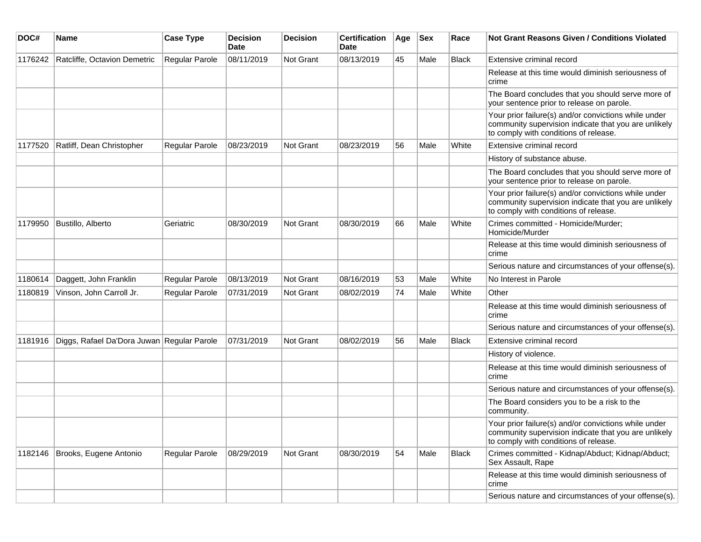| DOC#    | Name                                       | <b>Case Type</b> | <b>Decision</b><br>Date | <b>Decision</b>  | <b>Certification</b><br>Date | Age | <b>Sex</b> | Race         | <b>Not Grant Reasons Given / Conditions Violated</b>                                                                                                  |
|---------|--------------------------------------------|------------------|-------------------------|------------------|------------------------------|-----|------------|--------------|-------------------------------------------------------------------------------------------------------------------------------------------------------|
| 1176242 | Ratcliffe, Octavion Demetric               | Regular Parole   | 08/11/2019              | Not Grant        | 08/13/2019                   | 45  | Male       | <b>Black</b> | Extensive criminal record                                                                                                                             |
|         |                                            |                  |                         |                  |                              |     |            |              | Release at this time would diminish seriousness of<br>crime                                                                                           |
|         |                                            |                  |                         |                  |                              |     |            |              | The Board concludes that you should serve more of<br>your sentence prior to release on parole.                                                        |
|         |                                            |                  |                         |                  |                              |     |            |              | Your prior failure(s) and/or convictions while under<br>community supervision indicate that you are unlikely<br>to comply with conditions of release. |
| 1177520 | Ratliff, Dean Christopher                  | Regular Parole   | 08/23/2019              | <b>Not Grant</b> | 08/23/2019                   | 56  | Male       | White        | Extensive criminal record                                                                                                                             |
|         |                                            |                  |                         |                  |                              |     |            |              | History of substance abuse.                                                                                                                           |
|         |                                            |                  |                         |                  |                              |     |            |              | The Board concludes that you should serve more of<br>your sentence prior to release on parole.                                                        |
|         |                                            |                  |                         |                  |                              |     |            |              | Your prior failure(s) and/or convictions while under<br>community supervision indicate that you are unlikely<br>to comply with conditions of release. |
| 1179950 | Bustillo, Alberto                          | Geriatric        | 08/30/2019              | <b>Not Grant</b> | 08/30/2019                   | 66  | Male       | White        | Crimes committed - Homicide/Murder;<br>Homicide/Murder                                                                                                |
|         |                                            |                  |                         |                  |                              |     |            |              | Release at this time would diminish seriousness of<br>crime                                                                                           |
|         |                                            |                  |                         |                  |                              |     |            |              | Serious nature and circumstances of your offense(s).                                                                                                  |
| 1180614 | Daggett, John Franklin                     | Regular Parole   | 08/13/2019              | <b>Not Grant</b> | 08/16/2019                   | 53  | Male       | White        | No Interest in Parole                                                                                                                                 |
| 1180819 | Vinson, John Carroll Jr.                   | Regular Parole   | 07/31/2019              | Not Grant        | 08/02/2019                   | 74  | Male       | White        | Other                                                                                                                                                 |
|         |                                            |                  |                         |                  |                              |     |            |              | Release at this time would diminish seriousness of<br>crime                                                                                           |
|         |                                            |                  |                         |                  |                              |     |            |              | Serious nature and circumstances of your offense(s).                                                                                                  |
| 1181916 | Diggs, Rafael Da'Dora Juwan Regular Parole |                  | 07/31/2019              | <b>Not Grant</b> | 08/02/2019                   | 56  | Male       | Black        | Extensive criminal record                                                                                                                             |
|         |                                            |                  |                         |                  |                              |     |            |              | History of violence.                                                                                                                                  |
|         |                                            |                  |                         |                  |                              |     |            |              | Release at this time would diminish seriousness of<br>crime                                                                                           |
|         |                                            |                  |                         |                  |                              |     |            |              | Serious nature and circumstances of your offense(s).                                                                                                  |
|         |                                            |                  |                         |                  |                              |     |            |              | The Board considers you to be a risk to the<br>community.                                                                                             |
|         |                                            |                  |                         |                  |                              |     |            |              | Your prior failure(s) and/or convictions while under<br>community supervision indicate that you are unlikely<br>to comply with conditions of release. |
| 1182146 | Brooks, Eugene Antonio                     | Regular Parole   | 08/29/2019              | Not Grant        | 08/30/2019                   | 54  | Male       | <b>Black</b> | Crimes committed - Kidnap/Abduct; Kidnap/Abduct;<br>Sex Assault, Rape                                                                                 |
|         |                                            |                  |                         |                  |                              |     |            |              | Release at this time would diminish seriousness of<br>crime                                                                                           |
|         |                                            |                  |                         |                  |                              |     |            |              | Serious nature and circumstances of your offense(s).                                                                                                  |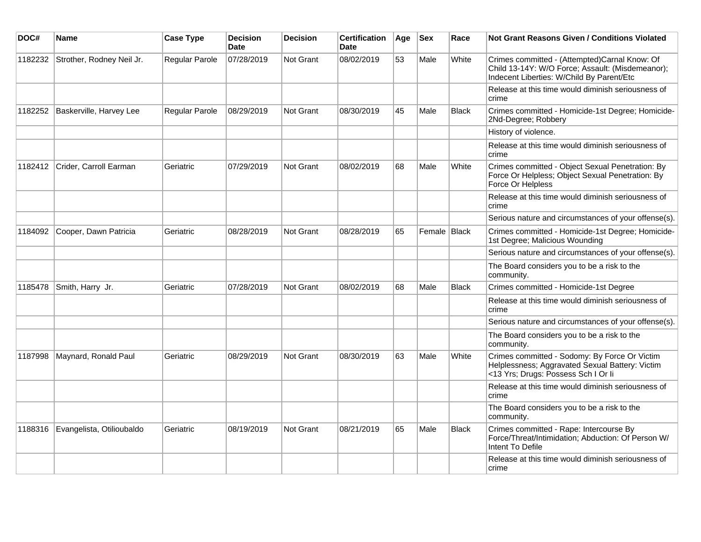| DOC#    | <b>Name</b>               | <b>Case Type</b> | <b>Decision</b><br><b>Date</b> | <b>Decision</b>  | <b>Certification</b><br>Date | Age | <b>Sex</b>   | Race         | <b>Not Grant Reasons Given / Conditions Violated</b>                                                                                           |
|---------|---------------------------|------------------|--------------------------------|------------------|------------------------------|-----|--------------|--------------|------------------------------------------------------------------------------------------------------------------------------------------------|
| 1182232 | Strother, Rodney Neil Jr. | Regular Parole   | 07/28/2019                     | Not Grant        | 08/02/2019                   | 53  | Male         | White        | Crimes committed - (Attempted)Carnal Know: Of<br>Child 13-14Y: W/O Force; Assault: (Misdemeanor);<br>Indecent Liberties: W/Child By Parent/Etc |
|         |                           |                  |                                |                  |                              |     |              |              | Release at this time would diminish seriousness of<br>crime                                                                                    |
| 1182252 | Baskerville, Harvey Lee   | Regular Parole   | 08/29/2019                     | Not Grant        | 08/30/2019                   | 45  | Male         | Black        | Crimes committed - Homicide-1st Degree; Homicide-<br>2Nd-Degree; Robbery                                                                       |
|         |                           |                  |                                |                  |                              |     |              |              | History of violence.                                                                                                                           |
|         |                           |                  |                                |                  |                              |     |              |              | Release at this time would diminish seriousness of<br>crime                                                                                    |
| 1182412 | Crider, Carroll Earman    | Geriatric        | 07/29/2019                     | Not Grant        | 08/02/2019                   | 68  | Male         | White        | Crimes committed - Object Sexual Penetration: By<br>Force Or Helpless; Object Sexual Penetration: By<br>Force Or Helpless                      |
|         |                           |                  |                                |                  |                              |     |              |              | Release at this time would diminish seriousness of<br>crime                                                                                    |
|         |                           |                  |                                |                  |                              |     |              |              | Serious nature and circumstances of your offense(s).                                                                                           |
| 1184092 | Cooper, Dawn Patricia     | Geriatric        | 08/28/2019                     | Not Grant        | 08/28/2019                   | 65  | Female Black |              | Crimes committed - Homicide-1st Degree; Homicide-<br>1st Degree; Malicious Wounding                                                            |
|         |                           |                  |                                |                  |                              |     |              |              | Serious nature and circumstances of your offense(s).                                                                                           |
|         |                           |                  |                                |                  |                              |     |              |              | The Board considers you to be a risk to the<br>community.                                                                                      |
| 1185478 | Smith, Harry Jr.          | Geriatric        | 07/28/2019                     | <b>Not Grant</b> | 08/02/2019                   | 68  | Male         | <b>Black</b> | Crimes committed - Homicide-1st Degree                                                                                                         |
|         |                           |                  |                                |                  |                              |     |              |              | Release at this time would diminish seriousness of<br>crime                                                                                    |
|         |                           |                  |                                |                  |                              |     |              |              | Serious nature and circumstances of your offense(s).                                                                                           |
|         |                           |                  |                                |                  |                              |     |              |              | The Board considers you to be a risk to the<br>community.                                                                                      |
| 1187998 | Maynard, Ronald Paul      | Geriatric        | 08/29/2019                     | Not Grant        | 08/30/2019                   | 63  | Male         | White        | Crimes committed - Sodomy: By Force Or Victim<br>Helplessness; Aggravated Sexual Battery: Victim<br><13 Yrs; Drugs: Possess Sch I Or li        |
|         |                           |                  |                                |                  |                              |     |              |              | Release at this time would diminish seriousness of<br>crime                                                                                    |
|         |                           |                  |                                |                  |                              |     |              |              | The Board considers you to be a risk to the<br>community.                                                                                      |
| 1188316 | Evangelista, Otilioubaldo | Geriatric        | 08/19/2019                     | Not Grant        | 08/21/2019                   | 65  | Male         | <b>Black</b> | Crimes committed - Rape: Intercourse By<br>Force/Threat/Intimidation; Abduction: Of Person W/<br>Intent To Defile                              |
|         |                           |                  |                                |                  |                              |     |              |              | Release at this time would diminish seriousness of<br>crime                                                                                    |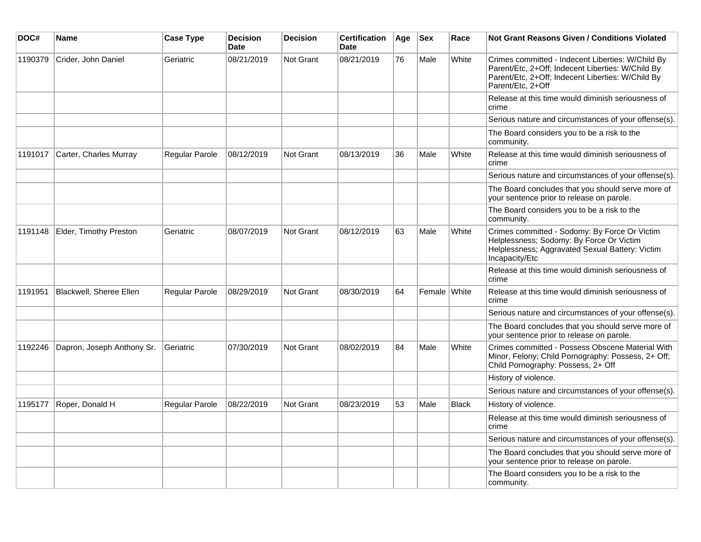| DOC#    | Name                       | <b>Case Type</b>      | <b>Decision</b><br><b>Date</b> | <b>Decision</b>  | <b>Certification</b><br><b>Date</b> | Age | <b>Sex</b>   | Race         | <b>Not Grant Reasons Given / Conditions Violated</b>                                                                                                                             |
|---------|----------------------------|-----------------------|--------------------------------|------------------|-------------------------------------|-----|--------------|--------------|----------------------------------------------------------------------------------------------------------------------------------------------------------------------------------|
| 1190379 | Crider, John Daniel        | Geriatric             | 08/21/2019                     | <b>Not Grant</b> | 08/21/2019                          | 76  | Male         | White        | Crimes committed - Indecent Liberties: W/Child By<br>Parent/Etc, 2+Off; Indecent Liberties: W/Child By<br>Parent/Etc, 2+Off; Indecent Liberties: W/Child By<br>Parent/Etc, 2+Off |
|         |                            |                       |                                |                  |                                     |     |              |              | Release at this time would diminish seriousness of<br>crime                                                                                                                      |
|         |                            |                       |                                |                  |                                     |     |              |              | Serious nature and circumstances of your offense(s).                                                                                                                             |
|         |                            |                       |                                |                  |                                     |     |              |              | The Board considers you to be a risk to the<br>community.                                                                                                                        |
| 1191017 | Carter, Charles Murray     | <b>Regular Parole</b> | 08/12/2019                     | <b>Not Grant</b> | 08/13/2019                          | 36  | Male         | White        | Release at this time would diminish seriousness of<br>crime                                                                                                                      |
|         |                            |                       |                                |                  |                                     |     |              |              | Serious nature and circumstances of your offense(s).                                                                                                                             |
|         |                            |                       |                                |                  |                                     |     |              |              | The Board concludes that you should serve more of<br>your sentence prior to release on parole.                                                                                   |
|         |                            |                       |                                |                  |                                     |     |              |              | The Board considers you to be a risk to the<br>community.                                                                                                                        |
| 1191148 | Elder, Timothy Preston     | Geriatric             | 08/07/2019                     | Not Grant        | 08/12/2019                          | 63  | Male         | White        | Crimes committed - Sodomy: By Force Or Victim<br>Helplessness; Sodomy: By Force Or Victim<br>Helplessness; Aggravated Sexual Battery: Victim<br>Incapacity/Etc                   |
|         |                            |                       |                                |                  |                                     |     |              |              | Release at this time would diminish seriousness of<br>crime                                                                                                                      |
| 1191951 | Blackwell, Sheree Ellen    | <b>Regular Parole</b> | 08/29/2019                     | Not Grant        | 08/30/2019                          | 64  | Female White |              | Release at this time would diminish seriousness of<br>crime                                                                                                                      |
|         |                            |                       |                                |                  |                                     |     |              |              | Serious nature and circumstances of your offense(s).                                                                                                                             |
|         |                            |                       |                                |                  |                                     |     |              |              | The Board concludes that you should serve more of<br>your sentence prior to release on parole.                                                                                   |
| 1192246 | Dapron, Joseph Anthony Sr. | Geriatric             | 07/30/2019                     | <b>Not Grant</b> | 08/02/2019                          | 84  | Male         | White        | Crimes committed - Possess Obscene Material With<br>Minor, Felony; Child Pornography: Possess, 2+ Off;<br>Child Pornography: Possess, 2+ Off                                     |
|         |                            |                       |                                |                  |                                     |     |              |              | History of violence.                                                                                                                                                             |
|         |                            |                       |                                |                  |                                     |     |              |              | Serious nature and circumstances of your offense(s).                                                                                                                             |
| 1195177 | Roper, Donald H            | <b>Regular Parole</b> | 08/22/2019                     | <b>Not Grant</b> | 08/23/2019                          | 53  | Male         | <b>Black</b> | History of violence.                                                                                                                                                             |
|         |                            |                       |                                |                  |                                     |     |              |              | Release at this time would diminish seriousness of<br>crime                                                                                                                      |
|         |                            |                       |                                |                  |                                     |     |              |              | Serious nature and circumstances of your offense(s).                                                                                                                             |
|         |                            |                       |                                |                  |                                     |     |              |              | The Board concludes that you should serve more of<br>your sentence prior to release on parole.                                                                                   |
|         |                            |                       |                                |                  |                                     |     |              |              | The Board considers you to be a risk to the<br>community.                                                                                                                        |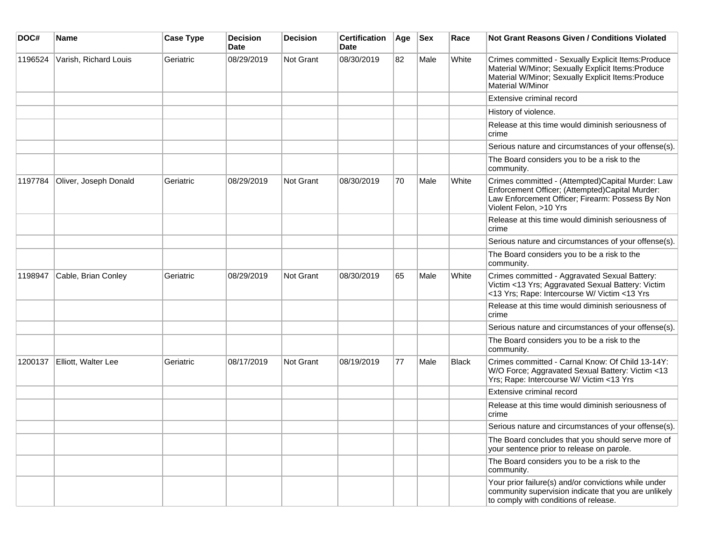| DOC#    | <b>Name</b>           | <b>Case Type</b> | <b>Decision</b><br><b>Date</b> | <b>Decision</b>  | <b>Certification</b><br><b>Date</b> | Age | <b>Sex</b> | Race  | Not Grant Reasons Given / Conditions Violated                                                                                                                                       |
|---------|-----------------------|------------------|--------------------------------|------------------|-------------------------------------|-----|------------|-------|-------------------------------------------------------------------------------------------------------------------------------------------------------------------------------------|
| 1196524 | Varish, Richard Louis | Geriatric        | 08/29/2019                     | Not Grant        | 08/30/2019                          | 82  | Male       | White | Crimes committed - Sexually Explicit Items: Produce<br>Material W/Minor; Sexually Explicit Items: Produce<br>Material W/Minor; Sexually Explicit Items: Produce<br>Material W/Minor |
|         |                       |                  |                                |                  |                                     |     |            |       | Extensive criminal record                                                                                                                                                           |
|         |                       |                  |                                |                  |                                     |     |            |       | History of violence.                                                                                                                                                                |
|         |                       |                  |                                |                  |                                     |     |            |       | Release at this time would diminish seriousness of<br>crime                                                                                                                         |
|         |                       |                  |                                |                  |                                     |     |            |       | Serious nature and circumstances of your offense(s).                                                                                                                                |
|         |                       |                  |                                |                  |                                     |     |            |       | The Board considers you to be a risk to the<br>community.                                                                                                                           |
| 1197784 | Oliver, Joseph Donald | Geriatric        | 08/29/2019                     | Not Grant        | 08/30/2019                          | 70  | Male       | White | Crimes committed - (Attempted)Capital Murder: Law<br>Enforcement Officer; (Attempted)Capital Murder:<br>Law Enforcement Officer; Firearm: Possess By Non<br>Violent Felon, >10 Yrs  |
|         |                       |                  |                                |                  |                                     |     |            |       | Release at this time would diminish seriousness of<br>crime                                                                                                                         |
|         |                       |                  |                                |                  |                                     |     |            |       | Serious nature and circumstances of your offense(s).                                                                                                                                |
|         |                       |                  |                                |                  |                                     |     |            |       | The Board considers you to be a risk to the<br>community.                                                                                                                           |
| 1198947 | Cable, Brian Conley   | Geriatric        | 08/29/2019                     | <b>Not Grant</b> | 08/30/2019                          | 65  | Male       | White | Crimes committed - Aggravated Sexual Battery:<br>Victim <13 Yrs; Aggravated Sexual Battery: Victim<br><13 Yrs; Rape: Intercourse W/ Victim <13 Yrs                                  |
|         |                       |                  |                                |                  |                                     |     |            |       | Release at this time would diminish seriousness of<br>crime                                                                                                                         |
|         |                       |                  |                                |                  |                                     |     |            |       | Serious nature and circumstances of your offense(s).                                                                                                                                |
|         |                       |                  |                                |                  |                                     |     |            |       | The Board considers you to be a risk to the<br>community.                                                                                                                           |
| 1200137 | Elliott, Walter Lee   | Geriatric        | 08/17/2019                     | Not Grant        | 08/19/2019                          | 77  | Male       | Black | Crimes committed - Carnal Know: Of Child 13-14Y:<br>W/O Force; Aggravated Sexual Battery: Victim <13<br>Yrs; Rape: Intercourse W/ Victim <13 Yrs                                    |
|         |                       |                  |                                |                  |                                     |     |            |       | Extensive criminal record                                                                                                                                                           |
|         |                       |                  |                                |                  |                                     |     |            |       | Release at this time would diminish seriousness of<br>crime                                                                                                                         |
|         |                       |                  |                                |                  |                                     |     |            |       | Serious nature and circumstances of your offense(s).                                                                                                                                |
|         |                       |                  |                                |                  |                                     |     |            |       | The Board concludes that you should serve more of<br>your sentence prior to release on parole.                                                                                      |
|         |                       |                  |                                |                  |                                     |     |            |       | The Board considers you to be a risk to the<br>community.                                                                                                                           |
|         |                       |                  |                                |                  |                                     |     |            |       | Your prior failure(s) and/or convictions while under<br>community supervision indicate that you are unlikely<br>to comply with conditions of release.                               |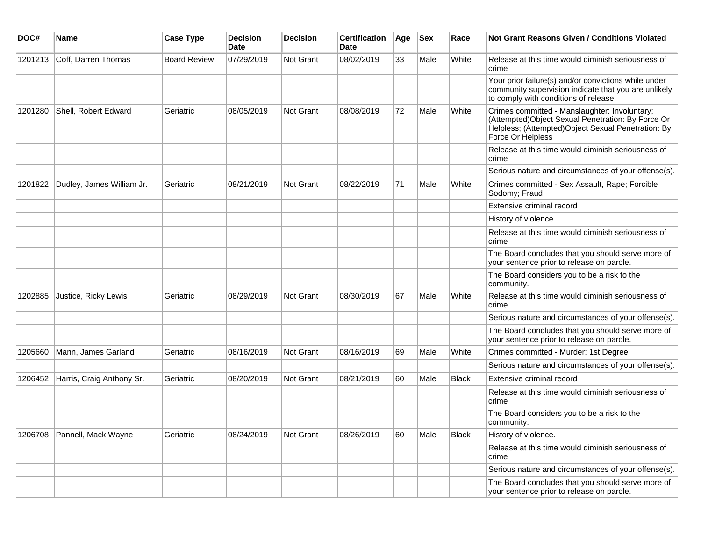| DOC#    | <b>Name</b>                 | <b>Case Type</b>    | <b>Decision</b><br>Date | <b>Decision</b> | <b>Certification</b><br>Date | Age | <b>Sex</b> | Race         | Not Grant Reasons Given / Conditions Violated                                                                                                                                  |
|---------|-----------------------------|---------------------|-------------------------|-----------------|------------------------------|-----|------------|--------------|--------------------------------------------------------------------------------------------------------------------------------------------------------------------------------|
| 1201213 | Coff, Darren Thomas         | <b>Board Review</b> | 07/29/2019              | Not Grant       | 08/02/2019                   | 33  | Male       | White        | Release at this time would diminish seriousness of<br>crime                                                                                                                    |
|         |                             |                     |                         |                 |                              |     |            |              | Your prior failure(s) and/or convictions while under<br>community supervision indicate that you are unlikely<br>to comply with conditions of release.                          |
| 1201280 | Shell, Robert Edward        | Geriatric           | 08/05/2019              | Not Grant       | 08/08/2019                   | 72  | Male       | White        | Crimes committed - Manslaughter: Involuntary;<br>(Attempted) Object Sexual Penetration: By Force Or<br>Helpless; (Attempted)Object Sexual Penetration: By<br>Force Or Helpless |
|         |                             |                     |                         |                 |                              |     |            |              | Release at this time would diminish seriousness of<br>crime                                                                                                                    |
|         |                             |                     |                         |                 |                              |     |            |              | Serious nature and circumstances of your offense(s).                                                                                                                           |
| 1201822 | Dudley, James William Jr.   | Geriatric           | 08/21/2019              | Not Grant       | 08/22/2019                   | 71  | Male       | White        | Crimes committed - Sex Assault, Rape; Forcible<br>Sodomy; Fraud                                                                                                                |
|         |                             |                     |                         |                 |                              |     |            |              | Extensive criminal record                                                                                                                                                      |
|         |                             |                     |                         |                 |                              |     |            |              | History of violence.                                                                                                                                                           |
|         |                             |                     |                         |                 |                              |     |            |              | Release at this time would diminish seriousness of<br>crime                                                                                                                    |
|         |                             |                     |                         |                 |                              |     |            |              | The Board concludes that you should serve more of<br>your sentence prior to release on parole.                                                                                 |
|         |                             |                     |                         |                 |                              |     |            |              | The Board considers you to be a risk to the<br>community.                                                                                                                      |
| 1202885 | Justice, Ricky Lewis        | Geriatric           | 08/29/2019              | Not Grant       | 08/30/2019                   | 67  | Male       | White        | Release at this time would diminish seriousness of<br>crime                                                                                                                    |
|         |                             |                     |                         |                 |                              |     |            |              | Serious nature and circumstances of your offense(s).                                                                                                                           |
|         |                             |                     |                         |                 |                              |     |            |              | The Board concludes that you should serve more of<br>your sentence prior to release on parole.                                                                                 |
| 1205660 | Mann, James Garland         | Geriatric           | 08/16/2019              | Not Grant       | 08/16/2019                   | 69  | Male       | White        | Crimes committed - Murder: 1st Degree                                                                                                                                          |
|         |                             |                     |                         |                 |                              |     |            |              | Serious nature and circumstances of your offense(s).                                                                                                                           |
| 1206452 | Harris, Craig Anthony Sr.   | Geriatric           | 08/20/2019              | Not Grant       | 08/21/2019                   | 60  | Male       | <b>Black</b> | Extensive criminal record                                                                                                                                                      |
|         |                             |                     |                         |                 |                              |     |            |              | Release at this time would diminish seriousness of<br>crime                                                                                                                    |
|         |                             |                     |                         |                 |                              |     |            |              | The Board considers you to be a risk to the<br>community.                                                                                                                      |
|         | 1206708 Pannell, Mack Wayne | Geriatric           | 08/24/2019              | Not Grant       | 08/26/2019                   | 60  | Male       | Black        | History of violence.                                                                                                                                                           |
|         |                             |                     |                         |                 |                              |     |            |              | Release at this time would diminish seriousness of<br>crime                                                                                                                    |
|         |                             |                     |                         |                 |                              |     |            |              | Serious nature and circumstances of your offense(s).                                                                                                                           |
|         |                             |                     |                         |                 |                              |     |            |              | The Board concludes that you should serve more of<br>your sentence prior to release on parole.                                                                                 |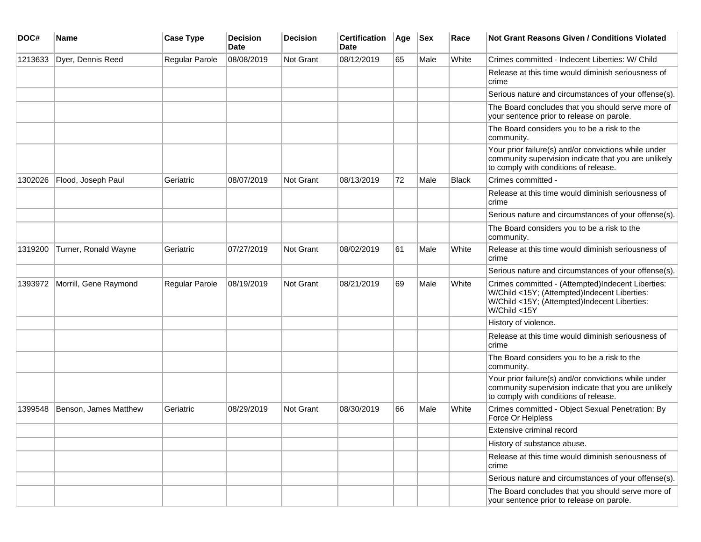| DOC#    | <b>Name</b>           | <b>Case Type</b> | <b>Decision</b><br>Date | <b>Decision</b>  | <b>Certification</b><br>Date | Age | <b>Sex</b> | Race  | <b>Not Grant Reasons Given / Conditions Violated</b>                                                                                                              |
|---------|-----------------------|------------------|-------------------------|------------------|------------------------------|-----|------------|-------|-------------------------------------------------------------------------------------------------------------------------------------------------------------------|
| 1213633 | Dyer, Dennis Reed     | Regular Parole   | 08/08/2019              | <b>Not Grant</b> | 08/12/2019                   | 65  | Male       | White | Crimes committed - Indecent Liberties: W/ Child                                                                                                                   |
|         |                       |                  |                         |                  |                              |     |            |       | Release at this time would diminish seriousness of<br>crime                                                                                                       |
|         |                       |                  |                         |                  |                              |     |            |       | Serious nature and circumstances of your offense(s).                                                                                                              |
|         |                       |                  |                         |                  |                              |     |            |       | The Board concludes that you should serve more of<br>your sentence prior to release on parole.                                                                    |
|         |                       |                  |                         |                  |                              |     |            |       | The Board considers you to be a risk to the<br>community.                                                                                                         |
|         |                       |                  |                         |                  |                              |     |            |       | Your prior failure(s) and/or convictions while under<br>community supervision indicate that you are unlikely<br>to comply with conditions of release.             |
| 1302026 | Flood, Joseph Paul    | Geriatric        | 08/07/2019              | <b>Not Grant</b> | 08/13/2019                   | 72  | Male       | Black | Crimes committed -                                                                                                                                                |
|         |                       |                  |                         |                  |                              |     |            |       | Release at this time would diminish seriousness of<br>crime                                                                                                       |
|         |                       |                  |                         |                  |                              |     |            |       | Serious nature and circumstances of your offense(s).                                                                                                              |
|         |                       |                  |                         |                  |                              |     |            |       | The Board considers you to be a risk to the<br>community.                                                                                                         |
| 1319200 | Turner, Ronald Wayne  | Geriatric        | 07/27/2019              | Not Grant        | 08/02/2019                   | 61  | Male       | White | Release at this time would diminish seriousness of<br>crime                                                                                                       |
|         |                       |                  |                         |                  |                              |     |            |       | Serious nature and circumstances of your offense(s).                                                                                                              |
| 1393972 | Morrill, Gene Raymond | Regular Parole   | 08/19/2019              | Not Grant        | 08/21/2019                   | 69  | Male       | White | Crimes committed - (Attempted)Indecent Liberties:<br>W/Child <15Y; (Attempted)Indecent Liberties:<br>W/Child <15Y; (Attempted)Indecent Liberties:<br>W/Child <15Y |
|         |                       |                  |                         |                  |                              |     |            |       | History of violence.                                                                                                                                              |
|         |                       |                  |                         |                  |                              |     |            |       | Release at this time would diminish seriousness of<br>crime                                                                                                       |
|         |                       |                  |                         |                  |                              |     |            |       | The Board considers you to be a risk to the<br>community.                                                                                                         |
|         |                       |                  |                         |                  |                              |     |            |       | Your prior failure(s) and/or convictions while under<br>community supervision indicate that you are unlikely<br>to comply with conditions of release.             |
| 1399548 | Benson, James Matthew | Geriatric        | 08/29/2019              | Not Grant        | 08/30/2019                   | 66  | Male       | White | Crimes committed - Object Sexual Penetration: By<br>Force Or Helpless                                                                                             |
|         |                       |                  |                         |                  |                              |     |            |       | Extensive criminal record                                                                                                                                         |
|         |                       |                  |                         |                  |                              |     |            |       | History of substance abuse.                                                                                                                                       |
|         |                       |                  |                         |                  |                              |     |            |       | Release at this time would diminish seriousness of<br>crime                                                                                                       |
|         |                       |                  |                         |                  |                              |     |            |       | Serious nature and circumstances of your offense(s).                                                                                                              |
|         |                       |                  |                         |                  |                              |     |            |       | The Board concludes that you should serve more of<br>your sentence prior to release on parole.                                                                    |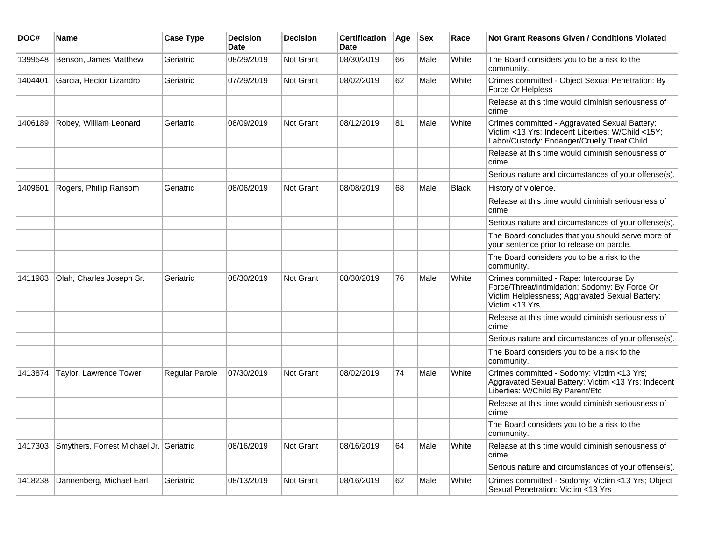| DOC#    | Name                                    | <b>Case Type</b> | <b>Decision</b><br><b>Date</b> | <b>Decision</b> | <b>Certification</b><br><b>Date</b> | Age | <b>Sex</b> | Race         | <b>Not Grant Reasons Given / Conditions Violated</b>                                                                                                           |
|---------|-----------------------------------------|------------------|--------------------------------|-----------------|-------------------------------------|-----|------------|--------------|----------------------------------------------------------------------------------------------------------------------------------------------------------------|
| 1399548 | Benson, James Matthew                   | Geriatric        | 08/29/2019                     | Not Grant       | 08/30/2019                          | 66  | Male       | White        | The Board considers you to be a risk to the<br>community.                                                                                                      |
| 1404401 | Garcia, Hector Lizandro                 | Geriatric        | 07/29/2019                     | Not Grant       | 08/02/2019                          | 62  | Male       | White        | Crimes committed - Object Sexual Penetration: By<br>Force Or Helpless                                                                                          |
|         |                                         |                  |                                |                 |                                     |     |            |              | Release at this time would diminish seriousness of<br>crime                                                                                                    |
| 1406189 | Robey, William Leonard                  | Geriatric        | 08/09/2019                     | Not Grant       | 08/12/2019                          | 81  | Male       | White        | Crimes committed - Aggravated Sexual Battery:<br>Victim <13 Yrs; Indecent Liberties: W/Child <15Y;<br>Labor/Custody: Endanger/Cruelly Treat Child              |
|         |                                         |                  |                                |                 |                                     |     |            |              | Release at this time would diminish seriousness of<br>crime                                                                                                    |
|         |                                         |                  |                                |                 |                                     |     |            |              | Serious nature and circumstances of your offense(s).                                                                                                           |
| 1409601 | Rogers, Phillip Ransom                  | Geriatric        | 08/06/2019                     | Not Grant       | 08/08/2019                          | 68  | Male       | <b>Black</b> | History of violence.                                                                                                                                           |
|         |                                         |                  |                                |                 |                                     |     |            |              | Release at this time would diminish seriousness of<br>crime                                                                                                    |
|         |                                         |                  |                                |                 |                                     |     |            |              | Serious nature and circumstances of your offense(s).                                                                                                           |
|         |                                         |                  |                                |                 |                                     |     |            |              | The Board concludes that you should serve more of<br>your sentence prior to release on parole.                                                                 |
|         |                                         |                  |                                |                 |                                     |     |            |              | The Board considers you to be a risk to the<br>community.                                                                                                      |
| 1411983 | Olah, Charles Joseph Sr.                | Geriatric        | 08/30/2019                     | Not Grant       | 08/30/2019                          | 76  | Male       | White        | Crimes committed - Rape: Intercourse By<br>Force/Threat/Intimidation; Sodomy: By Force Or<br>Victim Helplessness; Aggravated Sexual Battery:<br>Victim <13 Yrs |
|         |                                         |                  |                                |                 |                                     |     |            |              | Release at this time would diminish seriousness of<br>crime                                                                                                    |
|         |                                         |                  |                                |                 |                                     |     |            |              | Serious nature and circumstances of your offense(s).                                                                                                           |
|         |                                         |                  |                                |                 |                                     |     |            |              | The Board considers you to be a risk to the<br>community.                                                                                                      |
| 1413874 | Taylor, Lawrence Tower                  | Regular Parole   | 07/30/2019                     | Not Grant       | 08/02/2019                          | 74  | Male       | White        | Crimes committed - Sodomy: Victim <13 Yrs;<br>Aggravated Sexual Battery: Victim <13 Yrs; Indecent<br>Liberties: W/Child By Parent/Etc                          |
|         |                                         |                  |                                |                 |                                     |     |            |              | Release at this time would diminish seriousness of<br>crime                                                                                                    |
|         |                                         |                  |                                |                 |                                     |     |            |              | The Board considers you to be a risk to the<br>community.                                                                                                      |
| 1417303 | Smythers, Forrest Michael Jr. Geriatric |                  | 08/16/2019                     | Not Grant       | 08/16/2019                          | 64  | Male       | White        | Release at this time would diminish seriousness of<br>crime                                                                                                    |
|         |                                         |                  |                                |                 |                                     |     |            |              | Serious nature and circumstances of your offense(s).                                                                                                           |
| 1418238 | Dannenberg, Michael Earl                | Geriatric        | 08/13/2019                     | Not Grant       | 08/16/2019                          | 62  | Male       | White        | Crimes committed - Sodomy: Victim <13 Yrs; Object<br>Sexual Penetration: Victim <13 Yrs                                                                        |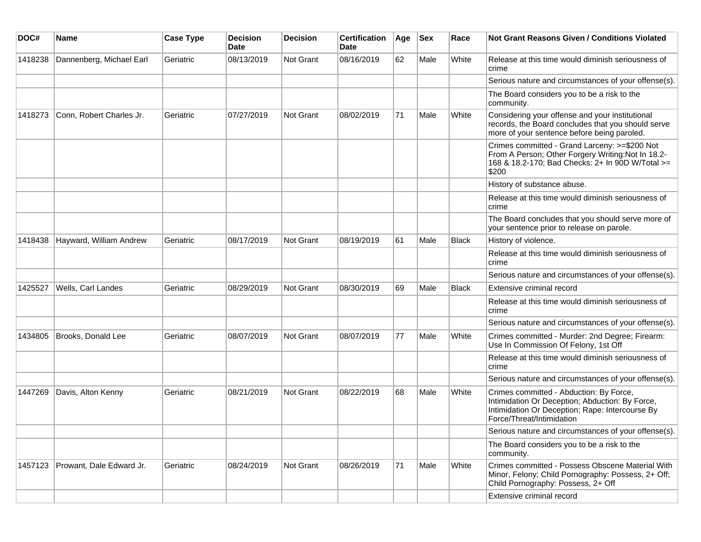| DOC#    | Name                             | <b>Case Type</b> | <b>Decision</b><br><b>Date</b> | <b>Decision</b> | <b>Certification</b><br><b>Date</b> | Age | <b>Sex</b> | Race         | <b>Not Grant Reasons Given / Conditions Violated</b>                                                                                                                       |
|---------|----------------------------------|------------------|--------------------------------|-----------------|-------------------------------------|-----|------------|--------------|----------------------------------------------------------------------------------------------------------------------------------------------------------------------------|
| 1418238 | Dannenberg, Michael Earl         | Geriatric        | 08/13/2019                     | Not Grant       | 08/16/2019                          | 62  | Male       | White        | Release at this time would diminish seriousness of<br>crime                                                                                                                |
|         |                                  |                  |                                |                 |                                     |     |            |              | Serious nature and circumstances of your offense(s).                                                                                                                       |
|         |                                  |                  |                                |                 |                                     |     |            |              | The Board considers you to be a risk to the<br>community.                                                                                                                  |
| 1418273 | Conn, Robert Charles Jr.         | Geriatric        | 07/27/2019                     | Not Grant       | 08/02/2019                          | 71  | Male       | White        | Considering your offense and your institutional<br>records, the Board concludes that you should serve<br>more of your sentence before being paroled.                       |
|         |                                  |                  |                                |                 |                                     |     |            |              | Crimes committed - Grand Larceny: >=\$200 Not<br>From A Person; Other Forgery Writing: Not In 18.2-<br>168 & 18.2-170; Bad Checks: 2+ In 90D W/Total >=<br>\$200           |
|         |                                  |                  |                                |                 |                                     |     |            |              | History of substance abuse.                                                                                                                                                |
|         |                                  |                  |                                |                 |                                     |     |            |              | Release at this time would diminish seriousness of<br>crime                                                                                                                |
|         |                                  |                  |                                |                 |                                     |     |            |              | The Board concludes that you should serve more of<br>your sentence prior to release on parole.                                                                             |
| 1418438 | Hayward, William Andrew          | Geriatric        | 08/17/2019                     | Not Grant       | 08/19/2019                          | 61  | Male       | Black        | History of violence.                                                                                                                                                       |
|         |                                  |                  |                                |                 |                                     |     |            |              | Release at this time would diminish seriousness of<br>crime                                                                                                                |
|         |                                  |                  |                                |                 |                                     |     |            |              | Serious nature and circumstances of your offense(s).                                                                                                                       |
| 1425527 | Wells, Carl Landes               | Geriatric        | 08/29/2019                     | Not Grant       | 08/30/2019                          | 69  | Male       | <b>Black</b> | Extensive criminal record                                                                                                                                                  |
|         |                                  |                  |                                |                 |                                     |     |            |              | Release at this time would diminish seriousness of<br>crime                                                                                                                |
|         |                                  |                  |                                |                 |                                     |     |            |              | Serious nature and circumstances of your offense(s).                                                                                                                       |
| 1434805 | Brooks, Donald Lee               | Geriatric        | 08/07/2019                     | Not Grant       | 08/07/2019                          | 77  | Male       | White        | Crimes committed - Murder: 2nd Degree; Firearm:<br>Use In Commission Of Felony, 1st Off                                                                                    |
|         |                                  |                  |                                |                 |                                     |     |            |              | Release at this time would diminish seriousness of<br>crime                                                                                                                |
|         |                                  |                  |                                |                 |                                     |     |            |              | Serious nature and circumstances of your offense(s).                                                                                                                       |
| 1447269 | Davis, Alton Kenny               | Geriatric        | 08/21/2019                     | Not Grant       | 08/22/2019                          | 68  | Male       | White        | Crimes committed - Abduction: By Force,<br>Intimidation Or Deception; Abduction: By Force,<br>Intimidation Or Deception; Rape: Intercourse By<br>Force/Threat/Intimidation |
|         |                                  |                  |                                |                 |                                     |     |            |              | Serious nature and circumstances of your offense(s).                                                                                                                       |
|         |                                  |                  |                                |                 |                                     |     |            |              | The Board considers you to be a risk to the<br>community.                                                                                                                  |
|         | 1457123 Prowant, Dale Edward Jr. | Geriatric        | 08/24/2019                     | Not Grant       | 08/26/2019                          | 71  | Male       | White        | Crimes committed - Possess Obscene Material With<br>Minor, Felony; Child Pornography: Possess, 2+ Off;<br>Child Pornography: Possess, 2+ Off                               |
|         |                                  |                  |                                |                 |                                     |     |            |              | Extensive criminal record                                                                                                                                                  |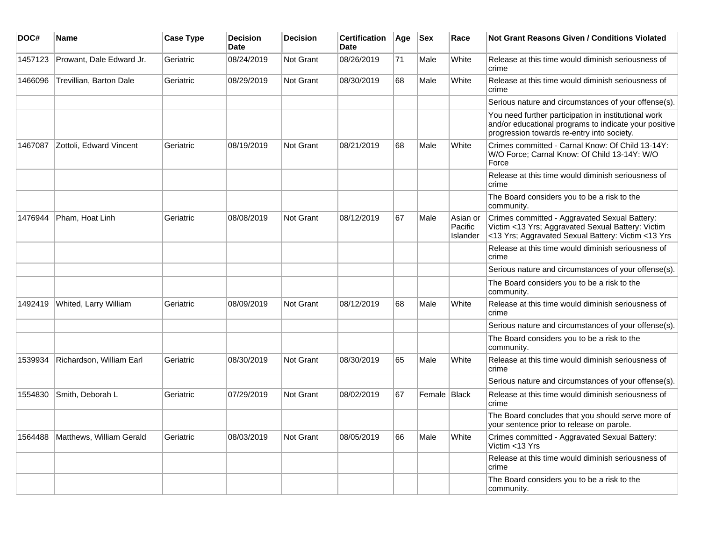| DOC#    | Name                     | <b>Case Type</b> | <b>Decision</b><br><b>Date</b> | <b>Decision</b>  | <b>Certification</b><br><b>Date</b> | Age | <b>Sex</b>     | Race                            | <b>Not Grant Reasons Given / Conditions Violated</b>                                                                                                        |
|---------|--------------------------|------------------|--------------------------------|------------------|-------------------------------------|-----|----------------|---------------------------------|-------------------------------------------------------------------------------------------------------------------------------------------------------------|
| 1457123 | Prowant, Dale Edward Jr. | Geriatric        | 08/24/2019                     | <b>Not Grant</b> | 08/26/2019                          | 71  | Male           | White                           | Release at this time would diminish seriousness of<br>crime                                                                                                 |
| 1466096 | Trevillian, Barton Dale  | Geriatric        | 08/29/2019                     | <b>Not Grant</b> | 08/30/2019                          | 68  | Male           | White                           | Release at this time would diminish seriousness of<br>crime                                                                                                 |
|         |                          |                  |                                |                  |                                     |     |                |                                 | Serious nature and circumstances of your offense(s).                                                                                                        |
|         |                          |                  |                                |                  |                                     |     |                |                                 | You need further participation in institutional work<br>and/or educational programs to indicate your positive<br>progression towards re-entry into society. |
| 1467087 | Zottoli, Edward Vincent  | Geriatric        | 08/19/2019                     | <b>Not Grant</b> | 08/21/2019                          | 68  | Male           | White                           | Crimes committed - Carnal Know: Of Child 13-14Y:<br>W/O Force; Carnal Know: Of Child 13-14Y: W/O<br>Force                                                   |
|         |                          |                  |                                |                  |                                     |     |                |                                 | Release at this time would diminish seriousness of<br>crime                                                                                                 |
|         |                          |                  |                                |                  |                                     |     |                |                                 | The Board considers you to be a risk to the<br>community.                                                                                                   |
| 1476944 | Pham, Hoat Linh          | Geriatric        | 08/08/2019                     | <b>Not Grant</b> | 08/12/2019                          | 67  | Male           | Asian or<br>Pacific<br>Islander | Crimes committed - Aggravated Sexual Battery:<br>Victim <13 Yrs; Aggravated Sexual Battery: Victim<br><13 Yrs; Aggravated Sexual Battery: Victim <13 Yrs    |
|         |                          |                  |                                |                  |                                     |     |                |                                 | Release at this time would diminish seriousness of<br>crime                                                                                                 |
|         |                          |                  |                                |                  |                                     |     |                |                                 | Serious nature and circumstances of your offense(s).                                                                                                        |
|         |                          |                  |                                |                  |                                     |     |                |                                 | The Board considers you to be a risk to the<br>community.                                                                                                   |
| 1492419 | Whited, Larry William    | Geriatric        | 08/09/2019                     | <b>Not Grant</b> | 08/12/2019                          | 68  | Male           | White                           | Release at this time would diminish seriousness of<br>crime                                                                                                 |
|         |                          |                  |                                |                  |                                     |     |                |                                 | Serious nature and circumstances of your offense(s).                                                                                                        |
|         |                          |                  |                                |                  |                                     |     |                |                                 | The Board considers you to be a risk to the<br>community.                                                                                                   |
| 1539934 | Richardson, William Earl | Geriatric        | 08/30/2019                     | <b>Not Grant</b> | 08/30/2019                          | 65  | Male           | White                           | Release at this time would diminish seriousness of<br>crime                                                                                                 |
|         |                          |                  |                                |                  |                                     |     |                |                                 | Serious nature and circumstances of your offense(s).                                                                                                        |
| 1554830 | Smith, Deborah L         | Geriatric        | 07/29/2019                     | <b>Not Grant</b> | 08/02/2019                          | 67  | Female   Black |                                 | Release at this time would diminish seriousness of<br>crime                                                                                                 |
|         |                          |                  |                                |                  |                                     |     |                |                                 | The Board concludes that you should serve more of<br>your sentence prior to release on parole.                                                              |
| 1564488 | Matthews, William Gerald | Geriatric        | 08/03/2019                     | <b>Not Grant</b> | 08/05/2019                          | 66  | Male           | White                           | Crimes committed - Aggravated Sexual Battery:<br>Victim <13 Yrs                                                                                             |
|         |                          |                  |                                |                  |                                     |     |                |                                 | Release at this time would diminish seriousness of<br>crime                                                                                                 |
|         |                          |                  |                                |                  |                                     |     |                |                                 | The Board considers you to be a risk to the<br>community.                                                                                                   |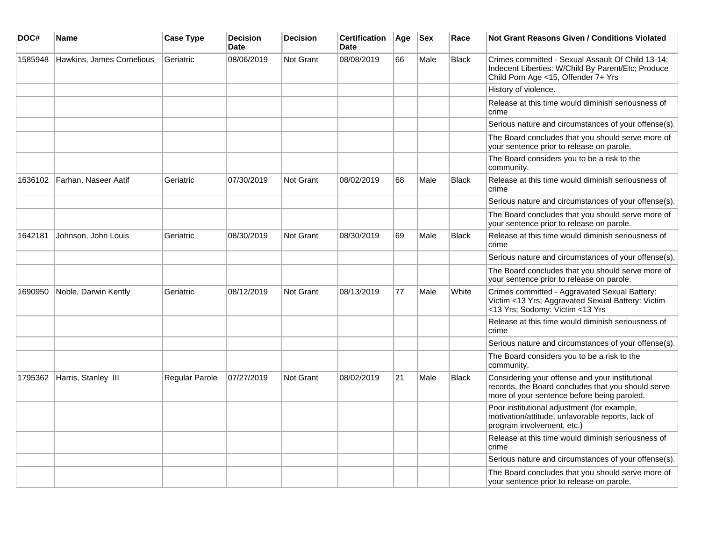| DOC#    | Name                      | <b>Case Type</b> | <b>Decision</b><br><b>Date</b> | <b>Decision</b>  | <b>Certification</b><br>Date | Age | <b>Sex</b> | Race         | Not Grant Reasons Given / Conditions Violated                                                                                                        |
|---------|---------------------------|------------------|--------------------------------|------------------|------------------------------|-----|------------|--------------|------------------------------------------------------------------------------------------------------------------------------------------------------|
| 1585948 | Hawkins, James Cornelious | Geriatric        | 08/06/2019                     | Not Grant        | 08/08/2019                   | 66  | Male       | <b>Black</b> | Crimes committed - Sexual Assault Of Child 13-14;<br>Indecent Liberties: W/Child By Parent/Etc; Produce<br>Child Porn Age <15, Offender 7+ Yrs       |
|         |                           |                  |                                |                  |                              |     |            |              | History of violence.                                                                                                                                 |
|         |                           |                  |                                |                  |                              |     |            |              | Release at this time would diminish seriousness of<br>crime                                                                                          |
|         |                           |                  |                                |                  |                              |     |            |              | Serious nature and circumstances of your offense(s).                                                                                                 |
|         |                           |                  |                                |                  |                              |     |            |              | The Board concludes that you should serve more of<br>your sentence prior to release on parole.                                                       |
|         |                           |                  |                                |                  |                              |     |            |              | The Board considers you to be a risk to the<br>community.                                                                                            |
| 1636102 | Farhan, Naseer Aatif      | Geriatric        | 07/30/2019                     | Not Grant        | 08/02/2019                   | 68  | Male       | <b>Black</b> | Release at this time would diminish seriousness of<br>crime                                                                                          |
|         |                           |                  |                                |                  |                              |     |            |              | Serious nature and circumstances of your offense(s).                                                                                                 |
|         |                           |                  |                                |                  |                              |     |            |              | The Board concludes that you should serve more of<br>your sentence prior to release on parole.                                                       |
| 1642181 | Johnson, John Louis       | Geriatric        | 08/30/2019                     | Not Grant        | 08/30/2019                   | 69  | Male       | <b>Black</b> | Release at this time would diminish seriousness of<br>crime                                                                                          |
|         |                           |                  |                                |                  |                              |     |            |              | Serious nature and circumstances of your offense(s).                                                                                                 |
|         |                           |                  |                                |                  |                              |     |            |              | The Board concludes that you should serve more of<br>your sentence prior to release on parole.                                                       |
| 1690950 | Noble, Darwin Kently      | Geriatric        | 08/12/2019                     | <b>Not Grant</b> | 08/13/2019                   | 77  | Male       | White        | Crimes committed - Aggravated Sexual Battery:<br>Victim <13 Yrs; Aggravated Sexual Battery: Victim<br><13 Yrs; Sodomy: Victim <13 Yrs                |
|         |                           |                  |                                |                  |                              |     |            |              | Release at this time would diminish seriousness of<br>crime                                                                                          |
|         |                           |                  |                                |                  |                              |     |            |              | Serious nature and circumstances of your offense(s).                                                                                                 |
|         |                           |                  |                                |                  |                              |     |            |              | The Board considers you to be a risk to the<br>community.                                                                                            |
| 1795362 | Harris, Stanley III       | Regular Parole   | 07/27/2019                     | Not Grant        | 08/02/2019                   | 21  | Male       | <b>Black</b> | Considering your offense and your institutional<br>records, the Board concludes that you should serve<br>more of your sentence before being paroled. |
|         |                           |                  |                                |                  |                              |     |            |              | Poor institutional adjustment (for example,<br>motivation/attitude, unfavorable reports, lack of<br>program involvement, etc.)                       |
|         |                           |                  |                                |                  |                              |     |            |              | Release at this time would diminish seriousness of<br>crime                                                                                          |
|         |                           |                  |                                |                  |                              |     |            |              | Serious nature and circumstances of your offense(s).                                                                                                 |
|         |                           |                  |                                |                  |                              |     |            |              | The Board concludes that you should serve more of<br>your sentence prior to release on parole.                                                       |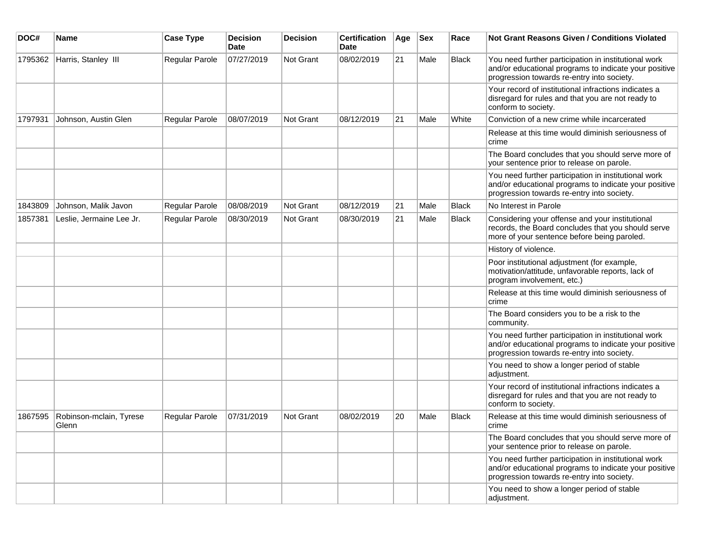| DOC#    | Name                             | <b>Case Type</b>      | <b>Decision</b><br>Date | <b>Decision</b> | <b>Certification</b><br>Date | Age | <b>Sex</b> | Race         | <b>Not Grant Reasons Given / Conditions Violated</b>                                                                                                        |
|---------|----------------------------------|-----------------------|-------------------------|-----------------|------------------------------|-----|------------|--------------|-------------------------------------------------------------------------------------------------------------------------------------------------------------|
| 1795362 | Harris, Stanley III              | Regular Parole        | 07/27/2019              | Not Grant       | 08/02/2019                   | 21  | Male       | <b>Black</b> | You need further participation in institutional work<br>and/or educational programs to indicate your positive<br>progression towards re-entry into society. |
|         |                                  |                       |                         |                 |                              |     |            |              | Your record of institutional infractions indicates a<br>disregard for rules and that you are not ready to<br>conform to society.                            |
| 1797931 | Johnson, Austin Glen             | <b>Regular Parole</b> | 08/07/2019              | Not Grant       | 08/12/2019                   | 21  | Male       | White        | Conviction of a new crime while incarcerated                                                                                                                |
|         |                                  |                       |                         |                 |                              |     |            |              | Release at this time would diminish seriousness of<br>crime                                                                                                 |
|         |                                  |                       |                         |                 |                              |     |            |              | The Board concludes that you should serve more of<br>your sentence prior to release on parole.                                                              |
|         |                                  |                       |                         |                 |                              |     |            |              | You need further participation in institutional work<br>and/or educational programs to indicate your positive<br>progression towards re-entry into society. |
| 1843809 | Johnson, Malik Javon             | Regular Parole        | 08/08/2019              | Not Grant       | 08/12/2019                   | 21  | Male       | <b>Black</b> | No Interest in Parole                                                                                                                                       |
| 1857381 | Leslie, Jermaine Lee Jr.         | <b>Regular Parole</b> | 08/30/2019              | Not Grant       | 08/30/2019                   | 21  | Male       | <b>Black</b> | Considering your offense and your institutional<br>records, the Board concludes that you should serve<br>more of your sentence before being paroled.        |
|         |                                  |                       |                         |                 |                              |     |            |              | History of violence.                                                                                                                                        |
|         |                                  |                       |                         |                 |                              |     |            |              | Poor institutional adjustment (for example,<br>motivation/attitude, unfavorable reports, lack of<br>program involvement, etc.)                              |
|         |                                  |                       |                         |                 |                              |     |            |              | Release at this time would diminish seriousness of<br>crime                                                                                                 |
|         |                                  |                       |                         |                 |                              |     |            |              | The Board considers you to be a risk to the<br>community.                                                                                                   |
|         |                                  |                       |                         |                 |                              |     |            |              | You need further participation in institutional work<br>and/or educational programs to indicate your positive<br>progression towards re-entry into society. |
|         |                                  |                       |                         |                 |                              |     |            |              | You need to show a longer period of stable<br>adjustment.                                                                                                   |
|         |                                  |                       |                         |                 |                              |     |            |              | Your record of institutional infractions indicates a<br>disregard for rules and that you are not ready to<br>conform to society.                            |
| 1867595 | Robinson-mclain, Tyrese<br>Glenn | Regular Parole        | 07/31/2019              | Not Grant       | 08/02/2019                   | 20  | Male       | <b>Black</b> | Release at this time would diminish seriousness of<br>crime                                                                                                 |
|         |                                  |                       |                         |                 |                              |     |            |              | The Board concludes that you should serve more of<br>your sentence prior to release on parole.                                                              |
|         |                                  |                       |                         |                 |                              |     |            |              | You need further participation in institutional work<br>and/or educational programs to indicate your positive<br>progression towards re-entry into society. |
|         |                                  |                       |                         |                 |                              |     |            |              | You need to show a longer period of stable<br>adjustment.                                                                                                   |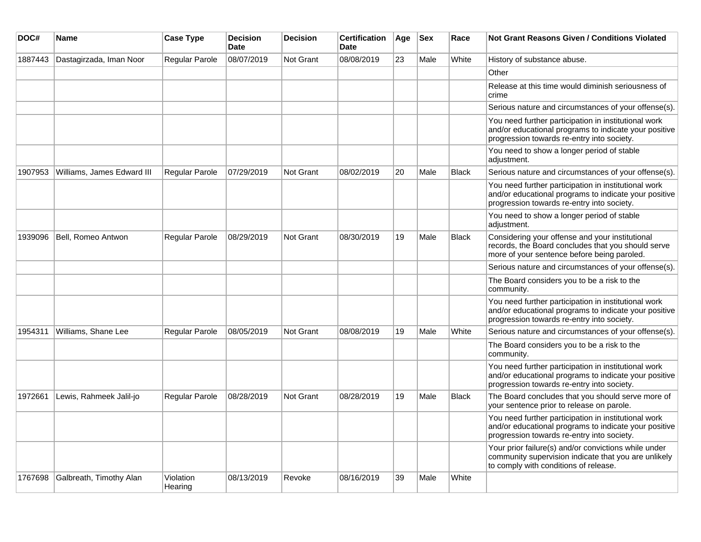| DOC#    | Name                       | <b>Case Type</b>      | <b>Decision</b><br><b>Date</b> | <b>Decision</b>  | <b>Certification</b><br><b>Date</b> | Age | <b>Sex</b> | Race         | Not Grant Reasons Given / Conditions Violated                                                                                                               |
|---------|----------------------------|-----------------------|--------------------------------|------------------|-------------------------------------|-----|------------|--------------|-------------------------------------------------------------------------------------------------------------------------------------------------------------|
| 1887443 | Dastagirzada, Iman Noor    | <b>Regular Parole</b> | 08/07/2019                     | Not Grant        | 08/08/2019                          | 23  | Male       | White        | History of substance abuse.                                                                                                                                 |
|         |                            |                       |                                |                  |                                     |     |            |              | Other                                                                                                                                                       |
|         |                            |                       |                                |                  |                                     |     |            |              | Release at this time would diminish seriousness of<br>crime                                                                                                 |
|         |                            |                       |                                |                  |                                     |     |            |              | Serious nature and circumstances of your offense(s).                                                                                                        |
|         |                            |                       |                                |                  |                                     |     |            |              | You need further participation in institutional work<br>and/or educational programs to indicate your positive<br>progression towards re-entry into society. |
|         |                            |                       |                                |                  |                                     |     |            |              | You need to show a longer period of stable<br>adjustment.                                                                                                   |
| 1907953 | Williams, James Edward III | <b>Regular Parole</b> | 07/29/2019                     | <b>Not Grant</b> | 08/02/2019                          | 20  | Male       | <b>Black</b> | Serious nature and circumstances of your offense(s).                                                                                                        |
|         |                            |                       |                                |                  |                                     |     |            |              | You need further participation in institutional work<br>and/or educational programs to indicate your positive<br>progression towards re-entry into society. |
|         |                            |                       |                                |                  |                                     |     |            |              | You need to show a longer period of stable<br>adjustment.                                                                                                   |
| 1939096 | Bell, Romeo Antwon         | <b>Regular Parole</b> | 08/29/2019                     | <b>Not Grant</b> | 08/30/2019                          | 19  | Male       | <b>Black</b> | Considering your offense and your institutional<br>records, the Board concludes that you should serve<br>more of your sentence before being paroled.        |
|         |                            |                       |                                |                  |                                     |     |            |              | Serious nature and circumstances of your offense(s).                                                                                                        |
|         |                            |                       |                                |                  |                                     |     |            |              | The Board considers you to be a risk to the<br>community.                                                                                                   |
|         |                            |                       |                                |                  |                                     |     |            |              | You need further participation in institutional work<br>and/or educational programs to indicate your positive<br>progression towards re-entry into society. |
| 1954311 | Williams, Shane Lee        | Regular Parole        | 08/05/2019                     | Not Grant        | 08/08/2019                          | 19  | Male       | White        | Serious nature and circumstances of your offense(s).                                                                                                        |
|         |                            |                       |                                |                  |                                     |     |            |              | The Board considers you to be a risk to the<br>community.                                                                                                   |
|         |                            |                       |                                |                  |                                     |     |            |              | You need further participation in institutional work<br>and/or educational programs to indicate your positive<br>progression towards re-entry into society. |
| 1972661 | Lewis, Rahmeek Jalil-jo    | <b>Regular Parole</b> | 08/28/2019                     | <b>Not Grant</b> | 08/28/2019                          | 19  | Male       | <b>Black</b> | The Board concludes that you should serve more of<br>your sentence prior to release on parole.                                                              |
|         |                            |                       |                                |                  |                                     |     |            |              | You need further participation in institutional work<br>and/or educational programs to indicate your positive<br>progression towards re-entry into society. |
|         |                            |                       |                                |                  |                                     |     |            |              | Your prior failure(s) and/or convictions while under<br>community supervision indicate that you are unlikely<br>to comply with conditions of release.       |
| 1767698 | Galbreath, Timothy Alan    | Violation<br>Hearing  | 08/13/2019                     | Revoke           | 08/16/2019                          | 39  | Male       | White        |                                                                                                                                                             |